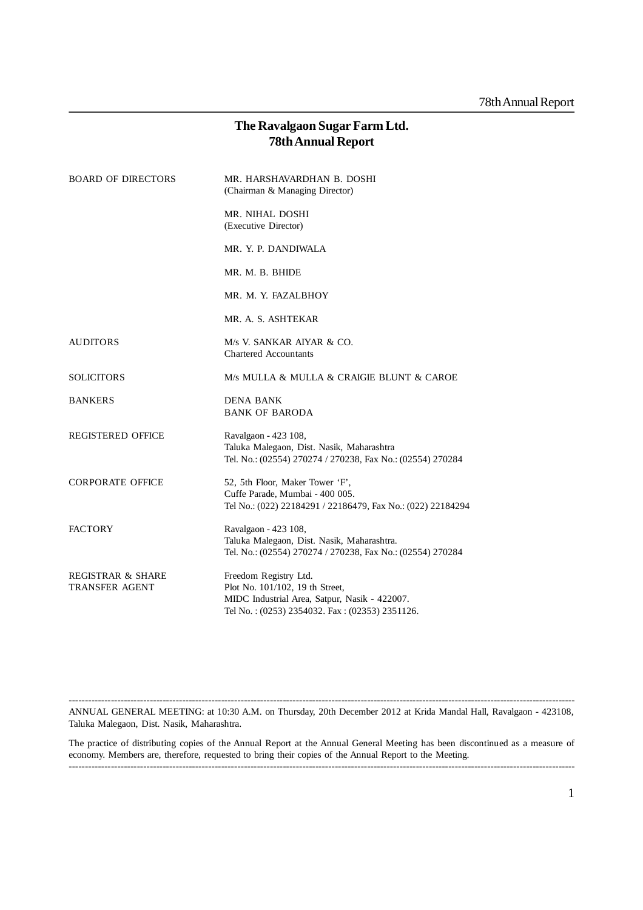# **The Ravalgaon Sugar Farm Ltd. 78th Annual Report**

| <b>BOARD OF DIRECTORS</b>                             | MR. HARSHAVARDHAN B. DOSHI<br>(Chairman & Managing Director)                                                                                                |
|-------------------------------------------------------|-------------------------------------------------------------------------------------------------------------------------------------------------------------|
|                                                       | MR. NIHAL DOSHI<br>(Executive Director)                                                                                                                     |
|                                                       | MR. Y. P. DANDIWALA                                                                                                                                         |
|                                                       | MR. M. B. BHIDE                                                                                                                                             |
|                                                       | MR. M. Y. FAZALBHOY                                                                                                                                         |
|                                                       | MR. A. S. ASHTEKAR                                                                                                                                          |
| <b>AUDITORS</b>                                       | M/s V. SANKAR AIYAR & CO.<br><b>Chartered Accountants</b>                                                                                                   |
| <b>SOLICITORS</b>                                     | M/s MULLA & MULLA & CRAIGIE BLUNT & CAROE                                                                                                                   |
| <b>BANKERS</b>                                        | <b>DENA BANK</b><br><b>BANK OF BARODA</b>                                                                                                                   |
| <b>REGISTERED OFFICE</b>                              | Ravalgaon - 423 108,<br>Taluka Malegaon, Dist. Nasik, Maharashtra<br>Tel. No.: (02554) 270274 / 270238, Fax No.: (02554) 270284                             |
| <b>CORPORATE OFFICE</b>                               | 52, 5th Floor, Maker Tower 'F',<br>Cuffe Parade, Mumbai - 400 005.<br>Tel No.: (022) 22184291 / 22186479, Fax No.: (022) 22184294                           |
| <b>FACTORY</b>                                        | Ravalgaon - 423 108,<br>Taluka Malegaon, Dist. Nasik, Maharashtra.<br>Tel. No.: (02554) 270274 / 270238, Fax No.: (02554) 270284                            |
| <b>REGISTRAR &amp; SHARE</b><br><b>TRANSFER AGENT</b> | Freedom Registry Ltd.<br>Plot No. 101/102, 19 th Street,<br>MIDC Industrial Area, Satpur, Nasik - 422007.<br>Tel No.: (0253) 2354032. Fax: (02353) 2351126. |

------------------------------------------------------------------------------------------------------------------------------------------------------------ ANNUAL GENERAL MEETING: at 10:30 A.M. on Thursday, 20th December 2012 at Krida Mandal Hall, Ravalgaon - 423108, Taluka Malegaon, Dist. Nasik, Maharashtra.

The practice of distributing copies of the Annual Report at the Annual General Meeting has been discontinued as a measure of economy. Members are, therefore, requested to bring their copies of the Annual Report to the Meeting.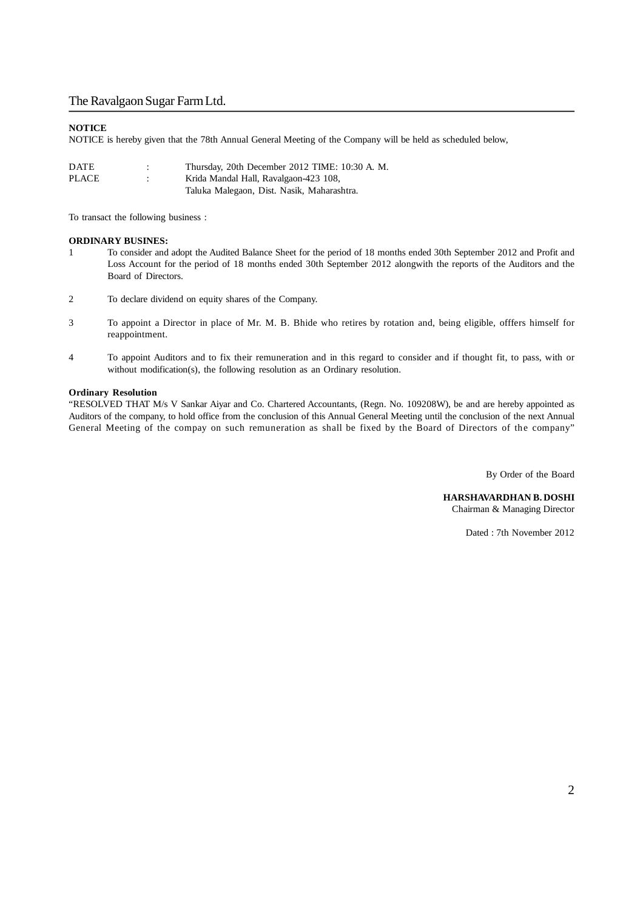#### **NOTICE**

NOTICE is hereby given that the 78th Annual General Meeting of the Company will be held as scheduled below,

| <b>DATE</b> | ٠ | Thursday, 20th December 2012 TIME: 10:30 A. M. |
|-------------|---|------------------------------------------------|
| PLACE       | ٠ | Krida Mandal Hall, Ravalgaon-423 108,          |
|             |   | Taluka Malegaon, Dist. Nasik, Maharashtra.     |

To transact the following business :

#### **ORDINARY BUSINES:**

- 1 To consider and adopt the Audited Balance Sheet for the period of 18 months ended 30th September 2012 and Profit and Loss Account for the period of 18 months ended 30th September 2012 alongwith the reports of the Auditors and the Board of Directors.
- 2 To declare dividend on equity shares of the Company.
- 3 To appoint a Director in place of Mr. M. B. Bhide who retires by rotation and, being eligible, offfers himself for reappointment.
- 4 To appoint Auditors and to fix their remuneration and in this regard to consider and if thought fit, to pass, with or without modification(s), the following resolution as an Ordinary resolution.

#### **Ordinary Resolution**

"RESOLVED THAT M/s V Sankar Aiyar and Co. Chartered Accountants, (Regn. No. 109208W), be and are hereby appointed as Auditors of the company, to hold office from the conclusion of this Annual General Meeting until the conclusion of the next Annual General Meeting of the compay on such remuneration as shall be fixed by the Board of Directors of the company"

By Order of the Board

#### **HARSHAVARDHAN B. DOSHI**

Chairman & Managing Director

Dated : 7th November 2012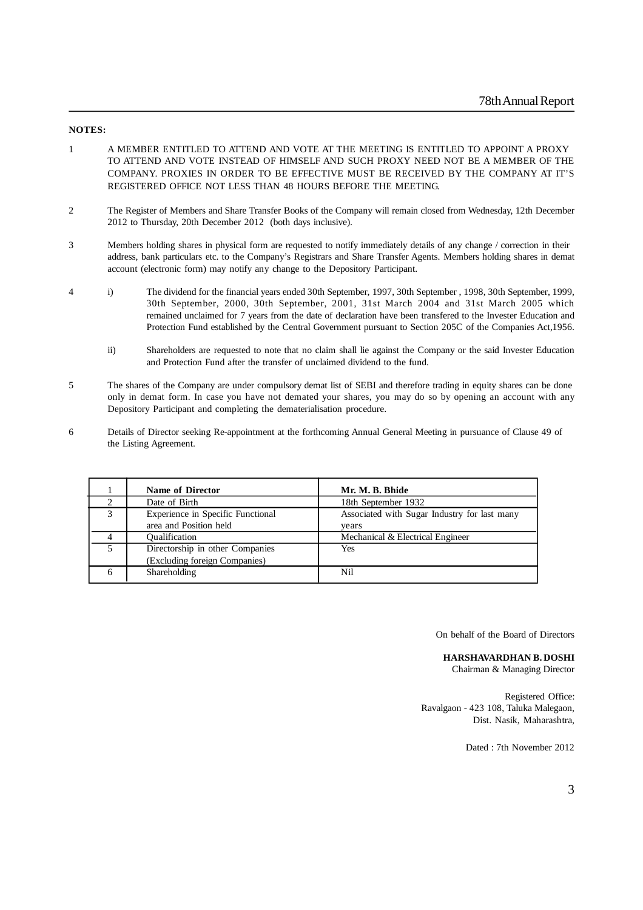#### **NOTES:**

- 1 A MEMBER ENTITLED TO ATTEND AND VOTE AT THE MEETING IS ENTITLED TO APPOINT A PROXY TO ATTEND AND VOTE INSTEAD OF HIMSELF AND SUCH PROXY NEED NOT BE A MEMBER OF THE COMPANY. PROXIES IN ORDER TO BE EFFECTIVE MUST BE RECEIVED BY THE COMPANY AT IT'S REGISTERED OFFICE NOT LESS THAN 48 HOURS BEFORE THE MEETING.
- 2 The Register of Members and Share Transfer Books of the Company will remain closed from Wednesday, 12th December 2012 to Thursday, 20th December 2012 (both days inclusive).
- 3 Members holding shares in physical form are requested to notify immediately details of any change / correction in their address, bank particulars etc. to the Company's Registrars and Share Transfer Agents. Members holding shares in demat account (electronic form) may notify any change to the Depository Participant.
- 4 i) The dividend for the financial years ended 30th September, 1997, 30th September , 1998, 30th September, 1999, 30th September, 2000, 30th September, 2001, 31st March 2004 and 31st March 2005 which remained unclaimed for 7 years from the date of declaration have been transfered to the Invester Education and Protection Fund established by the Central Government pursuant to Section 205C of the Companies Act,1956.
	- ii) Shareholders are requested to note that no claim shall lie against the Company or the said Invester Education and Protection Fund after the transfer of unclaimed dividend to the fund.
- 5 The shares of the Company are under compulsory demat list of SEBI and therefore trading in equity shares can be done only in demat form. In case you have not demated your shares, you may do so by opening an account with any Depository Participant and completing the dematerialisation procedure.
- 6 Details of Director seeking Re-appointment at the forthcoming Annual General Meeting in pursuance of Clause 49 of the Listing Agreement.

|   | <b>Name of Director</b>           | Mr. M. B. Bhide                              |
|---|-----------------------------------|----------------------------------------------|
|   | Date of Birth                     | 18th September 1932                          |
| 3 | Experience in Specific Functional | Associated with Sugar Industry for last many |
|   | area and Position held            | years                                        |
|   | <b>Oualification</b>              | Mechanical & Electrical Engineer             |
|   | Directorship in other Companies   | Yes                                          |
|   | (Excluding foreign Companies)     |                                              |
|   | Shareholding                      | Nil                                          |

On behalf of the Board of Directors

#### **HARSHAVARDHAN B. DOSHI**

Chairman & Managing Director

Registered Office: Ravalgaon - 423 108, Taluka Malegaon, Dist. Nasik, Maharashtra,

Dated : 7th November 2012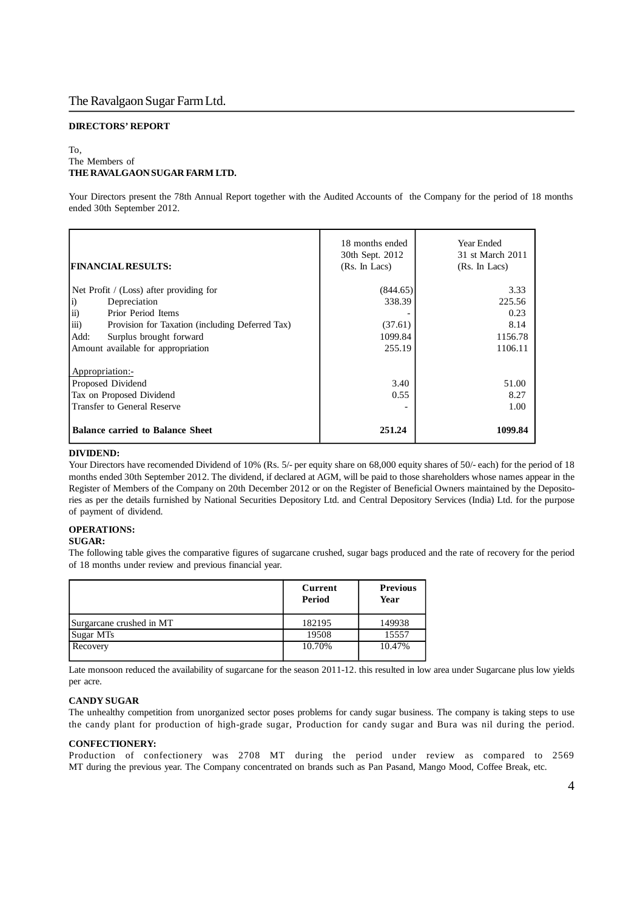### **DIRECTORS' REPORT**

#### To, The Members of **THE RAVALGAON SUGAR FARM LTD.**

Your Directors present the 78th Annual Report together with the Audited Accounts of the Company for the period of 18 months ended 30th September 2012.

| <b>FINANCIAL RESULTS:</b>                                             | 18 months ended<br>30th Sept. 2012<br>(Rs. In Lacs) | Year Ended<br>31 st March 2011<br>(Rs. In Lacs) |
|-----------------------------------------------------------------------|-----------------------------------------------------|-------------------------------------------------|
| Net Profit / (Loss) after providing for                               | (844.65)                                            | 3.33                                            |
| $\vert i \rangle$<br>Depreciation                                     | 338.39                                              | 225.56                                          |
| $\overline{ii}$ )<br>Prior Period Items                               |                                                     | 0.23                                            |
| $\overline{iii}$ )<br>Provision for Taxation (including Deferred Tax) | (37.61)                                             | 8.14                                            |
| Surplus brought forward<br>Add:                                       | 1099.84                                             | 1156.78                                         |
| Amount available for appropriation                                    | 255.19                                              | 1106.11                                         |
| Appropriation:-                                                       |                                                     |                                                 |
| Proposed Dividend                                                     | 3.40                                                | 51.00                                           |
| Tax on Proposed Dividend                                              | 0.55                                                | 8.27                                            |
| <b>Transfer to General Reserve</b>                                    |                                                     | 1.00                                            |
| <b>Balance carried to Balance Sheet</b>                               | 251.24                                              | 1099.84                                         |

#### **DIVIDEND:**

Your Directors have recomended Dividend of 10% (Rs. 5/- per equity share on 68,000 equity shares of 50/- each) for the period of 18 months ended 30th September 2012. The dividend, if declared at AGM, will be paid to those shareholders whose names appear in the Register of Members of the Company on 20th December 2012 or on the Register of Beneficial Owners maintained by the Depositories as per the details furnished by National Securities Depository Ltd. and Central Depository Services (India) Ltd. for the purpose of payment of dividend.

### **OPERATIONS:**

#### **SUGAR:**

The following table gives the comparative figures of sugarcane crushed, sugar bags produced and the rate of recovery for the period of 18 months under review and previous financial year.

|                          | Current<br>Period | <b>Previous</b><br>Year |
|--------------------------|-------------------|-------------------------|
| Surgarcane crushed in MT | 182195            | 149938                  |
| Sugar MTs                | 19508             | 15557                   |
| Recovery                 | 10.70%            | 10.47%                  |

Late monsoon reduced the availability of sugarcane for the season 2011-12. this resulted in low area under Sugarcane plus low yields per acre.

#### **CANDY SUGAR**

The unhealthy competition from unorganized sector poses problems for candy sugar business. The company is taking steps to use the candy plant for production of high-grade sugar, Production for candy sugar and Bura was nil during the period.

#### **CONFECTIONERY:**

Production of confectionery was 2708 MT during the period under review as compared to 2569 MT during the previous year. The Company concentrated on brands such as Pan Pasand, Mango Mood, Coffee Break, etc.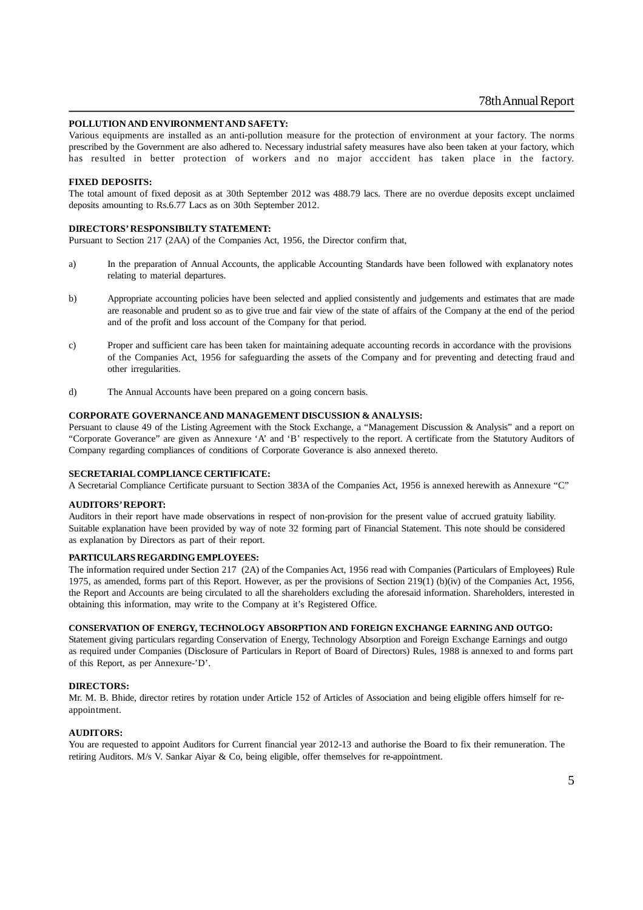#### **POLLUTION AND ENVIRONMENT AND SAFETY:**

Various equipments are installed as an anti-pollution measure for the protection of environment at your factory. The norms prescribed by the Government are also adhered to. Necessary industrial safety measures have also been taken at your factory, which has resulted in better protection of workers and no major acccident has taken place in the factory.

#### **FIXED DEPOSITS:**

The total amount of fixed deposit as at 30th September 2012 was 488.79 lacs. There are no overdue deposits except unclaimed deposits amounting to Rs.6.77 Lacs as on 30th September 2012.

#### **DIRECTORS' RESPONSIBILTY STATEMENT:**

Pursuant to Section 217 (2AA) of the Companies Act, 1956, the Director confirm that,

- a) In the preparation of Annual Accounts, the applicable Accounting Standards have been followed with explanatory notes relating to material departures.
- b) Appropriate accounting policies have been selected and applied consistently and judgements and estimates that are made are reasonable and prudent so as to give true and fair view of the state of affairs of the Company at the end of the period and of the profit and loss account of the Company for that period.
- c) Proper and sufficient care has been taken for maintaining adequate accounting records in accordance with the provisions of the Companies Act, 1956 for safeguarding the assets of the Company and for preventing and detecting fraud and other irregularities.
- d) The Annual Accounts have been prepared on a going concern basis.

#### **CORPORATE GOVERNANCE AND MANAGEMENT DISCUSSION & ANALYSIS:**

Persuant to clause 49 of the Listing Agreement with the Stock Exchange, a "Management Discussion & Analysis" and a report on "Corporate Goverance" are given as Annexure 'A' and 'B' respectively to the report. A certificate from the Statutory Auditors of Company regarding compliances of conditions of Corporate Goverance is also annexed thereto.

#### **SECRETARIAL COMPLIANCE CERTIFICATE:**

A Secretarial Compliance Certificate pursuant to Section 383A of the Companies Act, 1956 is annexed herewith as Annexure "C"

#### **AUDITORS' REPORT:**

Auditors in their report have made observations in respect of non-provision for the present value of accrued gratuity liability. Suitable explanation have been provided by way of note 32 forming part of Financial Statement. This note should be considered as explanation by Directors as part of their report.

#### **PARTICULARS REGARDING EMPLOYEES:**

The information required under Section 217 (2A) of the Companies Act, 1956 read with Companies (Particulars of Employees) Rule 1975, as amended, forms part of this Report. However, as per the provisions of Section 219(1) (b)(iv) of the Companies Act, 1956, the Report and Accounts are being circulated to all the shareholders excluding the aforesaid information. Shareholders, interested in obtaining this information, may write to the Company at it's Registered Office.

#### **CONSERVATION OF ENERGY, TECHNOLOGY ABSORPTION AND FOREIGN EXCHANGE EARNING AND OUTGO:**

Statement giving particulars regarding Conservation of Energy, Technology Absorption and Foreign Exchange Earnings and outgo as required under Companies (Disclosure of Particulars in Report of Board of Directors) Rules, 1988 is annexed to and forms part of this Report, as per Annexure-'D'.

#### **DIRECTORS:**

Mr. M. B. Bhide, director retires by rotation under Article 152 of Articles of Association and being eligible offers himself for reappointment.

#### **AUDITORS:**

You are requested to appoint Auditors for Current financial year 2012-13 and authorise the Board to fix their remuneration. The retiring Auditors. M/s V. Sankar Aiyar & Co, being eligible, offer themselves for re-appointment.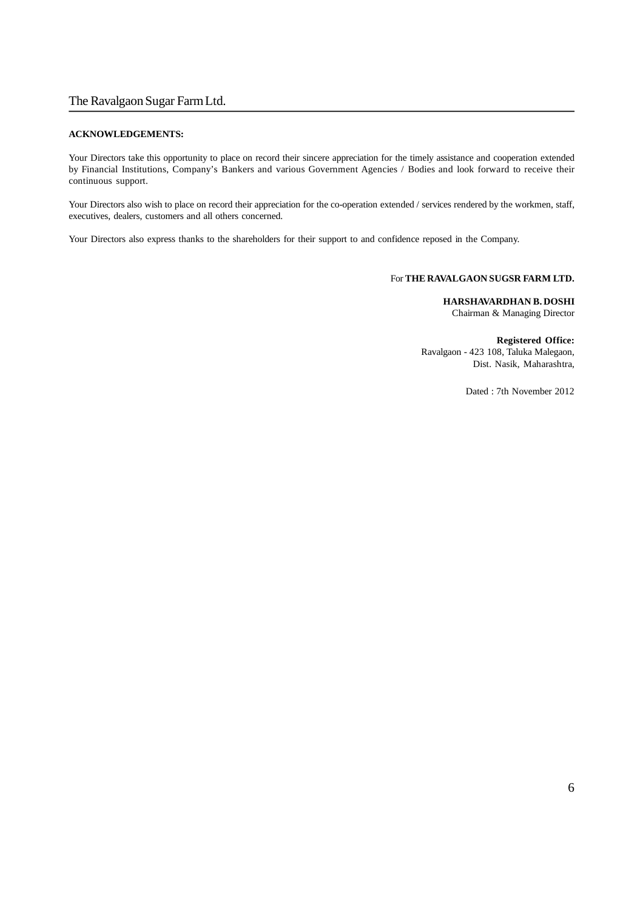#### **ACKNOWLEDGEMENTS:**

Your Directors take this opportunity to place on record their sincere appreciation for the timely assistance and cooperation extended by Financial Institutions, Company's Bankers and various Government Agencies / Bodies and look forward to receive their continuous support.

Your Directors also wish to place on record their appreciation for the co-operation extended / services rendered by the workmen, staff, executives, dealers, customers and all others concerned.

Your Directors also express thanks to the shareholders for their support to and confidence reposed in the Company.

### For **THE RAVALGAON SUGSR FARM LTD.**

**HARSHAVARDHAN B. DOSHI** Chairman & Managing Director

**Registered Office:** Ravalgaon - 423 108, Taluka Malegaon, Dist. Nasik, Maharashtra,

Dated : 7th November 2012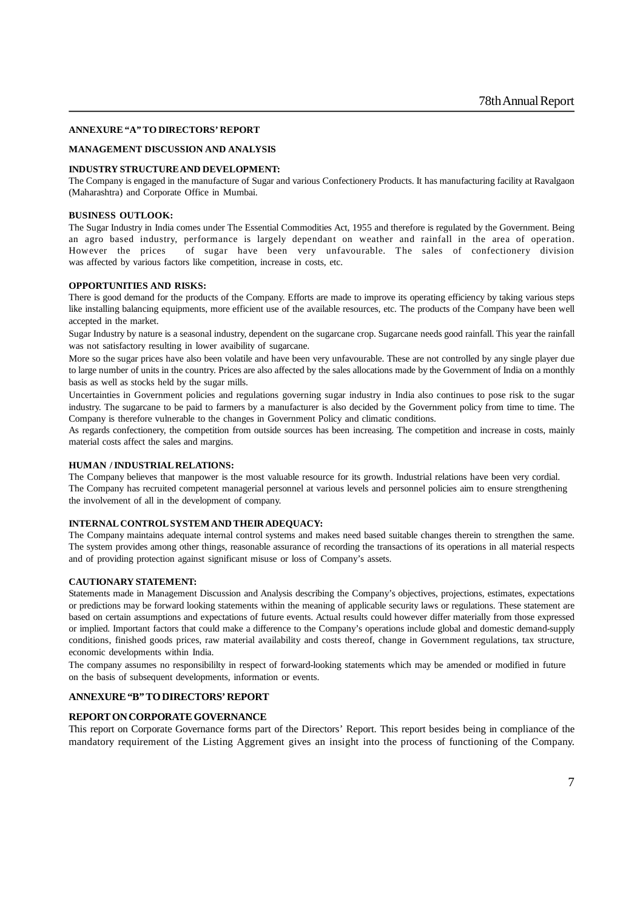#### **ANNEXURE "A" TO DIRECTORS' REPORT**

#### **MANAGEMENT DISCUSSION AND ANALYSIS**

#### **INDUSTRY STRUCTURE AND DEVELOPMENT:**

The Company is engaged in the manufacture of Sugar and various Confectionery Products. It has manufacturing facility at Ravalgaon (Maharashtra) and Corporate Office in Mumbai.

#### **BUSINESS OUTLOOK:**

The Sugar Industry in India comes under The Essential Commodities Act, 1955 and therefore is regulated by the Government. Being an agro based industry, performance is largely dependant on weather and rainfall in the area of operation. However the prices of sugar have been very unfavourable. The sales of confectionery division was affected by various factors like competition, increase in costs, etc.

#### **OPPORTUNITIES AND RISKS:**

There is good demand for the products of the Company. Efforts are made to improve its operating efficiency by taking various steps like installing balancing equipments, more efficient use of the available resources, etc. The products of the Company have been well accepted in the market.

Sugar Industry by nature is a seasonal industry, dependent on the sugarcane crop. Sugarcane needs good rainfall. This year the rainfall was not satisfactory resulting in lower avaibility of sugarcane.

More so the sugar prices have also been volatile and have been very unfavourable. These are not controlled by any single player due to large number of units in the country. Prices are also affected by the sales allocations made by the Government of India on a monthly basis as well as stocks held by the sugar mills.

Uncertainties in Government policies and regulations governing sugar industry in India also continues to pose risk to the sugar industry. The sugarcane to be paid to farmers by a manufacturer is also decided by the Government policy from time to time. The Company is therefore vulnerable to the changes in Government Policy and climatic conditions.

As regards confectionery, the competition from outside sources has been increasing. The competition and increase in costs, mainly material costs affect the sales and margins.

#### **HUMAN / INDUSTRIAL RELATIONS:**

The Company believes that manpower is the most valuable resource for its growth. Industrial relations have been very cordial. The Company has recruited competent managerial personnel at various levels and personnel policies aim to ensure strengthening the involvement of all in the development of company.

#### **INTERNAL CONTROL SYSTEM AND THEIR ADEQUACY:**

The Company maintains adequate internal control systems and makes need based suitable changes therein to strengthen the same. The system provides among other things, reasonable assurance of recording the transactions of its operations in all material respects and of providing protection against significant misuse or loss of Company's assets.

#### **CAUTIONARY STATEMENT:**

Statements made in Management Discussion and Analysis describing the Company's objectives, projections, estimates, expectations or predictions may be forward looking statements within the meaning of applicable security laws or regulations. These statement are based on certain assumptions and expectations of future events. Actual results could however differ materially from those expressed or implied. Important factors that could make a difference to the Company's operations include global and domestic demand-supply conditions, finished goods prices, raw material availability and costs thereof, change in Government regulations, tax structure, economic developments within India.

The company assumes no responsibililty in respect of forward-looking statements which may be amended or modified in future on the basis of subsequent developments, information or events.

#### **ANNEXURE "B" TO DIRECTORS' REPORT**

#### **REPORT ON CORPORATE GOVERNANCE**

This report on Corporate Governance forms part of the Directors' Report. This report besides being in compliance of the mandatory requirement of the Listing Aggrement gives an insight into the process of functioning of the Company.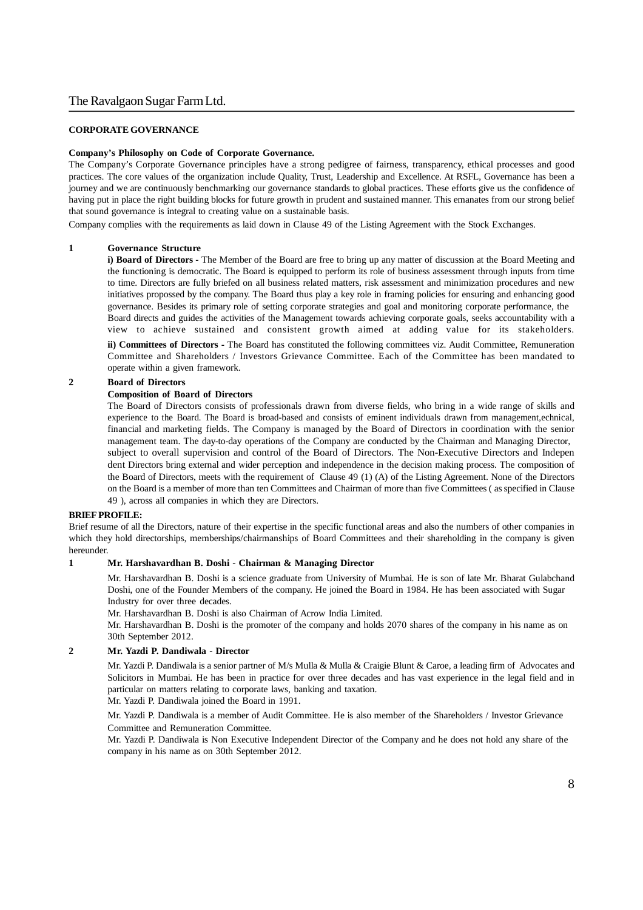#### **CORPORATE GOVERNANCE**

#### **Company's Philosophy on Code of Corporate Governance.**

The Company's Corporate Governance principles have a strong pedigree of fairness, transparency, ethical processes and good practices. The core values of the organization include Quality, Trust, Leadership and Excellence. At RSFL, Governance has been a journey and we are continuously benchmarking our governance standards to global practices. These efforts give us the confidence of having put in place the right building blocks for future growth in prudent and sustained manner. This emanates from our strong belief that sound governance is integral to creating value on a sustainable basis.

Company complies with the requirements as laid down in Clause 49 of the Listing Agreement with the Stock Exchanges.

#### **1 Governance Structure**

**i) Board of Directors -** The Member of the Board are free to bring up any matter of discussion at the Board Meeting and the functioning is democratic. The Board is equipped to perform its role of business assessment through inputs from time to time. Directors are fully briefed on all business related matters, risk assessment and minimization procedures and new initiatives propossed by the company. The Board thus play a key role in framing policies for ensuring and enhancing good governance. Besides its primary role of setting corporate strategies and goal and monitoring corporate performance, the Board directs and guides the activities of the Management towards achieving corporate goals, seeks accountability with a view to achieve sustained and consistent growth aimed at adding value for its stakeholders. **ii) Committees of Directors -** The Board has constituted the following committees viz. Audit Committee, Remuneration

Committee and Shareholders / Investors Grievance Committee. Each of the Committee has been mandated to operate within a given framework.

#### **2 Board of Directors**

#### **Composition of Board of Directors**

The Board of Directors consists of professionals drawn from diverse fields, who bring in a wide range of skills and experience to the Board. The Board is broad-based and consists of eminent individuals drawn from management,echnical, financial and marketing fields. The Company is managed by the Board of Directors in coordination with the senior management team. The day-to-day operations of the Company are conducted by the Chairman and Managing Director, subject to overall supervision and control of the Board of Directors. The Non-Executive Directors and Indepen dent Directors bring external and wider perception and independence in the decision making process. The composition of the Board of Directors, meets with the requirement of Clause 49 (1) (A) of the Listing Agreement. None of the Directors on the Board is a member of more than ten Committees and Chairman of more than five Committees ( as specified in Clause 49 ), across all companies in which they are Directors.

#### **BRIEF PROFILE:**

Brief resume of all the Directors, nature of their expertise in the specific functional areas and also the numbers of other companies in which they hold directorships, memberships/chairmanships of Board Committees and their shareholding in the company is given hereunder.

#### **1 Mr. Harshavardhan B. Doshi - Chairman & Managing Director**

Mr. Harshavardhan B. Doshi is a science graduate from University of Mumbai. He is son of late Mr. Bharat Gulabchand Doshi, one of the Founder Members of the company. He joined the Board in 1984. He has been associated with Sugar Industry for over three decades.

Mr. Harshavardhan B. Doshi is also Chairman of Acrow India Limited.

Mr. Harshavardhan B. Doshi is the promoter of the company and holds 2070 shares of the company in his name as on 30th September 2012.

#### **2 Mr. Yazdi P. Dandiwala - Director**

Mr. Yazdi P. Dandiwala is a senior partner of M/s Mulla & Mulla & Craigie Blunt & Caroe, a leading firm of Advocates and Solicitors in Mumbai. He has been in practice for over three decades and has vast experience in the legal field and in particular on matters relating to corporate laws, banking and taxation.

Mr. Yazdi P. Dandiwala joined the Board in 1991.

Mr. Yazdi P. Dandiwala is a member of Audit Committee. He is also member of the Shareholders / Investor Grievance Committee and Remuneration Committee.

Mr. Yazdi P. Dandiwala is Non Executive Independent Director of the Company and he does not hold any share of the company in his name as on 30th September 2012.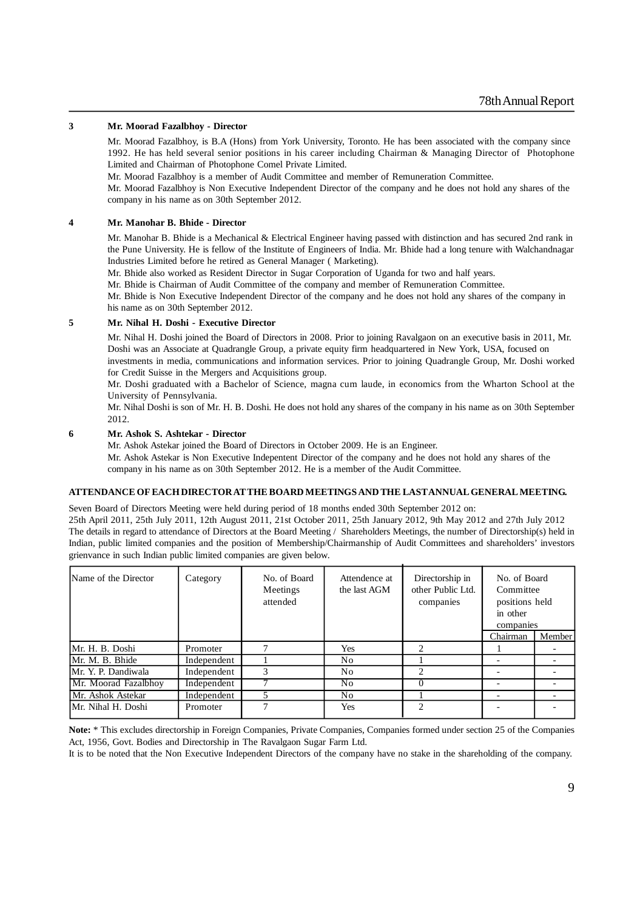#### **3 Mr. Moorad Fazalbhoy - Director**

Mr. Moorad Fazalbhoy, is B.A (Hons) from York University, Toronto. He has been associated with the company since 1992. He has held several senior positions in his career including Chairman & Managing Director of Photophone Limited and Chairman of Photophone Comel Private Limited.

Mr. Moorad Fazalbhoy is a member of Audit Committee and member of Remuneration Committee.

Mr. Moorad Fazalbhoy is Non Executive Independent Director of the company and he does not hold any shares of the company in his name as on 30th September 2012.

#### **4 Mr. Manohar B. Bhide - Director**

Mr. Manohar B. Bhide is a Mechanical & Electrical Engineer having passed with distinction and has secured 2nd rank in the Pune University. He is fellow of the Institute of Engineers of India. Mr. Bhide had a long tenure with Walchandnagar Industries Limited before he retired as General Manager ( Marketing).

Mr. Bhide also worked as Resident Director in Sugar Corporation of Uganda for two and half years.

Mr. Bhide is Chairman of Audit Committee of the company and member of Remuneration Committee.

Mr. Bhide is Non Executive Independent Director of the company and he does not hold any shares of the company in his name as on 30th September 2012.

#### **5 Mr. Nihal H. Doshi - Executive Director**

Mr. Nihal H. Doshi joined the Board of Directors in 2008. Prior to joining Ravalgaon on an executive basis in 2011, Mr. Doshi was an Associate at Quadrangle Group, a private equity firm headquartered in New York, USA, focused on investments in media, communications and information services. Prior to joining Quadrangle Group, Mr. Doshi worked for Credit Suisse in the Mergers and Acquisitions group.

Mr. Doshi graduated with a Bachelor of Science, magna cum laude, in economics from the Wharton School at the University of Pennsylvania.

Mr. Nihal Doshi is son of Mr. H. B. Doshi. He does not hold any shares of the company in his name as on 30th September 2012.

#### **6 Mr. Ashok S. Ashtekar - Director**

Mr. Ashok Astekar joined the Board of Directors in October 2009. He is an Engineer.

Mr. Ashok Astekar is Non Executive Indepentent Director of the company and he does not hold any shares of the company in his name as on 30th September 2012. He is a member of the Audit Committee.

#### **ATTENDANCE OF EACH DIRECTOR AT THE BOARD MEETINGS AND THE LAST ANNUAL GENERAL MEETING.**

Seven Board of Directors Meeting were held during period of 18 months ended 30th September 2012 on:

25th April 2011, 25th July 2011, 12th August 2011, 21st October 2011, 25th January 2012, 9th May 2012 and 27th July 2012 The details in regard to attendance of Directors at the Board Meeting / Shareholders Meetings, the number of Directorship(s) held in Indian, public limited companies and the position of Membership/Chairmanship of Audit Committees and shareholders' investors grienvance in such Indian public limited companies are given below.

| Name of the Director | Category    | No. of Board<br>Meetings<br>attended | Attendence at<br>the last AGM | Directorship in<br>other Public Ltd.<br>companies | No. of Board<br>Committee<br>positions held<br>in other<br>companies |        |
|----------------------|-------------|--------------------------------------|-------------------------------|---------------------------------------------------|----------------------------------------------------------------------|--------|
|                      |             |                                      |                               |                                                   | Chairman                                                             | Member |
| Mr. H. B. Doshi      | Promoter    |                                      | Yes                           | $\mathfrak{D}$                                    |                                                                      |        |
| Mr. M. B. Bhide      | Independent |                                      | No                            |                                                   |                                                                      |        |
| Mr. Y. P. Dandiwala  | Independent | 3                                    | No                            | $\mathfrak{D}$                                    |                                                                      |        |
| Mr. Moorad Fazalbhoy | Independent |                                      | No                            |                                                   |                                                                      |        |
| Mr. Ashok Astekar    | Independent |                                      | No                            |                                                   |                                                                      |        |
| IMr. Nihal H. Doshi  | Promoter    |                                      | Yes                           | $\mathcal{D}_{\mathcal{L}}$                       |                                                                      |        |

**Note:** \* This excludes directorship in Foreign Companies, Private Companies, Companies formed under section 25 of the Companies Act, 1956, Govt. Bodies and Directorship in The Ravalgaon Sugar Farm Ltd.

It is to be noted that the Non Executive Independent Directors of the company have no stake in the shareholding of the company.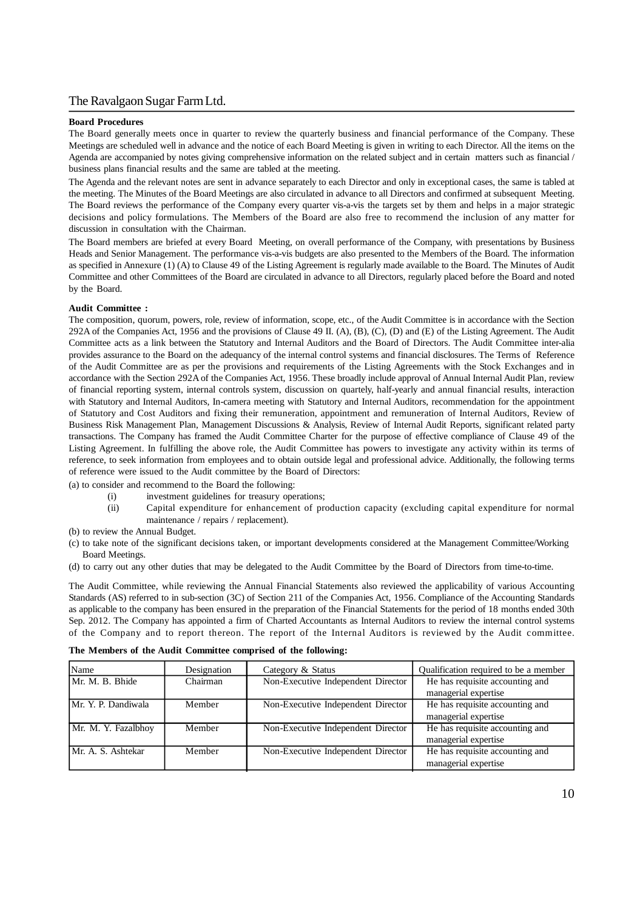#### **Board Procedures**

The Board generally meets once in quarter to review the quarterly business and financial performance of the Company. These Meetings are scheduled well in advance and the notice of each Board Meeting is given in writing to each Director. All the items on the Agenda are accompanied by notes giving comprehensive information on the related subject and in certain matters such as financial / business plans financial results and the same are tabled at the meeting.

The Agenda and the relevant notes are sent in advance separately to each Director and only in exceptional cases, the same is tabled at the meeting. The Minutes of the Board Meetings are also circulated in advance to all Directors and confirmed at subsequent Meeting. The Board reviews the performance of the Company every quarter vis-a-vis the targets set by them and helps in a major strategic decisions and policy formulations. The Members of the Board are also free to recommend the inclusion of any matter for discussion in consultation with the Chairman.

The Board members are briefed at every Board Meeting, on overall performance of the Company, with presentations by Business Heads and Senior Management. The performance vis-a-vis budgets are also presented to the Members of the Board. The information as specified in Annexure (1) (A) to Clause 49 of the Listing Agreement is regularly made available to the Board. The Minutes of Audit Committee and other Committees of the Board are circulated in advance to all Directors, regularly placed before the Board and noted by the Board.

#### **Audit Committee :**

The composition, quorum, powers, role, review of information, scope, etc., of the Audit Committee is in accordance with the Section 292A of the Companies Act, 1956 and the provisions of Clause 49 II. (A), (B), (C), (D) and (E) of the Listing Agreement. The Audit Committee acts as a link between the Statutory and Internal Auditors and the Board of Directors. The Audit Committee inter-alia provides assurance to the Board on the adequancy of the internal control systems and financial disclosures. The Terms of Reference of the Audit Committee are as per the provisions and requirements of the Listing Agreements with the Stock Exchanges and in accordance with the Section 292A of the Companies Act, 1956. These broadly include approval of Annual Internal Audit Plan, review of financial reporting system, internal controls system, discussion on quartely, half-yearly and annual financial results, interaction with Statutory and Internal Auditors, In-camera meeting with Statutory and Internal Auditors, recommendation for the appointment of Statutory and Cost Auditors and fixing their remuneration, appointment and remuneration of Internal Auditors, Review of Business Risk Management Plan, Management Discussions & Analysis, Review of Internal Audit Reports, significant related party transactions. The Company has framed the Audit Committee Charter for the purpose of effective compliance of Clause 49 of the Listing Agreement. In fulfilling the above role, the Audit Committee has powers to investigate any activity within its terms of reference, to seek information from employees and to obtain outside legal and professional advice. Additionally, the following terms of reference were issued to the Audit committee by the Board of Directors:

(a) to consider and recommend to the Board the following:

- (i) investment guidelines for treasury operations;
- (ii) Capital expenditure for enhancement of production capacity (excluding capital expenditure for normal maintenance / repairs / replacement).
- (b) to review the Annual Budget.
- (c) to take note of the significant decisions taken, or important developments considered at the Management Committee/Working Board Meetings.
- (d) to carry out any other duties that may be delegated to the Audit Committee by the Board of Directors from time-to-time.

The Audit Committee, while reviewing the Annual Financial Statements also reviewed the applicability of various Accounting Standards (AS) referred to in sub-section (3C) of Section 211 of the Companies Act, 1956. Compliance of the Accounting Standards as applicable to the company has been ensured in the preparation of the Financial Statements for the period of 18 months ended 30th Sep. 2012. The Company has appointed a firm of Charted Accountants as Internal Auditors to review the internal control systems of the Company and to report thereon. The report of the Internal Auditors is reviewed by the Audit committee.

|  |  |  |  | The Members of the Audit Committee comprised of the following: |  |  |  |  |
|--|--|--|--|----------------------------------------------------------------|--|--|--|--|
|--|--|--|--|----------------------------------------------------------------|--|--|--|--|

| Name                | Designation | Category & Status                  | Qualification required to be a member |
|---------------------|-------------|------------------------------------|---------------------------------------|
| Mr. M. B. Bhide     | Chairman    | Non-Executive Independent Director | He has requisite accounting and       |
|                     |             |                                    | managerial expertise                  |
| Mr. Y. P. Dandiwala | Member      | Non-Executive Independent Director | He has requisite accounting and       |
|                     |             |                                    | managerial expertise                  |
| Mr. M. Y. Fazalbhoy | Member      | Non-Executive Independent Director | He has requisite accounting and       |
|                     |             |                                    | managerial expertise                  |
| Mr. A. S. Ashtekar  | Member      | Non-Executive Independent Director | He has requisite accounting and       |
|                     |             |                                    | managerial expertise                  |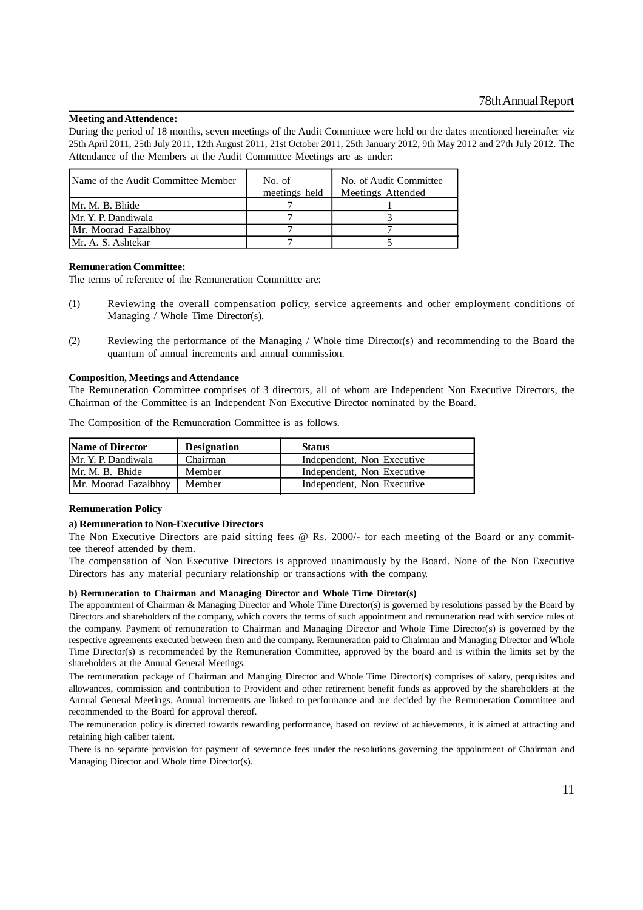#### **Meeting and Attendence:**

During the period of 18 months, seven meetings of the Audit Committee were held on the dates mentioned hereinafter viz 25th April 2011, 25th July 2011, 12th August 2011, 21st October 2011, 25th January 2012, 9th May 2012 and 27th July 2012. The Attendance of the Members at the Audit Committee Meetings are as under:

| IName of the Audit Committee Member | No. of<br>meetings held | No. of Audit Committee<br>Meetings Attended |
|-------------------------------------|-------------------------|---------------------------------------------|
| Mr. M. B. Bhide                     |                         |                                             |
| Mr. Y. P. Dandiwala                 |                         |                                             |
| Mr. Moorad Fazalbhov                |                         |                                             |
| IMr. A. S. Ashtekar                 |                         |                                             |

### **Remuneration Committee:**

The terms of reference of the Remuneration Committee are:

- (1) Reviewing the overall compensation policy, service agreements and other employment conditions of Managing / Whole Time Director(s).
- (2) Reviewing the performance of the Managing / Whole time Director(s) and recommending to the Board the quantum of annual increments and annual commission.

#### **Composition, Meetings and Attendance**

The Remuneration Committee comprises of 3 directors, all of whom are Independent Non Executive Directors, the Chairman of the Committee is an Independent Non Executive Director nominated by the Board.

The Composition of the Remuneration Committee is as follows.

| <b>Name of Director</b> | <b>Designation</b> | <b>Status</b>              |
|-------------------------|--------------------|----------------------------|
| Mr. Y. P. Dandiwala     | Chairman           | Independent. Non Executive |
| Mr. M. B. Bhide         | Member             | Independent. Non Executive |
| Mr. Moorad Fazalbhoy    | Member             | Independent, Non Executive |

#### **Remuneration Policy**

#### **a) Remuneration to Non-Executive Directors**

The Non Executive Directors are paid sitting fees @ Rs. 2000/- for each meeting of the Board or any committee thereof attended by them.

The compensation of Non Executive Directors is approved unanimously by the Board. None of the Non Executive Directors has any material pecuniary relationship or transactions with the company.

#### **b) Remuneration to Chairman and Managing Director and Whole Time Diretor(s)**

The appointment of Chairman & Managing Director and Whole Time Director(s) is governed by resolutions passed by the Board by Directors and shareholders of the company, which covers the terms of such appointment and remuneration read with service rules of the company. Payment of remuneration to Chairman and Managing Director and Whole Time Director(s) is governed by the respective agreements executed between them and the company. Remuneration paid to Chairman and Managing Director and Whole Time Director(s) is recommended by the Remuneration Committee, approved by the board and is within the limits set by the shareholders at the Annual General Meetings.

The remuneration package of Chairman and Manging Director and Whole Time Director(s) comprises of salary, perquisites and allowances, commission and contribution to Provident and other retirement benefit funds as approved by the shareholders at the Annual General Meetings. Annual increments are linked to performance and are decided by the Remuneration Committee and recommended to the Board for approval thereof.

The remuneration policy is directed towards rewarding performance, based on review of achievements, it is aimed at attracting and retaining high caliber talent.

There is no separate provision for payment of severance fees under the resolutions governing the appointment of Chairman and Managing Director and Whole time Director(s).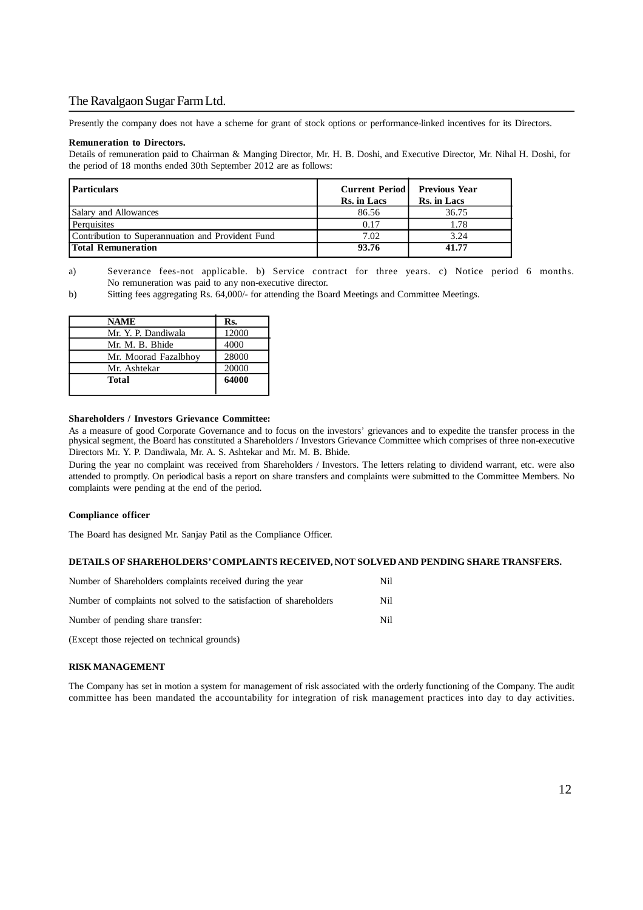Presently the company does not have a scheme for grant of stock options or performance-linked incentives for its Directors.

#### **Remuneration to Directors.**

Details of remuneration paid to Chairman & Manging Director, Mr. H. B. Doshi, and Executive Director, Mr. Nihal H. Doshi, for the period of 18 months ended 30th September 2012 are as follows:

| <b>Particulars</b>                                | <b>Current Period  </b><br><b>Rs.</b> in Lacs | <b>Previous Year</b><br>Rs. in Lacs |
|---------------------------------------------------|-----------------------------------------------|-------------------------------------|
| Salary and Allowances                             | 86.56                                         | 36.75                               |
| Perquisites                                       | 0.17                                          | 1.78                                |
| Contribution to Superannuation and Provident Fund | 7.02                                          | 3.24                                |
| Total Remuneration                                | 93.76                                         | 41.77                               |

a) Severance fees-not applicable. b) Service contract for three years. c) Notice period 6 months. No remuneration was paid to any non-executive director.

b) Sitting fees aggregating Rs. 64,000/- for attending the Board Meetings and Committee Meetings.

| <b>NAME</b>          | Rs.   |
|----------------------|-------|
| Mr. Y. P. Dandiwala  | 12000 |
| Mr. M. B. Bhide      | 4000  |
| Mr. Moorad Fazalbhoy | 28000 |
| Mr. Ashtekar         | 20000 |
| Total                | 64000 |
|                      |       |

#### **Shareholders / Investors Grievance Committee:**

As a measure of good Corporate Governance and to focus on the investors' grievances and to expedite the transfer process in the physical segment, the Board has constituted a Shareholders / Investors Grievance Committee which comprises of three non-executive Directors Mr. Y. P. Dandiwala, Mr. A. S. Ashtekar and Mr. M. B. Bhide.

During the year no complaint was received from Shareholders / Investors. The letters relating to dividend warrant, etc. were also attended to promptly. On periodical basis a report on share transfers and complaints were submitted to the Committee Members. No complaints were pending at the end of the period.

#### **Compliance officer**

The Board has designed Mr. Sanjay Patil as the Compliance Officer.

#### **DETAILS OF SHAREHOLDERS' COMPLAINTS RECEIVED, NOT SOLVED AND PENDING SHARE TRANSFERS.**

| Number of Shareholders complaints received during the year          | Nil |
|---------------------------------------------------------------------|-----|
| Number of complaints not solved to the satisfaction of shareholders | Nil |
| Number of pending share transfer:                                   | Nil |
| (Except those rejected on technical grounds)                        |     |

#### **RISK MANAGEMENT**

The Company has set in motion a system for management of risk associated with the orderly functioning of the Company. The audit committee has been mandated the accountability for integration of risk management practices into day to day activities.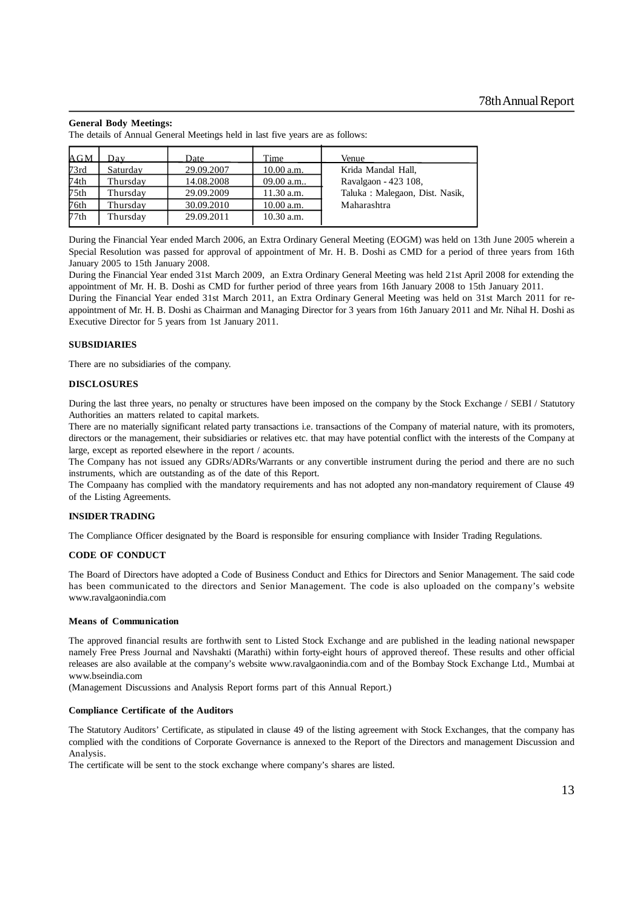#### **General Body Meetings:**

The details of Annual General Meetings held in last five years are as follows:

| AGM              | Dav      | Date       | Time         | Venue                           |
|------------------|----------|------------|--------------|---------------------------------|
| 73rd             | Saturday | 29.09.2007 | 10.00 a.m.   | Krida Mandal Hall,              |
| 74th             | Thursday | 14.08.2008 | 09.00 a.m.   | Ravalgaon - 423 108,            |
| 75 <sub>th</sub> | Thursday | 29.09.2009 | 11.30 a.m.   | Taluka : Malegaon, Dist. Nasik, |
| 76th             | Thursday | 30.09.2010 | 10.00 a.m.   | Maharashtra                     |
| 77th             | Thursday | 29.09.2011 | $10.30$ a.m. |                                 |

During the Financial Year ended March 2006, an Extra Ordinary General Meeting (EOGM) was held on 13th June 2005 wherein a Special Resolution was passed for approval of appointment of Mr. H. B. Doshi as CMD for a period of three years from 16th January 2005 to 15th January 2008.

During the Financial Year ended 31st March 2009, an Extra Ordinary General Meeting was held 21st April 2008 for extending the appointment of Mr. H. B. Doshi as CMD for further period of three years from 16th January 2008 to 15th January 2011.

During the Financial Year ended 31st March 2011, an Extra Ordinary General Meeting was held on 31st March 2011 for reappointment of Mr. H. B. Doshi as Chairman and Managing Director for 3 years from 16th January 2011 and Mr. Nihal H. Doshi as Executive Director for 5 years from 1st January 2011.

#### **SUBSIDIARIES**

There are no subsidiaries of the company.

#### **DISCLOSURES**

During the last three years, no penalty or structures have been imposed on the company by the Stock Exchange / SEBI / Statutory Authorities an matters related to capital markets.

There are no materially significant related party transactions i.e. transactions of the Company of material nature, with its promoters, directors or the management, their subsidiaries or relatives etc. that may have potential conflict with the interests of the Company at large, except as reported elsewhere in the report / acounts.

The Company has not issued any GDRs/ADRs/Warrants or any convertible instrument during the period and there are no such instruments, which are outstanding as of the date of this Report.

The Compaany has complied with the mandatory requirements and has not adopted any non-mandatory requirement of Clause 49 of the Listing Agreements.

#### **INSIDER TRADING**

The Compliance Officer designated by the Board is responsible for ensuring compliance with Insider Trading Regulations.

#### **CODE OF CONDUCT**

The Board of Directors have adopted a Code of Business Conduct and Ethics for Directors and Senior Management. The said code has been communicated to the directors and Senior Management. The code is also uploaded on the company's website www.ravalgaonindia.com

#### **Means of Communication**

The approved financial results are forthwith sent to Listed Stock Exchange and are published in the leading national newspaper namely Free Press Journal and Navshakti (Marathi) within forty-eight hours of approved thereof. These results and other official releases are also available at the company's website www.ravalgaonindia.com and of the Bombay Stock Exchange Ltd., Mumbai at www.bseindia.com

(Management Discussions and Analysis Report forms part of this Annual Report.)

#### **Compliance Certificate of the Auditors**

The Statutory Auditors' Certificate, as stipulated in clause 49 of the listing agreement with Stock Exchanges, that the company has complied with the conditions of Corporate Governance is annexed to the Report of the Directors and management Discussion and Analysis.

The certificate will be sent to the stock exchange where company's shares are listed.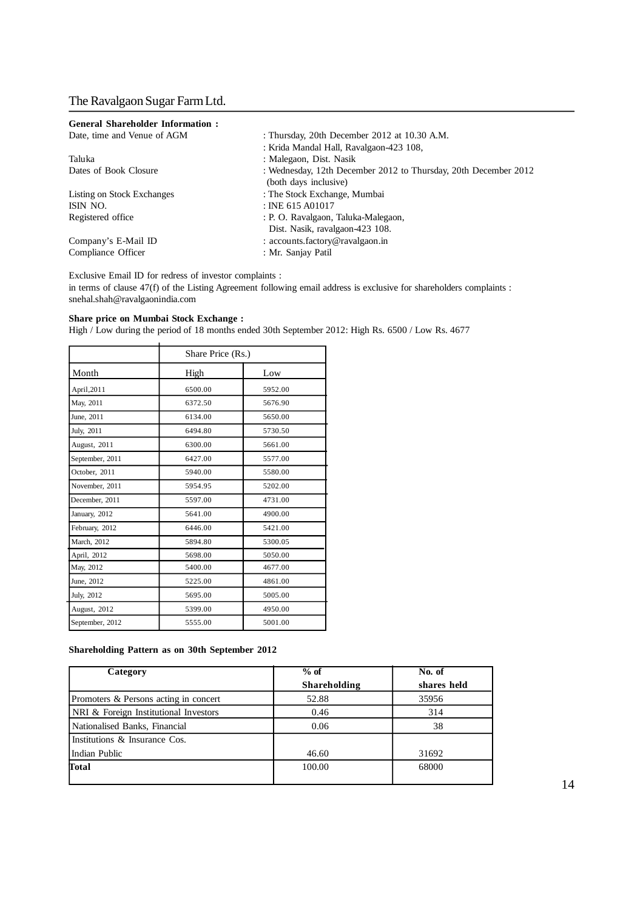| <b>General Shareholder Information:</b> |                                                                 |
|-----------------------------------------|-----------------------------------------------------------------|
| Date, time and Venue of AGM             | : Thursday, 20th December 2012 at 10.30 A.M.                    |
|                                         | : Krida Mandal Hall, Ravalgaon-423 108,                         |
| Taluka                                  | : Malegaon, Dist. Nasik                                         |
| Dates of Book Closure                   | : Wednesday, 12th December 2012 to Thursday, 20th December 2012 |
|                                         | (both days inclusive)                                           |
| Listing on Stock Exchanges              | : The Stock Exchange, Mumbai                                    |
| ISIN NO.                                | $:$ INE 615 A01017                                              |
| Registered office                       | : P. O. Ravalgaon, Taluka-Malegaon,                             |
|                                         | Dist. Nasik, ravalgaon-423 108.                                 |
| Company's E-Mail ID                     | : $accounts.factory@ravalgaon.in$                               |
| Compliance Officer                      | : Mr. Sanjay Patil                                              |
|                                         |                                                                 |

Exclusive Email ID for redress of investor complaints :

in terms of clause 47(f) of the Listing Agreement following email address is exclusive for shareholders complaints : snehal.shah@ravalgaonindia.com

#### **Share price on Mumbai Stock Exchange :**

High / Low during the period of 18 months ended 30th September 2012: High Rs. 6500 / Low Rs. 4677

|                 | Share Price (Rs.) |         |
|-----------------|-------------------|---------|
| Month           | High              | Low     |
| April, 2011     | 6500.00           | 5952.00 |
| May, 2011       | 6372.50           | 5676.90 |
| June, 2011      | 6134.00           | 5650.00 |
| July, 2011      | 6494.80           | 5730.50 |
| August, 2011    | 6300.00           | 5661.00 |
| September, 2011 | 6427.00           | 5577.00 |
| October, 2011   | 5940.00           | 5580.00 |
| November, 2011  | 5954.95           | 5202.00 |
| December, 2011  | 5597.00           | 4731.00 |
| January, 2012   | 5641.00           | 4900.00 |
| February, 2012  | 6446.00           | 5421.00 |
| March, 2012     | 5894.80           | 5300.05 |
| April, 2012     | 5698.00           | 5050.00 |
| May, 2012       | 5400.00           | 4677.00 |
| June, 2012      | 5225.00           | 4861.00 |
| July, 2012      | 5695.00           | 5005.00 |
| August, 2012    | 5399.00           | 4950.00 |
| September, 2012 | 5555.00           | 5001.00 |

### **Shareholding Pattern as on 30th September 2012**

| Category                              | $%$ of       | No. of      |
|---------------------------------------|--------------|-------------|
|                                       | Shareholding | shares held |
| Promoters & Persons acting in concert | 52.88        | 35956       |
| NRI & Foreign Institutional Investors | 0.46         | 314         |
| Nationalised Banks, Financial         | 0.06         | 38          |
| Institutions & Insurance Cos.         |              |             |
| Indian Public                         | 46.60        | 31692       |
| Total                                 | 100.00       | 68000       |
|                                       |              |             |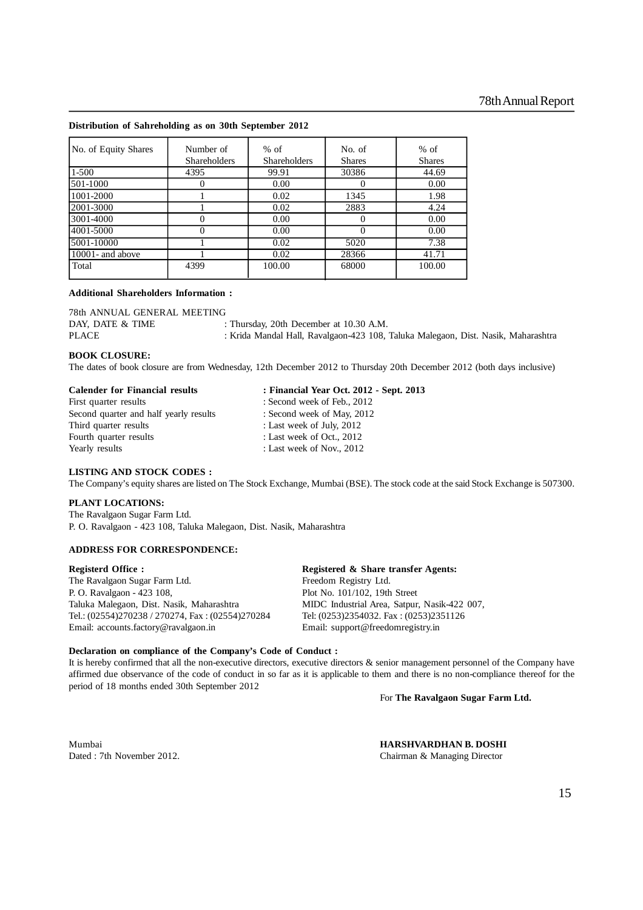#### **Distribution of Sahreholding as on 30th September 2012**

| No. of Equity Shares | Number of           | $%$ of              | No. of        | $%$ of        |
|----------------------|---------------------|---------------------|---------------|---------------|
|                      | <b>Shareholders</b> | <b>Shareholders</b> | <b>Shares</b> | <b>Shares</b> |
| $1 - 500$            | 4395                | 99.91               | 30386         | 44.69         |
| 501-1000             |                     | 0.00                |               | 0.00          |
| 1001-2000            |                     | 0.02                | 1345          | 1.98          |
| 2001-3000            |                     | 0.02                | 2883          | 4.24          |
| 3001-4000            |                     | 0.00                | 0             | 0.00          |
| 4001-5000            |                     | 0.00                |               | 0.00          |
| 5001-10000           |                     | 0.02                | 5020          | 7.38          |
| $10001$ - and above  |                     | 0.02                | 28366         | 41.71         |
| Total                | 4399                | 100.00              | 68000         | 100.00        |

#### **Additional Shareholders Information :**

| 78th ANNUAL GENERAL MEETING |                                                                                   |
|-----------------------------|-----------------------------------------------------------------------------------|
| DAY, DATE & TIME            | : Thursday, 20th December at 10.30 A.M.                                           |
| <b>PLACE</b>                | : Krida Mandal Hall, Ravalgaon-423 108, Taluka Malegaon, Dist. Nasik, Maharashtra |

#### **BOOK CLOSURE:**

The dates of book closure are from Wednesday, 12th December 2012 to Thursday 20th December 2012 (both days inclusive)

| <b>Calender for Financial results</b>  | : Financial Year Oct. 2012 - Sept. 2013 |
|----------------------------------------|-----------------------------------------|
| First quarter results                  | : Second week of Feb., 2012             |
| Second quarter and half yearly results | : Second week of May, 2012              |
| Third quarter results                  | : Last week of July, 2012               |
| Fourth quarter results                 | : Last week of Oct., $2012$             |
| Yearly results                         | : Last week of Nov., $2012$             |

#### **LISTING AND STOCK CODES :**

The Company's equity shares are listed on The Stock Exchange, Mumbai (BSE). The stock code at the said Stock Exchange is 507300.

#### **PLANT LOCATIONS:**

The Ravalgaon Sugar Farm Ltd. P. O. Ravalgaon - 423 108, Taluka Malegaon, Dist. Nasik, Maharashtra

### **ADDRESS FOR CORRESPONDENCE:**

The Ravalgaon Sugar Farm Ltd. Freedom Registry Ltd. P. O. Ravalgaon - 423 108, Plot No. 101/102, 19th Street Taluka Malegaon, Dist. Nasik, Maharashtra MIDC Industrial Area, Satpur, Nasik-422 007, Tel.: (02554)270238 / 270274, Fax : (02554)270284 Tel: (0253)2354032. Fax : (0253)2351126 Email: accounts.factory@ravalgaon.in Email: support@freedomregistry.in

**Registerd Office : Registered & Share transfer Agents:**

#### **Declaration on compliance of the Company's Code of Conduct :**

It is hereby confirmed that all the non-executive directors, executive directors & senior management personnel of the Company have affirmed due observance of the code of conduct in so far as it is applicable to them and there is no non-compliance thereof for the period of 18 months ended 30th September 2012

For **The Ravalgaon Sugar Farm Ltd.**

Mumbai **HARSHVARDHAN B. DOSHI**<br>
Dated : 7th November 2012. Chairman & Managing Director Chairman & Managing Director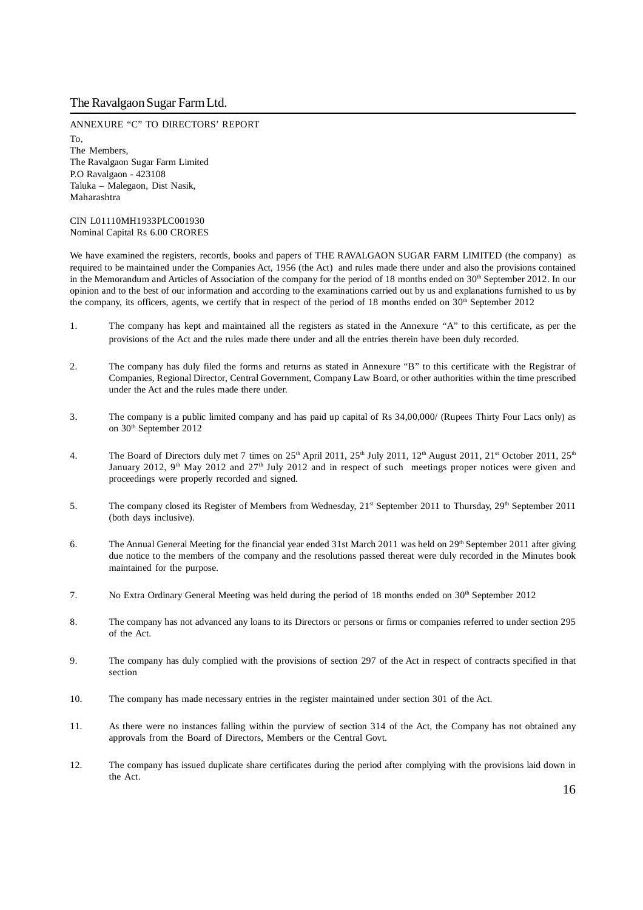ANNEXURE "C" TO DIRECTORS' REPORT To, The Members, The Ravalgaon Sugar Farm Limited P.O Ravalgaon - 423108 Taluka – Malegaon, Dist Nasik, Maharashtra

CIN L01110MH1933PLC001930 Nominal Capital Rs 6.00 CRORES

We have examined the registers, records, books and papers of THE RAVALGAON SUGAR FARM LIMITED (the company) as required to be maintained under the Companies Act, 1956 (the Act) and rules made there under and also the provisions contained in the Memorandum and Articles of Association of the company for the period of 18 months ended on 30<sup>th</sup> September 2012. In our opinion and to the best of our information and according to the examinations carried out by us and explanations furnished to us by the company, its officers, agents, we certify that in respect of the period of 18 months ended on  $30<sup>th</sup>$  September 2012

- 1. The company has kept and maintained all the registers as stated in the Annexure "A" to this certificate, as per the provisions of the Act and the rules made there under and all the entries therein have been duly recorded.
- 2. The company has duly filed the forms and returns as stated in Annexure "B" to this certificate with the Registrar of Companies, Regional Director, Central Government, Company Law Board, or other authorities within the time prescribed under the Act and the rules made there under.
- 3. The company is a public limited company and has paid up capital of Rs 34,00,000/ (Rupees Thirty Four Lacs only) as on 30<sup>th</sup> September 2012
- 4. The Board of Directors duly met 7 times on 25<sup>th</sup> April 2011, 25<sup>th</sup> July 2011, 12<sup>th</sup> August 2011, 21<sup>st</sup> October 2011, 25<sup>th</sup> January 2012, 9<sup>th</sup> May 2012 and  $27<sup>th</sup>$  July 2012 and in respect of such meetings proper notices were given and proceedings were properly recorded and signed.
- 5. The company closed its Register of Members from Wednesday,  $21^{st}$  September 2011 to Thursday,  $29^{th}$  September 2011 (both days inclusive).
- 6. The Annual General Meeting for the financial year ended 31st March 2011 was held on 29<sup>th</sup> September 2011 after giving due notice to the members of the company and the resolutions passed thereat were duly recorded in the Minutes book maintained for the purpose.
- 7. No Extra Ordinary General Meeting was held during the period of 18 months ended on  $30<sup>th</sup>$  September 2012
- 8. The company has not advanced any loans to its Directors or persons or firms or companies referred to under section 295 of the Act.
- 9. The company has duly complied with the provisions of section 297 of the Act in respect of contracts specified in that section
- 10. The company has made necessary entries in the register maintained under section 301 of the Act.
- 11. As there were no instances falling within the purview of section 314 of the Act, the Company has not obtained any approvals from the Board of Directors, Members or the Central Govt.
- 12. The company has issued duplicate share certificates during the period after complying with the provisions laid down in the Act.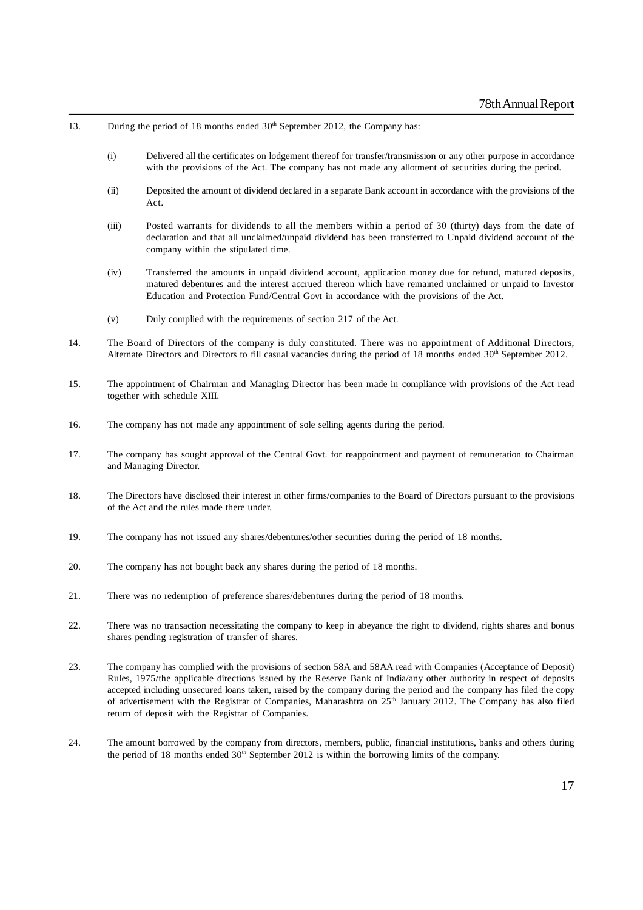- 13. During the period of 18 months ended  $30<sup>th</sup>$  September 2012, the Company has:
	- (i) Delivered all the certificates on lodgement thereof for transfer/transmission or any other purpose in accordance with the provisions of the Act. The company has not made any allotment of securities during the period.
	- (ii) Deposited the amount of dividend declared in a separate Bank account in accordance with the provisions of the Act.
	- (iii) Posted warrants for dividends to all the members within a period of 30 (thirty) days from the date of declaration and that all unclaimed/unpaid dividend has been transferred to Unpaid dividend account of the company within the stipulated time.
	- (iv) Transferred the amounts in unpaid dividend account, application money due for refund, matured deposits, matured debentures and the interest accrued thereon which have remained unclaimed or unpaid to Investor Education and Protection Fund/Central Govt in accordance with the provisions of the Act.
	- (v) Duly complied with the requirements of section 217 of the Act.
- 14. The Board of Directors of the company is duly constituted. There was no appointment of Additional Directors, Alternate Directors and Directors to fill casual vacancies during the period of 18 months ended 30<sup>th</sup> September 2012.
- 15. The appointment of Chairman and Managing Director has been made in compliance with provisions of the Act read together with schedule XIII.
- 16. The company has not made any appointment of sole selling agents during the period.
- 17. The company has sought approval of the Central Govt. for reappointment and payment of remuneration to Chairman and Managing Director.
- 18. The Directors have disclosed their interest in other firms/companies to the Board of Directors pursuant to the provisions of the Act and the rules made there under.
- 19. The company has not issued any shares/debentures/other securities during the period of 18 months.
- 20. The company has not bought back any shares during the period of 18 months.
- 21. There was no redemption of preference shares/debentures during the period of 18 months.
- 22. There was no transaction necessitating the company to keep in abeyance the right to dividend, rights shares and bonus shares pending registration of transfer of shares.
- 23. The company has complied with the provisions of section 58A and 58AA read with Companies (Acceptance of Deposit) Rules, 1975/the applicable directions issued by the Reserve Bank of India/any other authority in respect of deposits accepted including unsecured loans taken, raised by the company during the period and the company has filed the copy of advertisement with the Registrar of Companies, Maharashtra on 25<sup>th</sup> January 2012. The Company has also filed return of deposit with the Registrar of Companies.
- 24. The amount borrowed by the company from directors, members, public, financial institutions, banks and others during the period of 18 months ended  $30<sup>th</sup>$  September 2012 is within the borrowing limits of the company.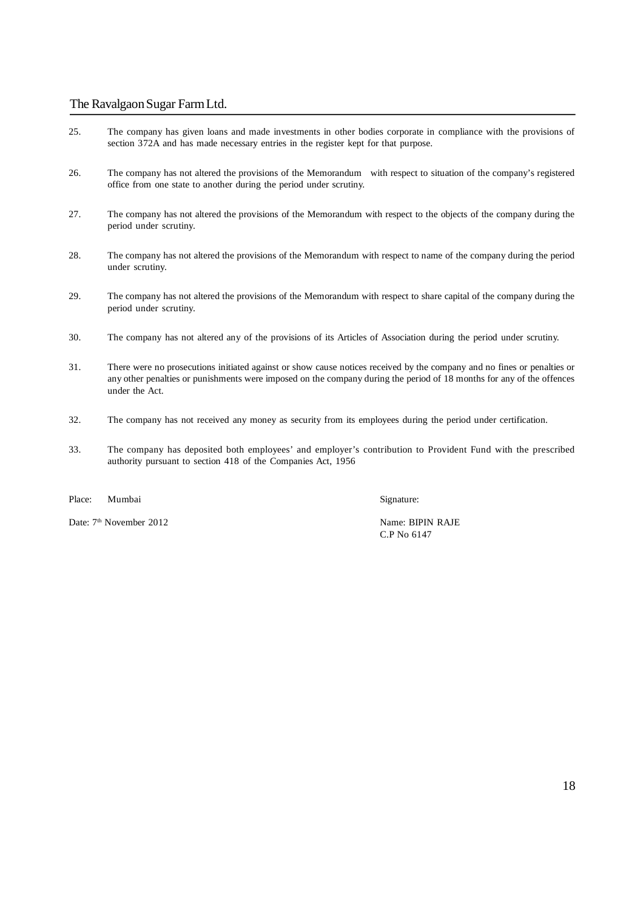- 25. The company has given loans and made investments in other bodies corporate in compliance with the provisions of section 372A and has made necessary entries in the register kept for that purpose.
- 26. The company has not altered the provisions of the Memorandum with respect to situation of the company's registered office from one state to another during the period under scrutiny.
- 27. The company has not altered the provisions of the Memorandum with respect to the objects of the company during the period under scrutiny.
- 28. The company has not altered the provisions of the Memorandum with respect to name of the company during the period under scrutiny.
- 29. The company has not altered the provisions of the Memorandum with respect to share capital of the company during the period under scrutiny.
- 30. The company has not altered any of the provisions of its Articles of Association during the period under scrutiny.
- 31. There were no prosecutions initiated against or show cause notices received by the company and no fines or penalties or any other penalties or punishments were imposed on the company during the period of 18 months for any of the offences under the Act.
- 32. The company has not received any money as security from its employees during the period under certification.
- 33. The company has deposited both employees' and employer's contribution to Provident Fund with the prescribed authority pursuant to section 418 of the Companies Act, 1956

Place: Mumbai Signature:

Date: 7<sup>th</sup> November 2012 Name: BIPIN RAJE

C.P No 6147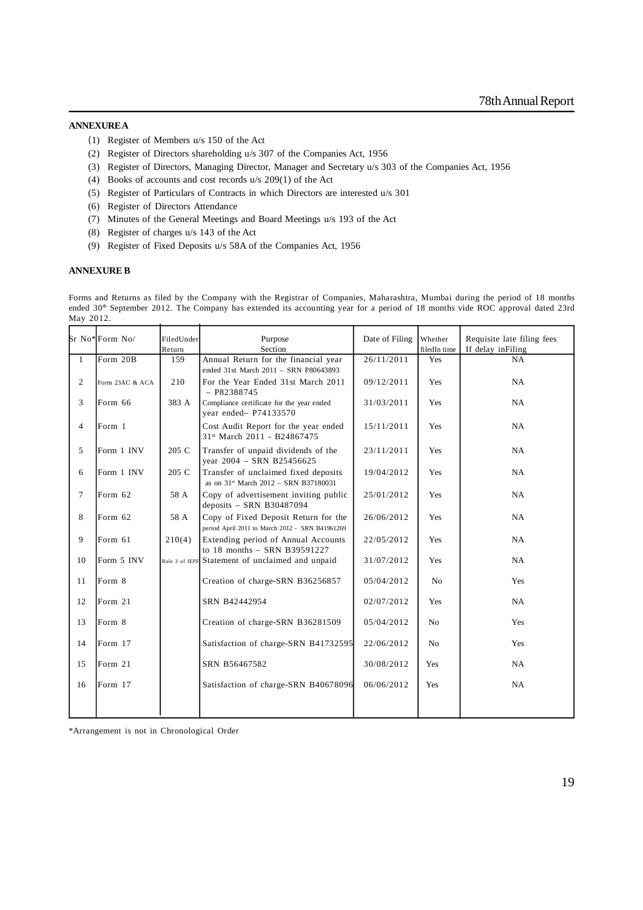### **ANNEXURE A**

- (1) Register of Members u/s 150 of the Act
- (2) Register of Directors shareholding u/s 307 of the Companies Act, 1956
- (3) Register of Directors, Managing Director, Manager and Secretary u/s 303 of the Companies Act, 1956
- (4) Books of accounts and cost records u/s 209(1) of the Act
- (5) Register of Particulars of Contracts in which Directors are interested u/s 301
- (6) Register of Directors Attendance
- (7) Minutes of the General Meetings and Board Meetings u/s 193 of the Act
- (8) Register of charges u/s 143 of the Act
- (9) Register of Fixed Deposits u/s 58A of the Companies Act, 1956

#### **ANNEXURE B**

Forms and Returns as filed by the Company with the Registrar of Companies, Maharashtra, Mumbai during the period of 18 months ended 30<sup>th</sup> September 2012. The Company has extended its accounting year for a period of 18 months vide ROC approval dated 23rd May 2012.

|                | Sr No*Form No/  | FiledUnder | Purpose                                                                                   | Date of Filing | Whether        | Requisite late filing fees |
|----------------|-----------------|------------|-------------------------------------------------------------------------------------------|----------------|----------------|----------------------------|
|                |                 | Return     | Section                                                                                   |                | filedIn time   | If delay in Filing         |
| $\mathbf{1}$   | Form 20B        | 159        | Annual Return for the financial year<br>ended 31st March 2011 - SRN P80643893             | 26/11/2011     | Yes            | NA                         |
| 2              | Form 23AC & ACA | 210        | For the Year Ended 31st March 2011<br>$- P82388745$                                       | 09/12/2011     | Yes            | NA                         |
| 3              | Form 66         | 383 A      | Compliance certificate for the year ended<br>year ended- P74133570                        | 31/03/2011     | Yes            | <b>NA</b>                  |
| $\overline{4}$ | Form 1          |            | Cost Audit Report for the year ended<br>31st March 2011 - B24867475                       | 15/11/2011     | Yes            | <b>NA</b>                  |
| 5              | Form 1 INV      | 205 C      | Transfer of unpaid dividends of the<br>year 2004 - SRN B25456625                          | 23/11/2011     | Yes            | NA                         |
| 6              | Form 1 INV      | 205 C      | Transfer of unclaimed fixed deposits<br>as on 31 <sup>st</sup> March 2012 - SRN B37180031 | 19/04/2012     | Yes            | NA                         |
| $\tau$         | Form 62         | 58 A       | Copy of advertisement inviting public<br>deposits - SRN B30487094                         | 25/01/2012     | Yes            | NA                         |
| 8              | Form 62         | 58 A       | Copy of Fixed Deposit Return for the<br>period April 2011 to March 2012 - SRN B41961269   | 26/06/2012     | Yes            | <b>NA</b>                  |
| 9              | Form 61         | 210(4)     | Extending period of Annual Accounts<br>to 18 months - SRN B39591227                       | 22/05/2012     | Yes            | <b>NA</b>                  |
| 10             | Form 5 INV      |            | Rule 3 of IEPF Statement of unclaimed and unpaid                                          | 31/07/2012     | Yes            | NA                         |
| 11             | Form 8          |            | Creation of charge-SRN B36256857                                                          | 05/04/2012     | N <sub>0</sub> | Yes                        |
| 12             | Form 21         |            | SRN B42442954                                                                             | 02/07/2012     | Yes            | NA                         |
| 13             | Form 8          |            | Creation of charge-SRN B36281509                                                          | 05/04/2012     | No             | Yes                        |
| 14             | Form 17         |            | Satisfaction of charge-SRN B41732595                                                      | 22/06/2012     | No             | Yes                        |
| 15             | Form 21         |            | SRN B56467582                                                                             | 30/08/2012     | Yes            | <b>NA</b>                  |
| 16             | Form 17         |            | Satisfaction of charge-SRN B40678096                                                      | 06/06/2012     | Yes            | <b>NA</b>                  |
|                |                 |            |                                                                                           |                |                |                            |

\*Arrangement is not in Chronological Order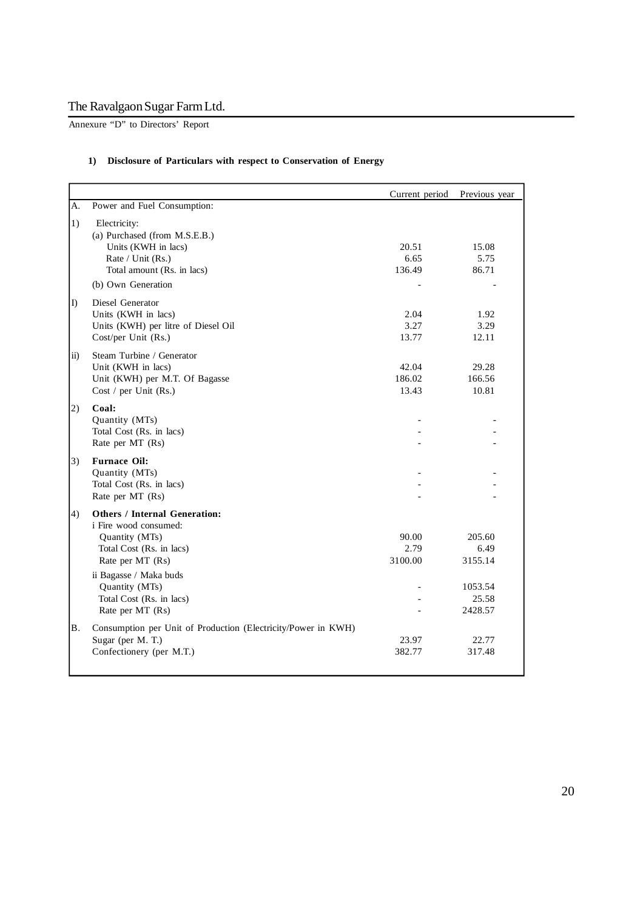Annexure "D" to Directors' Report

### **1) Disclosure of Particulars with respect to Conservation of Energy**

|                 |                                                                                                                                                                                                                             | Current period           | Previous year                                            |
|-----------------|-----------------------------------------------------------------------------------------------------------------------------------------------------------------------------------------------------------------------------|--------------------------|----------------------------------------------------------|
| A.              | Power and Fuel Consumption:                                                                                                                                                                                                 |                          |                                                          |
| 1)              | Electricity:<br>(a) Purchased (from M.S.E.B.)<br>Units (KWH in lacs)<br>Rate / Unit (Rs.)<br>Total amount (Rs. in lacs)<br>(b) Own Generation                                                                               | 20.51<br>6.65<br>136.49  | 15.08<br>5.75<br>86.71                                   |
| $\vert$ D       | Diesel Generator<br>Units (KWH in lacs)<br>Units (KWH) per litre of Diesel Oil<br>Cost/per Unit (Rs.)                                                                                                                       | 2.04<br>3.27<br>13.77    | 1.92<br>3.29<br>12.11                                    |
| $\overline{11}$ | Steam Turbine / Generator<br>Unit (KWH in lacs)<br>Unit (KWH) per M.T. Of Bagasse<br>Cost / per Unit (Rs.)                                                                                                                  | 42.04<br>186.02<br>13.43 | 29.28<br>166.56<br>10.81                                 |
| 2)              | Coal:<br>Quantity (MTs)<br>Total Cost (Rs. in lacs)<br>Rate per MT (Rs)                                                                                                                                                     |                          |                                                          |
| 3)              | <b>Furnace Oil:</b><br>Quantity (MTs)<br>Total Cost (Rs. in lacs)<br>Rate per MT (Rs)                                                                                                                                       |                          |                                                          |
| 4)              | <b>Others / Internal Generation:</b><br>i Fire wood consumed:<br>Quantity (MTs)<br>Total Cost (Rs. in lacs)<br>Rate per MT (Rs)<br>ii Bagasse / Maka buds<br>Quantity (MTs)<br>Total Cost (Rs. in lacs)<br>Rate per MT (Rs) | 90.00<br>2.79<br>3100.00 | 205.60<br>6.49<br>3155.14<br>1053.54<br>25.58<br>2428.57 |
| Β.              | Consumption per Unit of Production (Electricity/Power in KWH)<br>Sugar (per M. T.)<br>Confectionery (per M.T.)                                                                                                              | 23.97<br>382.77          | 22.77<br>317.48                                          |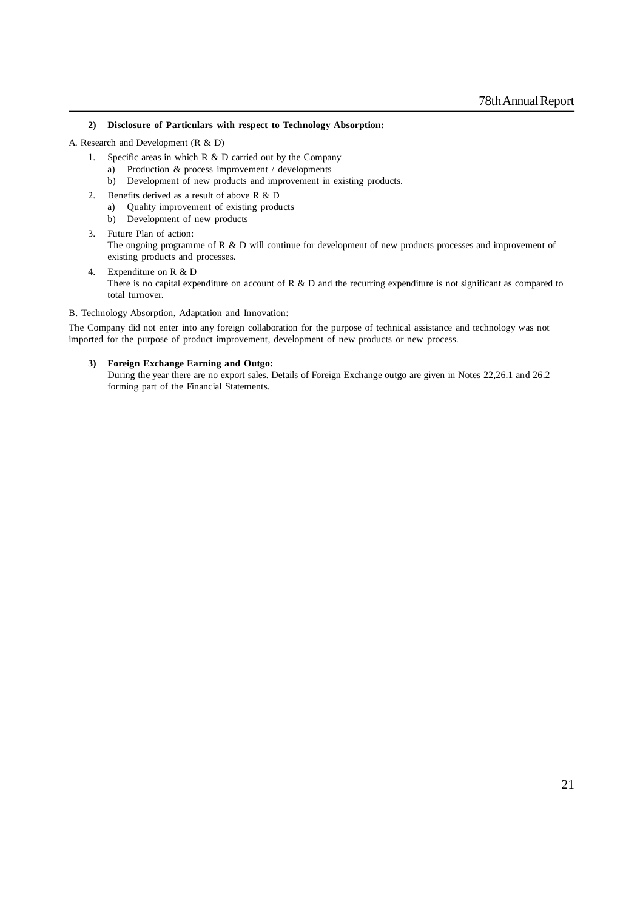### **2) Disclosure of Particulars with respect to Technology Absorption:**

A. Research and Development (R & D)

- 1. Specific areas in which R & D carried out by the Company
	- a) Production & process improvement / developments
		- b) Development of new products and improvement in existing products.
- 2. Benefits derived as a result of above R & D
	- a) Quality improvement of existing products
	- b) Development of new products
- 3. Future Plan of action: The ongoing programme of R & D will continue for development of new products processes and improvement of existing products and processes.
- 4. Expenditure on R & D There is no capital expenditure on account of R  $\&$  D and the recurring expenditure is not significant as compared to total turnover.
- B. Technology Absorption, Adaptation and Innovation:

The Company did not enter into any foreign collaboration for the purpose of technical assistance and technology was not imported for the purpose of product improvement, development of new products or new process.

#### **3) Foreign Exchange Earning and Outgo:**

During the year there are no export sales. Details of Foreign Exchange outgo are given in Notes 22,26.1 and 26.2 forming part of the Financial Statements.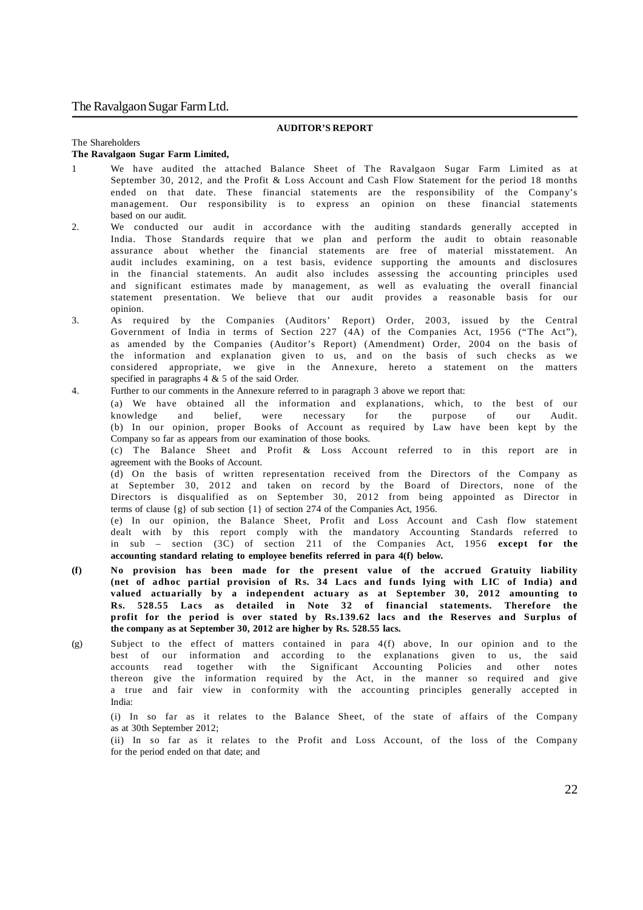### **AUDITOR'S REPORT**

#### The Shareholders

#### **The Ravalgaon Sugar Farm Limited,**

- 1 We have audited the attached Balance Sheet of The Ravalgaon Sugar Farm Limited as at September 30, 2012, and the Profit & Loss Account and Cash Flow Statement for the period 18 months ended on that date. These financial statements are the responsibility of the Company's management. Our responsibility is to express an opinion on these financial statements based on our audit.
- 2. We conducted our audit in accordance with the auditing standards generally accepted in India. Those Standards require that we plan and perform the audit to obtain reasonable assurance about whether the financial statements are free of material misstatement. An audit includes examining, on a test basis, evidence supporting the amounts and disclosures in the financial statements. An audit also includes assessing the accounting principles used and significant estimates made by management, as well as evaluating the overall financial statement presentation. We believe that our audit provides a reasonable basis for our opinion.
- 3. As required by the Companies (Auditors' Report) Order, 2003, issued by the Central Government of India in terms of Section 227 (4A) of the Companies Act, 1956 ("The Act"), as amended by the Companies (Auditor's Report) (Amendment) Order, 2004 on the basis of the information and explanation given to us, and on the basis of such checks as we considered appropriate, we give in the Annexure, hereto a statement on the matters specified in paragraphs 4 & 5 of the said Order.
- 4. Further to our comments in the Annexure referred to in paragraph 3 above we report that:

(a) We have obtained all the information and explanations, which, to the best of our knowledge and belief, were necessary for the purpose of our Audit. (b) In our opinion, proper Books of Account as required by Law have been kept by the Company so far as appears from our examination of those books.

(c) The Balance Sheet and Profit & Loss Account referred to in this report are in agreement with the Books of Account.

(d) On the basis of written representation received from the Directors of the Company as at September 30, 2012 and taken on record by the Board of Directors, none of the Directors is disqualified as on September 30, 2012 from being appointed as Director in terms of clause  $\{g\}$  of sub section  $\{1\}$  of section 274 of the Companies Act, 1956.

(e) In our opinion, the Balance Sheet, Profit and Loss Account and Cash flow statement dealt with by this report comply with the mandatory Accounting Standards referred to in sub – section (3C) of section 211 of the Companies Act, 1956 **except for the accounting standard relating to employee benefits referred in para 4(f) below.**

- **(f) No provision has been made for the present value of the accrued Gratuity liability (net of adhoc partial provision of Rs. 34 Lacs and funds lying with LIC of India) and valued actuarially by a independent actuary as at September 30, 2012 amounting to Rs. 528.55 Lacs as detailed in Note 32 of financial statements. Therefore the profit for the period is over stated by Rs.139.62 lacs and the Reserves and Surplus of the company as at September 30, 2012 are higher by Rs. 528.55 lacs.**
- (g) Subject to the effect of matters contained in para 4(f) above, In our opinion and to the best of our information and according to the explanations given to us, the said accounts read together with the Significant Accounting Policies and other notes thereon give the information required by the Act, in the manner so required and give a true and fair view in conformity with the accounting principles generally accepted in India:

(i) In so far as it relates to the Balance Sheet, of the state of affairs of the Company as at 30th September 2012;

(ii) In so far as it relates to the Profit and Loss Account, of the loss of the Company for the period ended on that date; and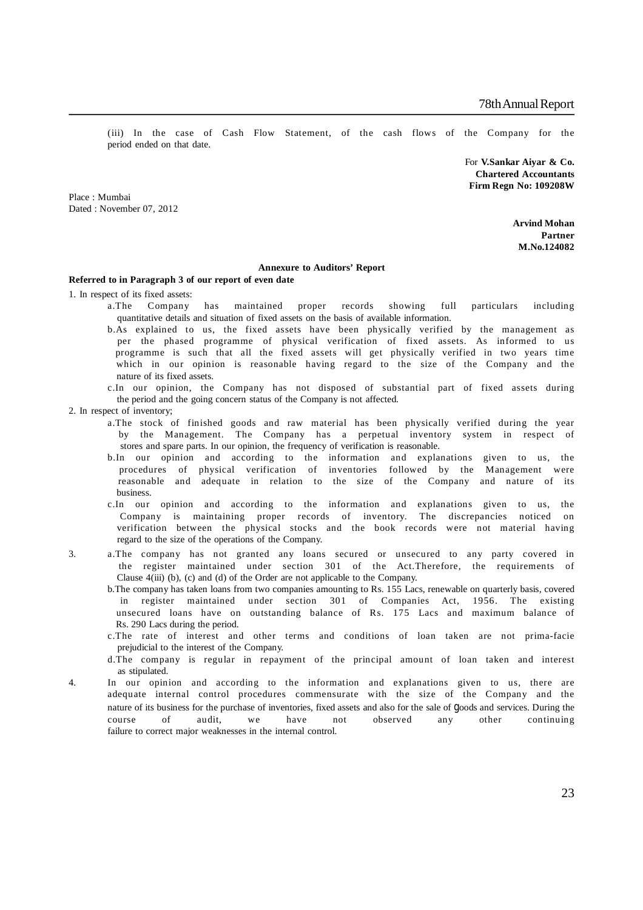(iii) In the case of Cash Flow Statement, of the cash flows of the Company for the period ended on that date.

> For **V.Sankar Aiyar & Co. Chartered Accountants Firm Regn No: 109208W**

Place : Mumbai Dated : November 07, 2012

> **Arvind Mohan Partner M.No.124082**

#### **Annexure to Auditors' Report**

### **Referred to in Paragraph 3 of our report of even date**

1. In respect of its fixed assets:

- a.The Company has maintained proper records showing full particulars including quantitative details and situation of fixed assets on the basis of available information.
- b.As explained to us, the fixed assets have been physically verified by the management as per the phased programme of physical verification of fixed assets. As informed to us programme is such that all the fixed assets will get physically verified in two years time which in our opinion is reasonable having regard to the size of the Company and the nature of its fixed assets.
- c.In our opinion, the Company has not disposed of substantial part of fixed assets during the period and the going concern status of the Company is not affected.
- 2. In respect of inventory;
	- a.The stock of finished goods and raw material has been physically verified during the year by the Management. The Company has a perpetual inventory system in respect of stores and spare parts. In our opinion, the frequency of verification is reasonable.
	- b.In our opinion and according to the information and explanations given to us, the procedures of physical verification of inventories followed by the Management were reasonable and adequate in relation to the size of the Company and nature of its business.
	- c.In our opinion and according to the information and explanations given to us, the Company is maintaining proper records of inventory. The discrepancies noticed on verification between the physical stocks and the book records were not material having regard to the size of the operations of the Company.
- 3. a.The company has not granted any loans secured or unsecured to any party covered in the register maintained under section 301 of the Act.Therefore, the requirements of Clause 4(iii) (b), (c) and (d) of the Order are not applicable to the Company.
	- b.The company has taken loans from two companies amounting to Rs. 155 Lacs, renewable on quarterly basis, covered in register maintained under section 301 of Companies Act, 1956. The existing unsecured loans have on outstanding balance of Rs. 175 Lacs and maximum balance of Rs. 290 Lacs during the period.
	- c.The rate of interest and other terms and conditions of loan taken are not prima-facie prejudicial to the interest of the Company.
	- d.The company is regular in repayment of the principal amount of loan taken and interest as stipulated.
- 4. In our opinion and according to the information and explanations given to us, there are adequate internal control procedures commensurate with the size of the Company and the nature of its business for the purchase of inventories, fixed assets and also for the sale of goods and services. During the course of audit, we have not observed any other continuing failure to correct major weaknesses in the internal control.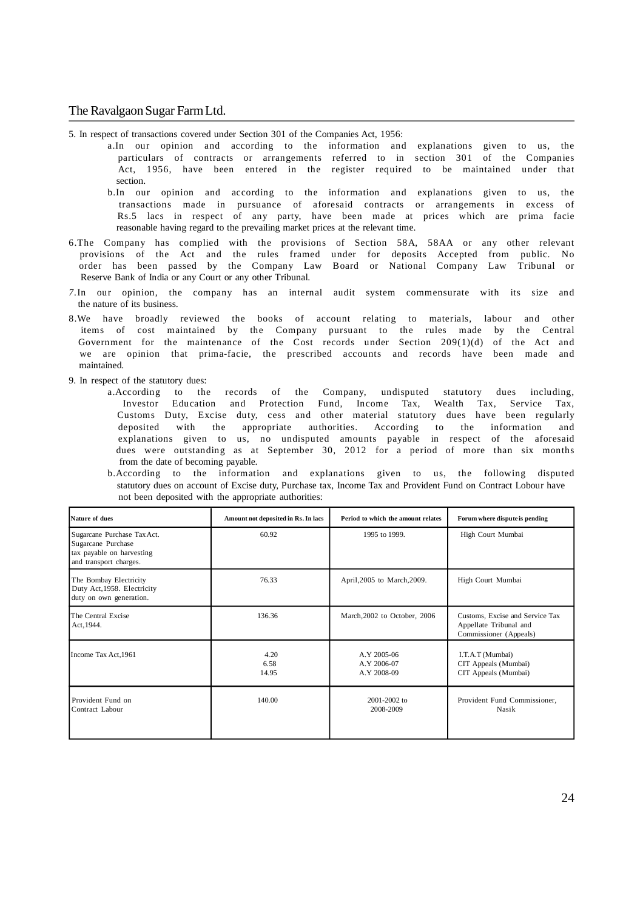5. In respect of transactions covered under Section 301 of the Companies Act, 1956:

- a.In our opinion and according to the information and explanations given to us, the particulars of contracts or arrangements referred to in section 301 of the Companies Act, 1956, have been entered in the register required to be maintained under that section.
	- b.In our opinion and according to the information and explanations given to us, the transactions made in pursuance of aforesaid contracts or arrangements in excess of Rs.5 lacs in respect of any party, have been made at prices which are prima facie reasonable having regard to the prevailing market prices at the relevant time.
- 6.The Company has complied with the provisions of Section 58A, 58AA or any other relevant provisions of the Act and the rules framed under for deposits Accepted from public. No order has been passed by the Company Law Board or National Company Law Tribunal or Reserve Bank of India or any Court or any other Tribunal.
- *7.*In our opinion, the company has an internal audit system commensurate with its size and the nature of its business.
- 8.We have broadly reviewed the books of account relating to materials, labour and other items of cost maintained by the Company pursuant to the rules made by the Central Government for the maintenance of the Cost records under Section 209(1)(d) of the Act and we are opinion that prima-facie, the prescribed accounts and records have been made and maintained.
- 9. In respect of the statutory dues:
	- a.According to the records of the Company, undisputed statutory dues including, Investor Education and Protection Fund, Income Tax, Wealth Tax, Service Tax, Customs Duty, Excise duty, cess and other material statutory dues have been regularly deposited with the appropriate authorities. According to the information and explanations given to us, no undisputed amounts payable in respect of the aforesaid dues were outstanding as at September 30, 2012 for a period of more than six months from the date of becoming payable.
	- b.According to the information and explanations given to us, the following disputed statutory dues on account of Excise duty, Purchase tax, Income Tax and Provident Fund on Contract Lobour have not been deposited with the appropriate authorities:

| Nature of dues                                                                                           | Amount not deposited in Rs. In lacs | Period to which the amount relates        | Forum where dispute is pending                                                      |
|----------------------------------------------------------------------------------------------------------|-------------------------------------|-------------------------------------------|-------------------------------------------------------------------------------------|
| Sugarcane Purchase Tax Act.<br>Sugarcane Purchase<br>tax payable on harvesting<br>and transport charges. | 60.92                               | 1995 to 1999.                             | High Court Mumbai                                                                   |
| The Bombay Electricity<br>Duty Act, 1958. Electricity<br>duty on own generation.                         | 76.33                               | April, 2005 to March, 2009.               | High Court Mumbai                                                                   |
| The Central Excise<br>Act, 1944.                                                                         | 136.36                              | March, 2002 to October, 2006              | Customs, Excise and Service Tax<br>Appellate Tribunal and<br>Commissioner (Appeals) |
| Income Tax Act, 1961                                                                                     | 4.20<br>6.58<br>14.95               | A.Y 2005-06<br>A.Y 2006-07<br>A.Y 2008-09 | I.T.A.T (Mumbai)<br>CIT Appeals (Mumbai)<br>CIT Appeals (Mumbai)                    |
| Provident Fund on<br>Contract Labour                                                                     | 140.00                              | $2001 - 2002$ to<br>2008-2009             | Provident Fund Commissioner,<br>Nasik                                               |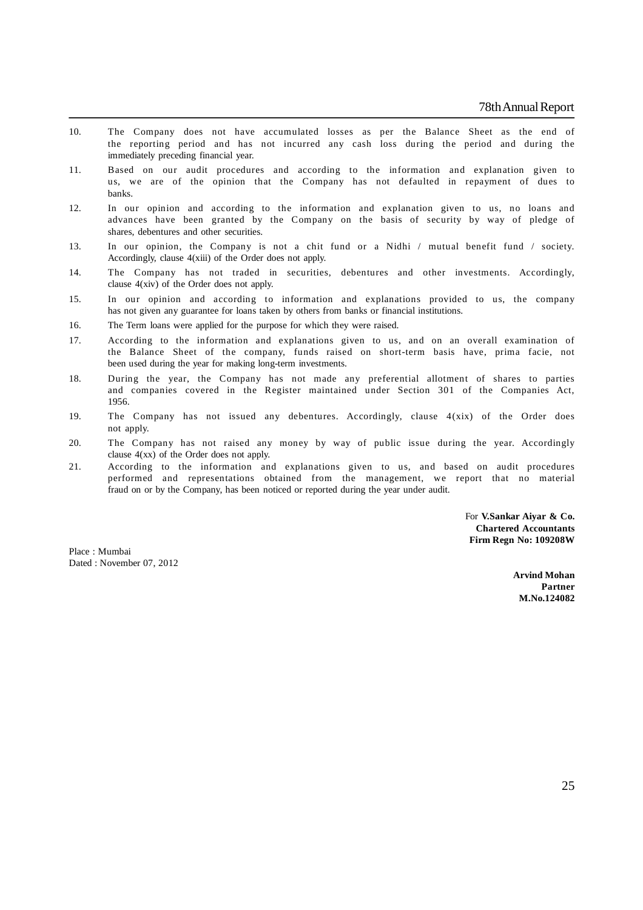- 10. The Company does not have accumulated losses as per the Balance Sheet as the end of the reporting period and has not incurred any cash loss during the period and during the immediately preceding financial year.
- 11. Based on our audit procedures and according to the information and explanation given to us, we are of the opinion that the Company has not defaulted in repayment of dues to banks.
- 12. In our opinion and according to the information and explanation given to us, no loans and advances have been granted by the Company on the basis of security by way of pledge of shares, debentures and other securities.
- 13. In our opinion, the Company is not a chit fund or a Nidhi / mutual benefit fund / society. Accordingly, clause 4(xiii) of the Order does not apply.
- 14. The Company has not traded in securities, debentures and other investments. Accordingly, clause 4(xiv) of the Order does not apply.
- 15. In our opinion and according to information and explanations provided to us, the company has not given any guarantee for loans taken by others from banks or financial institutions.
- 16. The Term loans were applied for the purpose for which they were raised.
- 17. According to the information and explanations given to us, and on an overall examination of the Balance Sheet of the company, funds raised on short-term basis have, prima facie, not been used during the year for making long-term investments.
- 18. During the year, the Company has not made any preferential allotment of shares to parties and companies covered in the Register maintained under Section 301 of the Companies Act, 1956.
- 19. The Company has not issued any debentures. Accordingly, clause 4(xix) of the Order does not apply.
- 20. The Company has not raised any money by way of public issue during the year. Accordingly clause 4(xx) of the Order does not apply.
- 21. According to the information and explanations given to us, and based on audit procedures performed and representations obtained from the management, we report that no material fraud on or by the Company, has been noticed or reported during the year under audit.

For **V.Sankar Aiyar & Co. Chartered Accountants Firm Regn No: 109208W**

Place : Mumbai Dated : November 07, 2012

> **Arvind Mohan Partner M.No.124082**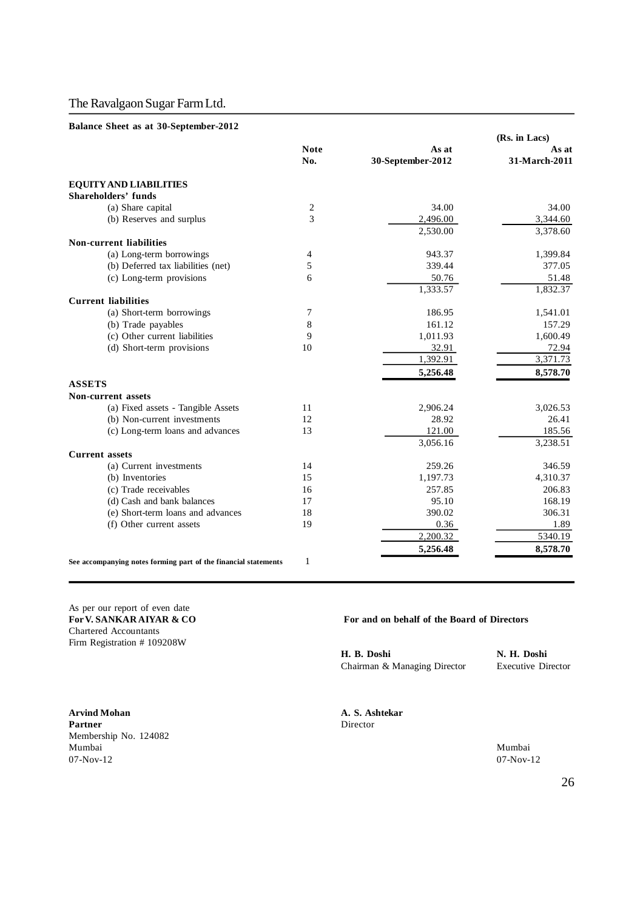### **Balance Sheet as at 30-September-2012**

|                                                                 |                    |                            | (Rs. in Lacs)          |
|-----------------------------------------------------------------|--------------------|----------------------------|------------------------|
|                                                                 | <b>Note</b><br>No. | As at<br>30-September-2012 | As at<br>31-March-2011 |
| <b>EQUITY AND LIABILITIES</b>                                   |                    |                            |                        |
| <b>Shareholders' funds</b>                                      |                    |                            |                        |
| (a) Share capital                                               | 2                  | 34.00                      | 34.00                  |
| (b) Reserves and surplus                                        | 3                  | 2,496.00                   | 3,344.60               |
|                                                                 |                    | 2,530.00                   | 3,378.60               |
| Non-current liabilities                                         |                    |                            |                        |
| (a) Long-term borrowings                                        | 4                  | 943.37                     | 1,399.84               |
| (b) Deferred tax liabilities (net)                              | 5                  | 339.44                     | 377.05                 |
| (c) Long-term provisions                                        | 6                  | 50.76                      | 51.48                  |
|                                                                 |                    | 1,333.57                   | 1,832.37               |
| <b>Current liabilities</b>                                      |                    |                            |                        |
| (a) Short-term borrowings                                       | 7                  | 186.95                     | 1,541.01               |
| (b) Trade payables                                              | 8                  | 161.12                     | 157.29                 |
| (c) Other current liabilities                                   | 9                  | 1,011.93                   | 1,600.49               |
| (d) Short-term provisions                                       | 10                 | 32.91                      | 72.94                  |
|                                                                 |                    | 1,392.91                   | 3,371.73               |
|                                                                 |                    | 5,256.48                   | 8,578.70               |
| <b>ASSETS</b>                                                   |                    |                            |                        |
| <b>Non-current assets</b>                                       |                    |                            |                        |
| (a) Fixed assets - Tangible Assets                              | 11                 | 2,906.24                   | 3,026.53               |
| (b) Non-current investments                                     | 12                 | 28.92                      | 26.41                  |
| (c) Long-term loans and advances                                | 13                 | 121.00                     | 185.56                 |
|                                                                 |                    | 3,056.16                   | 3,238.51               |
| <b>Current assets</b>                                           |                    |                            |                        |
| (a) Current investments                                         | 14                 | 259.26                     | 346.59                 |
| (b) Inventories                                                 | 15                 | 1,197.73                   | 4,310.37               |
| (c) Trade receivables                                           | 16                 | 257.85                     | 206.83                 |
| (d) Cash and bank balances                                      | 17                 | 95.10                      | 168.19                 |
| (e) Short-term loans and advances                               | 18                 | 390.02                     | 306.31                 |
| (f) Other current assets                                        | 19                 | 0.36                       | 1.89                   |
|                                                                 |                    | 2,200.32                   | 5340.19                |
|                                                                 |                    | 5,256.48                   | 8,578.70               |
| See accompanying notes forming part of the financial statements | 1                  |                            |                        |

As per our report of even date<br>For V. SANKAR AIYAR & CO Chartered Accountants Firm Registration # 109208W

**Arvind Mohan A. S. Ashtekar** Partner Director Membership No. 124082 Mumbai Mumbai  $07-\text{Nov-12}$   $07-\text{Nov-12}$ 

#### For and on behalf of the Board of Directors

**H. B. Doshi N. H. Doshi** Chairman & Managing Director Executive Director

26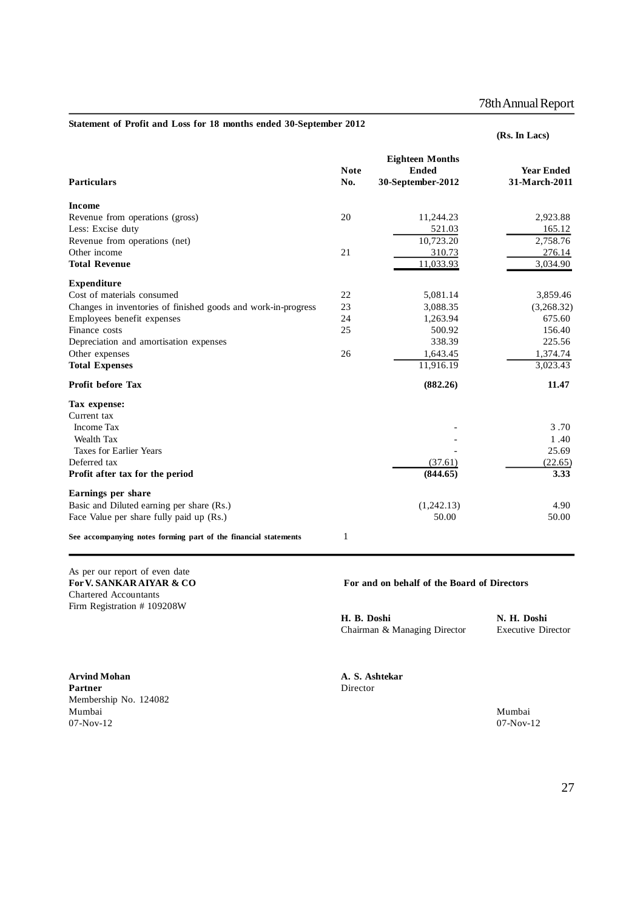78th Annual Report

|                                                               |                    |                                                             | (Rs. In Lacs)                      |
|---------------------------------------------------------------|--------------------|-------------------------------------------------------------|------------------------------------|
| <b>Particulars</b>                                            | <b>Note</b><br>No. | <b>Eighteen Months</b><br><b>Ended</b><br>30-September-2012 | <b>Year Ended</b><br>31-March-2011 |
| <b>Income</b>                                                 |                    |                                                             |                                    |
| Revenue from operations (gross)                               | 20                 | 11,244.23                                                   | 2,923.88                           |
| Less: Excise duty                                             |                    | 521.03                                                      | 165.12                             |
| Revenue from operations (net)                                 |                    | 10,723.20                                                   | 2,758.76                           |
| Other income                                                  | 21                 | 310.73                                                      | 276.14                             |
| <b>Total Revenue</b>                                          |                    | 11,033.93                                                   | 3,034.90                           |
| <b>Expenditure</b>                                            |                    |                                                             |                                    |
| Cost of materials consumed                                    | 22                 | 5,081.14                                                    | 3,859.46                           |
| Changes in inventories of finished goods and work-in-progress | 23                 | 3,088.35                                                    | (3,268.32)                         |
| Employees benefit expenses                                    | 24                 | 1,263.94                                                    | 675.60                             |
| Finance costs                                                 | 25                 | 500.92                                                      | 156.40                             |
| Depreciation and amortisation expenses                        |                    | 338.39                                                      | 225.56                             |
| Other expenses                                                | 26                 | 1,643.45                                                    | 1,374.74                           |
| <b>Total Expenses</b>                                         |                    | 11,916.19                                                   | 3,023.43                           |
| <b>Profit before Tax</b>                                      |                    | (882.26)                                                    | 11.47                              |
| Tax expense:                                                  |                    |                                                             |                                    |
| Current tax                                                   |                    |                                                             |                                    |
| <b>Income Tax</b>                                             |                    |                                                             | 3.70                               |
| Wealth Tax                                                    |                    |                                                             | 1.40                               |
| <b>Taxes for Earlier Years</b>                                |                    |                                                             | 25.69                              |
| Deferred tax                                                  |                    | (37.61)                                                     | (22.65)                            |
| Profit after tax for the period                               |                    | (844.65)                                                    | 3.33                               |
| Earnings per share                                            |                    |                                                             |                                    |
| Basic and Diluted earning per share (Rs.)                     |                    | (1,242.13)                                                  | 4.90                               |
| Face Value per share fully paid up (Rs.)                      |                    | 50.00                                                       | 50.00                              |

**See accompanying notes forming part of the financial statements** 1

As per our report of even date Chartered Accountants Firm Registration # 109208W

For V. SANKAR AIYAR & CO **For and on behalf of the Board of Directors** 

**H. B. Doshi N. H. Doshi** Chairman & Managing Director Executive Director

**Arvind Mohan A. S. Ashtekar** Partner Director Membership No. 124082 Mumbai Mumbai  $07-\text{Nov-12}$   $07-\text{Nov-12}$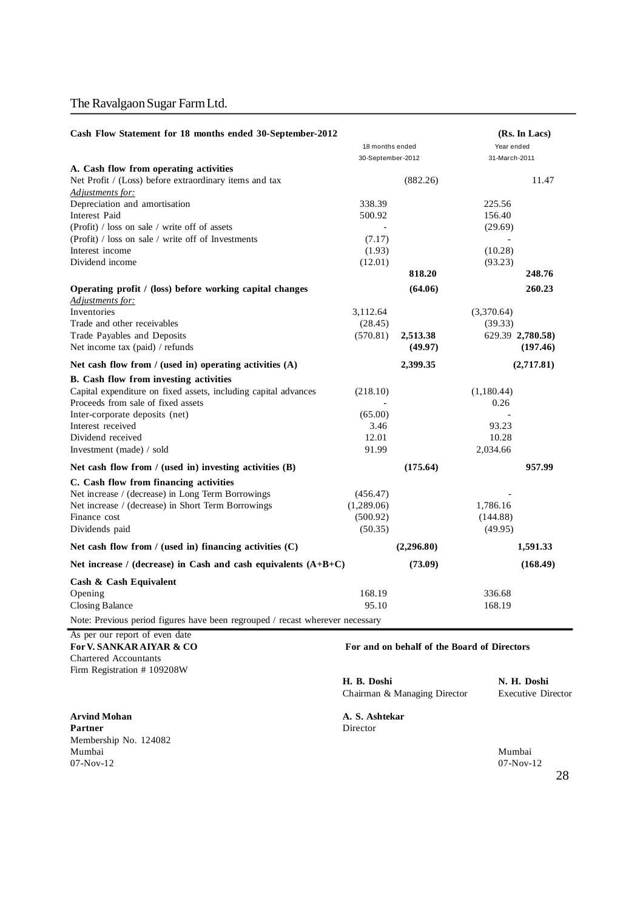| Cash Flow Statement for 18 months ended 30-September-2012                           |                   |            |                  | (Rs. In Lacs) |
|-------------------------------------------------------------------------------------|-------------------|------------|------------------|---------------|
|                                                                                     | 18 months ended   |            | Year ended       |               |
|                                                                                     | 30-September-2012 |            | 31-March-2011    |               |
| A. Cash flow from operating activities                                              |                   |            |                  |               |
| Net Profit / (Loss) before extraordinary items and tax                              |                   | (882.26)   |                  | 11.47         |
| Adjustments for:                                                                    |                   |            |                  |               |
| Depreciation and amortisation                                                       | 338.39            |            | 225.56           |               |
| Interest Paid                                                                       | 500.92            |            | 156.40           |               |
| (Profit) / loss on sale / write off of assets                                       |                   |            | (29.69)          |               |
| (Profit) / loss on sale / write off of Investments<br>Interest income               | (7.17)            |            |                  |               |
| Dividend income                                                                     | (1.93)            |            | (10.28)          |               |
|                                                                                     | (12.01)           | 818.20     | (93.23)          | 248.76        |
|                                                                                     |                   |            |                  |               |
| Operating profit / (loss) before working capital changes<br><u>Adjustments for:</u> |                   | (64.06)    |                  | 260.23        |
| Inventories                                                                         | 3,112.64          |            | (3,370.64)       |               |
| Trade and other receivables                                                         | (28.45)           |            | (39.33)          |               |
| Trade Payables and Deposits                                                         | (570.81)          | 2,513.38   | 629.39 2,780.58) |               |
| Net income tax (paid) / refunds                                                     |                   | (49.97)    |                  | (197.46)      |
| Net cash flow from $/$ (used in) operating activities $(A)$                         |                   | 2,399.35   |                  | (2,717.81)    |
| B. Cash flow from investing activities                                              |                   |            |                  |               |
| Capital expenditure on fixed assets, including capital advances                     | (218.10)          |            | (1,180.44)       |               |
| Proceeds from sale of fixed assets                                                  |                   |            | 0.26             |               |
| Inter-corporate deposits (net)                                                      | (65.00)           |            |                  |               |
| Interest received                                                                   | 3.46              |            | 93.23            |               |
| Dividend received                                                                   | 12.01             |            | 10.28            |               |
| Investment (made) / sold                                                            | 91.99             |            | 2,034.66         |               |
| Net cash flow from $/$ (used in) investing activities $(B)$                         |                   | (175.64)   |                  | 957.99        |
| C. Cash flow from financing activities                                              |                   |            |                  |               |
| Net increase / (decrease) in Long Term Borrowings                                   | (456.47)          |            |                  |               |
| Net increase / (decrease) in Short Term Borrowings                                  | (1,289.06)        |            | 1,786.16         |               |
| Finance cost                                                                        | (500.92)          |            | (144.88)         |               |
| Dividends paid                                                                      | (50.35)           |            | (49.95)          |               |
| Net cash flow from $/$ (used in) financing activities $(C)$                         |                   | (2,296.80) |                  | 1,591.33      |
| Net increase / (decrease) in Cash and cash equivalents $(A+B+C)$                    |                   | (73.09)    |                  | (168.49)      |
| Cash & Cash Equivalent                                                              |                   |            |                  |               |
| Opening                                                                             | 168.19            |            | 336.68           |               |
| <b>Closing Balance</b>                                                              | 95.10             |            | 168.19           |               |
| Note: Previous period figures have been regrouped / recast wherever necessary       |                   |            |                  |               |
| non oun nonome of orion data                                                        |                   |            |                  |               |

## As per our report of even date<br>For V. SANKARAIYAR & CO Chartered Accountants Firm Registration # 109208W

**Arvind Mohan A. S. Ashtekar Partner** Membership No. 124082 Mumbai Mumbai  $07-\text{Nov-12}$   $07-\text{Nov-12}$ 

### For and on behalf of the Board of Directors

**H. B. Doshi N. H. Doshi** Chairman & Managing Director

28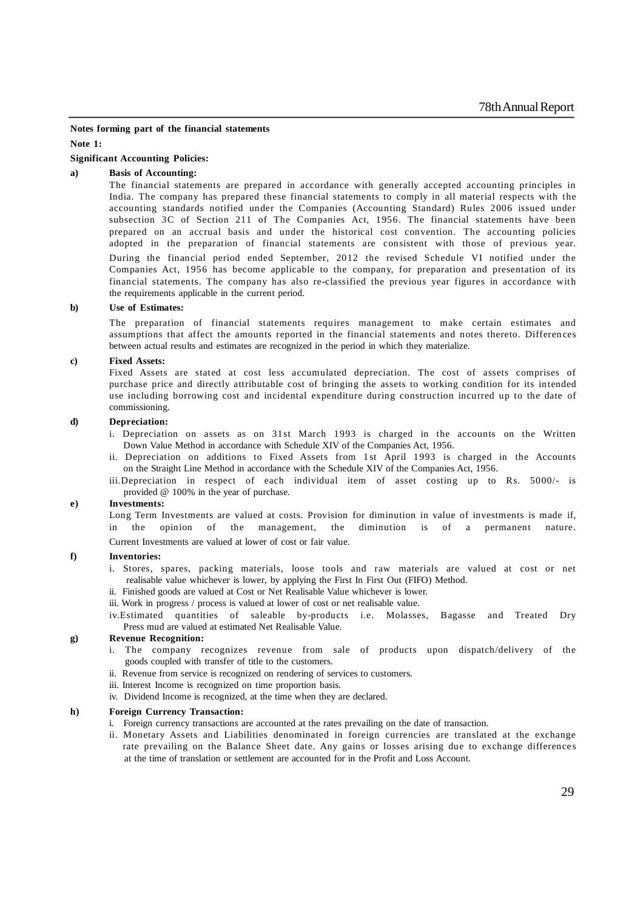**Notes forming part of the financial statements**

**Note 1:**

### **Significant Accounting Policies:**

#### **a) Basis of Accounting:**

The financial statements are prepared in accordance with generally accepted accounting principles in India. The company has prepared these financial statements to comply in all material respects with the accounting standards notified under the Companies (Accounting Standard) Rules 2006 issued under subsection 3C of Section 211 of The Companies Act, 1956. The financial statements have been prepared on an accrual basis and under the historical cost convention. The accounting policies adopted in the preparation of financial statements are consistent with those of previous year. During the financial period ended September, 2012 the revised Schedule VI notified under the Companies Act, 1956 has become applicable to the company, for preparation and presentation of its financial statements. The company has also re-classified the previous year figures in accordance with the requirements applicable in the current period.

#### **b) Use of Estimates:**

The preparation of financial statements requires management to make certain estimates and assumptions that affect the amounts reported in the financial statements and notes thereto. Differen ces between actual results and estimates are recognized in the period in which they materialize.

#### **c) Fixed Assets:**

Fixed Assets are stated at cost less accumulated depreciation. The cost of assets comprises of purchase price and directly attributable cost of bringing the assets to working condition for its intended use including borrowing cost and incidental expenditure during construction incurred up to the date of commissioning.

### **d) Depreciation:**

- i. Depreciation on assets as on 31st March 1993 is charged in the accounts on the Written Down Value Method in accordance with Schedule XIV of the Companies Act, 1956.
- ii. Depreciation on additions to Fixed Assets from 1st April 1993 is charged in the Accounts on the Straight Line Method in accordance with the Schedule XIV of the Companies Act, 1956.
- iii.Depreciation in respect of each individual item of asset costing up to Rs. 5000/- is provided @ 100% in the year of purchase.

#### **e) Investments:**

Long Term Investments are valued at costs. Provision for diminution in value of investments is made if, in the opinion of the management, the diminution is of a permanent nature.

Current Investments are valued at lower of cost or fair value.

#### **f) Inventories:**

- i. Stores, spares, packing materials, loose tools and raw materials are valued at cost or net realisable value whichever is lower, by applying the First In First Out (FIFO) Method.
- ii. Finished goods are valued at Cost or Net Realisable Value whichever is lower.
- iii. Work in progress / process is valued at lower of cost or net realisable value.
- iv.Estimated quantities of saleable by-products i.e. Molasses, Bagasse and Treated Dry Press mud are valued at estimated Net Realisable Value.

#### **g) Revenue Recognition:**

- i. The company recognizes revenue from sale of products upon dispatch/delivery of the goods coupled with transfer of title to the customers.
- ii. Revenue from service is recognized on rendering of services to customers.
- iii. Interest Income is recognized on time proportion basis.
- iv. Dividend Income is recognized, at the time when they are declared.

#### **h) Foreign Currency Transaction:**

- i. Foreign currency transactions are accounted at the rates prevailing on the date of transaction.
- ii. Monetary Assets and Liabilities denominated in foreign currencies are translated at the exchange rate prevailing on the Balance Sheet date. Any gains or losses arising due to exchange difference s at the time of translation or settlement are accounted for in the Profit and Loss Account.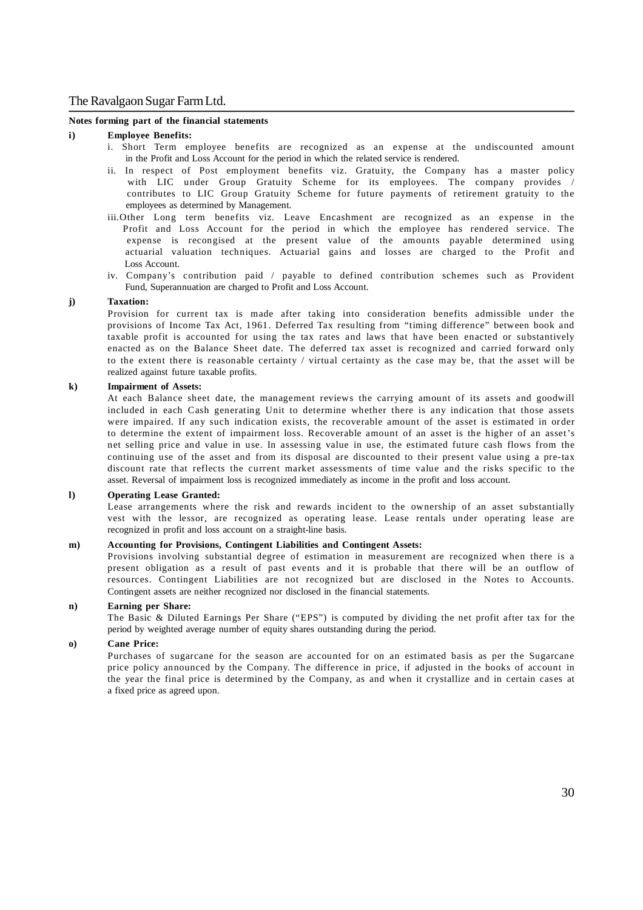#### **Notes forming part of the financial statements**

#### **i) Employee Benefits:**

- i. Short Term employee benefits are recognized as an expense at the undiscounted amount in the Profit and Loss Account for the period in which the related service is rendered.
- ii. In respect of Post employment benefits viz. Gratuity, the Company has a master policy with LIC under Group Gratuity Scheme for its employees. The company provides / contributes to LIC Group Gratuity Scheme for future payments of retirement gratuity to the employees as determined by Management.
- iii.Other Long term benefits viz. Leave Encashment are recognized as an expense in the Profit and Loss Account for the period in which the employee has rendered service. The expense is recongised at the present value of the amounts payable determined using actuarial valuation techniques. Actuarial gains and losses are charged to the Profit and Loss Account.
- iv. Company's contribution paid / payable to defined contribution schemes such as Provident Fund, Superannuation are charged to Profit and Loss Account.

#### **j) Taxation:**

Provision for current tax is made after taking into consideration benefits admissible under the provisions of Income Tax Act, 1961. Deferred Tax resulting from "timing difference" between book and taxable profit is accounted for using the tax rates and laws that have been enacted or substantively enacted as on the Balance Sheet date. The deferred tax asset is recognized and carried forward only to the extent there is reasonable certainty / virtual certainty as the case may be, that the asset will be realized against future taxable profits.

#### **k) Impairment of Assets:**

At each Balance sheet date, the management reviews the carrying amount of its assets and goodwill included in each Cash generating Unit to determine whether there is any indication that those assets were impaired. If any such indication exists, the recoverable amount of the asset is estimated in order to determine the extent of impairment loss. Recoverable amount of an asset is the higher of an asset's net selling price and value in use. In assessing value in use, the estimated future cash flows from the continuing use of the asset and from its disposal are discounted to their present value using a pre-tax discount rate that reflects the current market assessments of time value and the risks specific to the asset. Reversal of impairment loss is recognized immediately as income in the profit and loss account.

#### **l) Operating Lease Granted:**

Lease arrangements where the risk and rewards incident to the ownership of an asset substantially vest with the lessor, are recognized as operating lease. Lease rentals under operating lease are recognized in profit and loss account on a straight-line basis.

#### **m) Accounting for Provisions, Contingent Liabilities and Contingent Assets:**

Provisions involving substantial degree of estimation in measurement are recognized when there is a present obligation as a result of past events and it is probable that there will be an outflow of resources. Contingent Liabilities are not recognized but are disclosed in the Notes to Accounts. Contingent assets are neither recognized nor disclosed in the financial statements.

#### **n) Earning per Share:**

The Basic & Diluted Earnings Per Share ("EPS") is computed by dividing the net profit after tax for the period by weighted average number of equity shares outstanding during the period.

### **o) Cane Price:**

Purchases of sugarcane for the season are accounted for on an estimated basis as per the Sugarcane price policy announced by the Company. The difference in price, if adjusted in the books of account in the year the final price is determined by the Company, as and when it crystallize and in certain cases at a fixed price as agreed upon.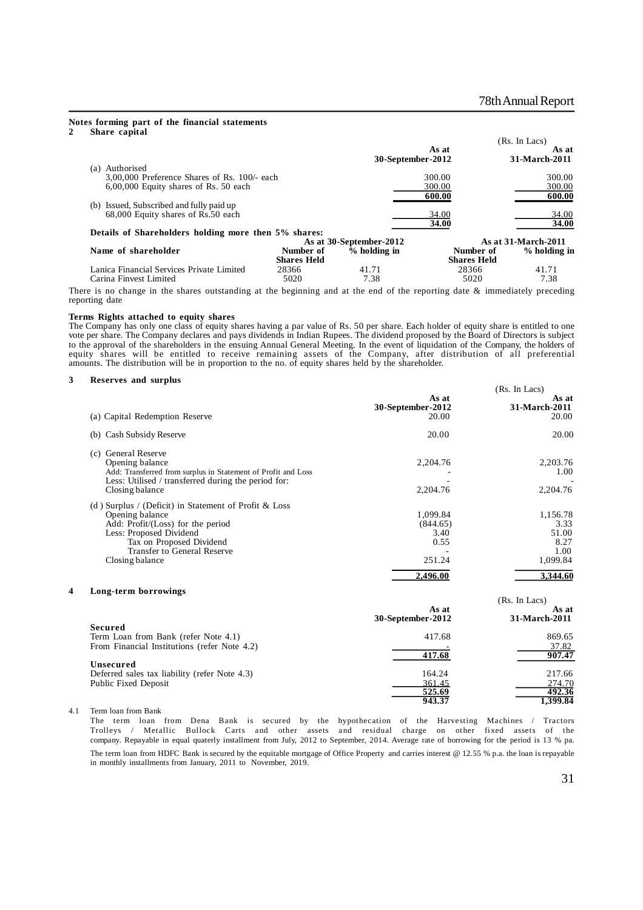#### **Notes forming part of the financial statements 2 Share capital**

|                                                      |                    |                         |                    | (Rs. In Lacs)       |
|------------------------------------------------------|--------------------|-------------------------|--------------------|---------------------|
|                                                      |                    |                         | As at              | As at               |
|                                                      |                    | 30-September-2012       |                    | 31-March-2011       |
| Authorised<br>(a)                                    |                    |                         |                    |                     |
| $3,00,000$ Preference Shares of Rs. 100/- each       |                    |                         | 300.00             | 300.00              |
| 6,00,000 Equity shares of Rs. 50 each                |                    |                         | 300.00             | 300.00              |
|                                                      |                    |                         | 600.00             | 600.00              |
| (b) Issued, Subscribed and fully paid up             |                    |                         |                    |                     |
| 68,000 Equity shares of Rs.50 each                   |                    |                         | 34.00              | 34.00               |
|                                                      |                    |                         | 34.00              | 34.00               |
| Details of Shareholders holding more then 5% shares: |                    |                         |                    |                     |
|                                                      |                    | As at 30-September-2012 |                    | As at 31-March-2011 |
| Name of shareholder                                  | Number of          | $%$ holding in          | Number of          | % holding in        |
|                                                      | <b>Shares Held</b> |                         | <b>Shares Held</b> |                     |
| Lanica Financial Services Private Limited            | 28366              | 41.71                   | 28366              | 41.71               |
| Carina Finvest Limited                               | 5020               | 7.38                    | 5020               | 7.38                |

There is no change in the shares outstanding at the beginning and at the end of the reporting date & immediately preceding reporting date

#### **Terms Rights attached to equity shares**

The Company has only one class of equity shares having a par value of Rs. 50 per share. Each holder of equity share is entitled to one vote per share. The Company declares and pays dividends in Indian Rupees. The dividend proposed by the Board of Directors is subject to the approval of the shareholders in the ensuing Annual General Meeting. In the event of liquidation of the Company, the holders of equity shares will be entitled to receive remaining assets of the Company, after distribution of all preferential amounts. The distribution will be in proportion to the no. of equity shares held by the shareholder.

#### **3 Reserves and surplus**

|                                                                                                                                                                                                                          |                                                | (Rs. In Lacs)                                         |
|--------------------------------------------------------------------------------------------------------------------------------------------------------------------------------------------------------------------------|------------------------------------------------|-------------------------------------------------------|
| (a) Capital Redemption Reserve                                                                                                                                                                                           | As at<br>30-September-2012<br>20.00            | As at<br>31-March-2011<br>20.00                       |
| Cash Subsidy Reserve<br>(b)                                                                                                                                                                                              | 20.00                                          | 20.00                                                 |
| <b>General Reserve</b><br>(c)<br>Opening balance<br>Add: Transferred from surplus in Statement of Profit and Loss<br>Less: Utilised / transferred during the period for:<br>Closing balance                              | 2,204.76<br>2.204.76                           | 2,203.76<br>1.00<br>2,204.76                          |
| (d) Surplus / (Deficit) in Statement of Profit $& Loss$<br>Opening balance<br>Add: Profit/(Loss) for the period<br>Less: Proposed Dividend<br>Tax on Proposed Dividend<br>Transfer to General Reserve<br>Closing balance | 1,099.84<br>(844.65)<br>3.40<br>0.55<br>251.24 | 1,156.78<br>3.33<br>51.00<br>8.27<br>1.00<br>1,099.84 |
|                                                                                                                                                                                                                          | 2.496.00                                       | 3.344.60                                              |

#### **4 Long-term borrowings**

| <b>LURE-TELM DULLUMINES</b>                   |                            | (Rs. In Lacs)          |
|-----------------------------------------------|----------------------------|------------------------|
|                                               | As at<br>30-September-2012 | As at<br>31-March-2011 |
| Secured                                       |                            |                        |
| Term Loan from Bank (refer Note 4.1)          | 417.68                     | 869.65                 |
| From Financial Institutions (refer Note 4.2)  |                            | 37.82                  |
|                                               | 417.68                     | 907.47                 |
| Unsecured                                     |                            |                        |
| Deferred sales tax liability (refer Note 4.3) | 164.24                     | 217.66                 |
| Public Fixed Deposit                          | 361.45                     | 274.70                 |
|                                               | 525.69                     | 492.36                 |
|                                               | 943.37                     | 1.399.84               |

4.1 Term loan from Bank

The term loan from Dena Bank is secured by the hypothecation of the Harvesting Machines / Tractors Trolleys / Metallic Bullock Carts and other assets and residual charge on other fixed assets of the company. Repayable in equal quaterly installment from July, 2012 to September, 2014. Average rate of borrowing for the period is 13 % pa. The term loan from HDFC Bank is secured by the equitable mortgage of Office Property and carries interest @ 12.55 % p.a. the loan is repayable in monthly installments from January, 2011 to November, 2019.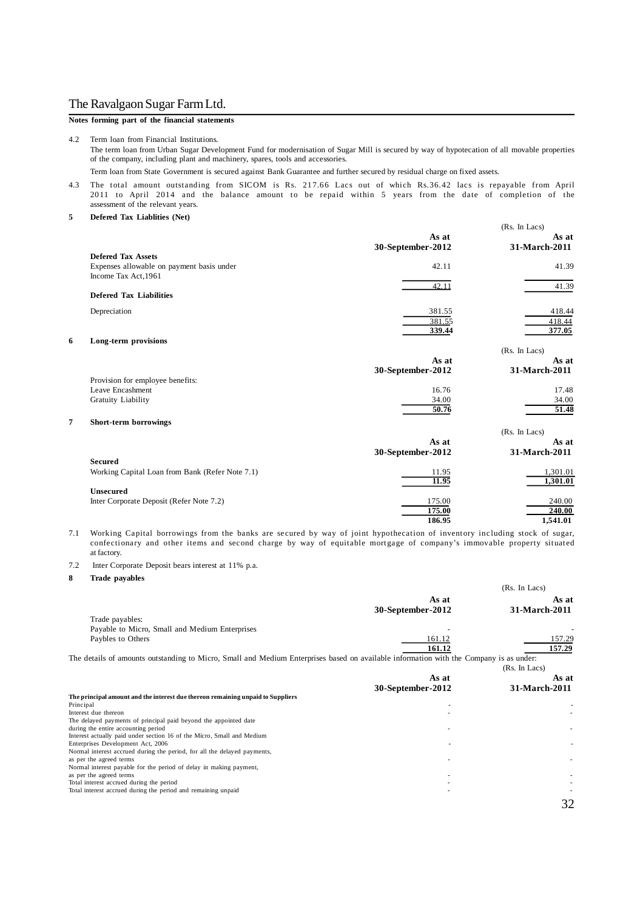### **Notes forming part of the financial statements**

4.2 Term loan from Financial Institutions. The term loan from Urban Sugar Development Fund for modernisation of Sugar Mill is secured by way of hypotecation of all movable properties of the company, including plant and machinery, spares, tools and accessories.

Term loan from State Government is secured against Bank Guarantee and further secured by residual charge on fixed assets.

4.3 The total amount outstanding from SICOM is Rs. 217.66 Lacs out of which Rs.36.42 lacs is repayable from April 2011 to April 2014 and the balance amount to be repaid within 5 years from the date of completion of the assessment of the relevant years.

**5 Defered Tax Liablities (Net)**

|                                                 |                   | (Rs. In Lacs) |
|-------------------------------------------------|-------------------|---------------|
|                                                 | As at             | As at         |
| <b>Defered Tax Assets</b>                       | 30-September-2012 | 31-March-2011 |
|                                                 |                   |               |
| Expenses allowable on payment basis under       | 42.11             | 41.39         |
| Income Tax Act, 1961                            |                   |               |
| <b>Defered Tax Liabilities</b>                  | 42.11             | 41.39         |
|                                                 |                   |               |
| Depreciation                                    | 381.55            | 418.44        |
|                                                 | 381.55            | 418.44        |
|                                                 | 339.44            | 377.05        |
| 6<br>Long-term provisions                       |                   |               |
|                                                 |                   | (Rs. In Lacs) |
|                                                 | As at             | As at         |
|                                                 | 30-September-2012 | 31-March-2011 |
| Provision for employee benefits:                |                   |               |
| Leave Encashment                                | 16.76             | 17.48         |
| Gratuity Liability                              | 34.00             | 34.00         |
|                                                 | 50.76             | 51.48         |
| 7<br>Short-term borrowings                      |                   |               |
|                                                 |                   | (Rs. In Lacs) |
|                                                 | As at             | As at         |
|                                                 | 30-September-2012 | 31-March-2011 |
| <b>Secured</b>                                  |                   |               |
| Working Capital Loan from Bank (Refer Note 7.1) | 11.95             | 1,301.01      |
|                                                 | 11.95             | 1,301.01      |
| <b>Unsecured</b>                                |                   |               |
| Inter Corporate Deposit (Refer Note 7.2)        | 175.00            | 240.00        |
|                                                 | 175.00            | 240.00        |
|                                                 | 186.95            | 1,541.01      |

7.1 Working Capital borrowings from the banks are secured by way of joint hypothecation of inventory including stock of sugar, confectionary and other items and second charge by way of equitable mortgage of company's immovable property situated at factory.

7.2 Inter Corporate Deposit bears interest at 11% p.a.

**8 Trade payables**

|                                                                                                                                        |                   | (Rs. In Lacs) |
|----------------------------------------------------------------------------------------------------------------------------------------|-------------------|---------------|
|                                                                                                                                        | As at             | As at         |
|                                                                                                                                        | 30-September-2012 | 31-March-2011 |
| Trade payables:                                                                                                                        |                   |               |
| Payable to Micro, Small and Medium Enterprises                                                                                         |                   |               |
| Paybles to Others                                                                                                                      | 161.12            | 157.29        |
|                                                                                                                                        | 161.12            | 157.29        |
| The details of amounts outstanding to Micro, Small and Medium Enterprises based on available information with the Company is as under: |                   |               |
|                                                                                                                                        |                   | (Rs. In Lacs) |
|                                                                                                                                        | As at             | As at         |
|                                                                                                                                        | 30-September-2012 | 31-March-2011 |
| The principal amount and the interest due thereon remaining unpaid to Suppliers                                                        |                   |               |
| Principal                                                                                                                              |                   |               |
| Interest due thereon                                                                                                                   |                   |               |
| The delayed payments of principal paid beyond the appointed date                                                                       |                   |               |
| during the entire accounting period                                                                                                    |                   |               |
| Interest actually paid under section 16 of the Micro, Small and Medium                                                                 |                   |               |
| Enterprises Development Act, 2006                                                                                                      |                   |               |
| Normal interest accrued during the period, for all the delayed payments,                                                               |                   |               |
| as per the agreed terms                                                                                                                |                   |               |
| Normal interest payable for the period of delay in making payment,<br>as per the agreed terms                                          |                   |               |
| Total interest accrued during the period                                                                                               |                   |               |
| Total interest accrued during the period and remaining unpaid                                                                          |                   |               |
|                                                                                                                                        |                   |               |
|                                                                                                                                        |                   | 32            |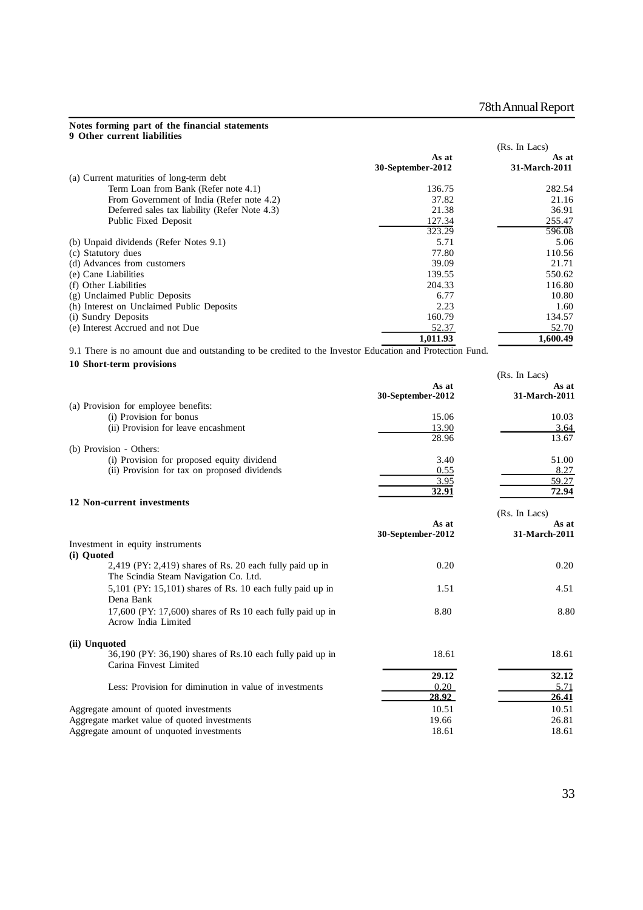#### **Notes forming part of the financial statements 9 Other current liabilities**

|                                               |                            | (Rs. In Lacs)          |
|-----------------------------------------------|----------------------------|------------------------|
|                                               | As at<br>30-September-2012 | As at<br>31-March-2011 |
| (a) Current maturities of long-term debt      |                            |                        |
| Term Loan from Bank (Refer note 4.1)          | 136.75                     | 282.54                 |
| From Government of India (Refer note 4.2)     | 37.82                      | 21.16                  |
| Deferred sales tax liability (Refer Note 4.3) | 21.38                      | 36.91                  |
| Public Fixed Deposit                          | 127.34                     | 255.47                 |
|                                               | 323.29                     | 596.08                 |
| (b) Unpaid dividends (Refer Notes 9.1)        | 5.71                       | 5.06                   |
| (c) Statutory dues                            | 77.80                      | 110.56                 |
| (d) Advances from customers                   | 39.09                      | 21.71                  |
| (e) Cane Liabilities                          | 139.55                     | 550.62                 |
| (f) Other Liabilities                         | 204.33                     | 116.80                 |
| (g) Unclaimed Public Deposits                 | 6.77                       | 10.80                  |
| (h) Interest on Unclaimed Public Deposits     | 2.23                       | 1.60                   |
| (i) Sundry Deposits                           | 160.79                     | 134.57                 |
| (e) Interest Accrued and not Due              | 52.37                      | 52.70                  |
|                                               | 1,011.93                   | 1,600.49               |

9.1 There is no amount due and outstanding to be credited to the Investor Education and Protection Fund.

### **10 Short-term provisions**

| (Rs. In Lacs)                                                        |       |
|----------------------------------------------------------------------|-------|
| As at                                                                | As at |
| 30-September-2012<br>31-March-2011                                   |       |
| (a) Provision for employee benefits:                                 |       |
| (i) Provision for bonus<br>15.06                                     | 10.03 |
| (ii) Provision for leave encashment<br>13.90                         | 3.64  |
| 28.96                                                                | 13.67 |
| (b) Provision - Others:                                              |       |
| (i) Provision for proposed equity dividend<br>3.40                   | 51.00 |
| (ii) Provision for tax on proposed dividends<br>0.55                 | 8.27  |
| 3.95                                                                 | 59.27 |
| 32.91                                                                | 72.94 |
| 12 Non-current investments                                           |       |
| (Rs. In Lacs)                                                        |       |
| As at                                                                | As at |
| 31-March-2011<br>30-September-2012                                   |       |
| Investment in equity instruments                                     |       |
| (i) Quoted                                                           |       |
| $2,419$ (PY: 2,419) shares of Rs. 20 each fully paid up in<br>0.20   | 0.20  |
| The Scindia Steam Navigation Co. Ltd.                                |       |
| $5,101$ (PY: 15,101) shares of Rs. 10 each fully paid up in<br>1.51  | 4.51  |
| Dena Bank                                                            |       |
| 17,600 (PY: $17,600$ ) shares of Rs 10 each fully paid up in<br>8.80 | 8.80  |
| Acrow India Limited                                                  |       |
|                                                                      |       |
| (ii) Unquoted                                                        |       |
| 18.61<br>36,190 (PY: 36,190) shares of Rs.10 each fully paid up in   | 18.61 |
| Carina Finvest Limited                                               |       |
| 29.12                                                                | 32.12 |
| Less: Provision for diminution in value of investments<br>0.20       | 5.71  |
| 28.92                                                                | 26.41 |
| Aggregate amount of quoted investments<br>10.51                      | 10.51 |
| Aggregate market value of quoted investments<br>19.66                | 26.81 |

Aggregate amount of unquoted investments 18.61 18.61 18.61 18.61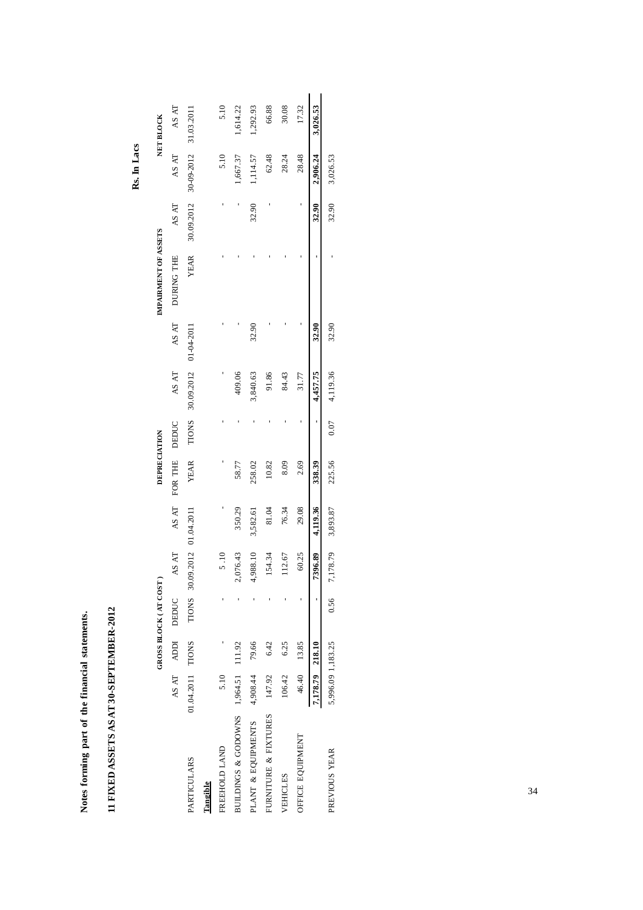| 11 FIXED ASSETS AS AT 30-SEPTEMBER-2012 |                   |             |                       |                             |          |                     |       |                             |       |                      |            |             |            |
|-----------------------------------------|-------------------|-------------|-----------------------|-----------------------------|----------|---------------------|-------|-----------------------------|-------|----------------------|------------|-------------|------------|
|                                         |                   |             |                       |                             |          |                     |       |                             |       |                      |            | Rs. In Lacs |            |
|                                         |                   |             | GROSS BLOCK (AT COST) |                             |          | <b>DEPRECIATION</b> |       |                             |       | IMPAIRMENT OF ASSETS |            |             | NET BLOCK  |
|                                         | AS AT             | <b>KICK</b> | DEDUC                 | AS AT                       | AS AT    | FOR THE             | DEDUC | AS AT                       | AS AT | DURING THE           | AS AT      | AS AT       | AS AT      |
| <b>PARTICULARS</b>                      | 01.04.2011 TIONS  |             |                       | TIONS 30.09.2012 01.04.2011 |          | YEAR                |       | TIONS 30.09.2012 01-04-2011 |       | YEAR                 | 30.09.2012 | 30-09-2012  | 31.03.2011 |
| Tangible                                |                   |             |                       |                             |          |                     |       |                             |       |                      |            |             |            |
| FREEHOLD LAND                           | 5.10              |             |                       | 5.10                        |          |                     |       |                             |       |                      |            | 5.10        | 5.10       |
| BUILDINGS & GODOWNS 1,964.51 11.92      |                   |             |                       | 2,076.43                    | 350.29   | 58.77               |       | 409.06                      |       |                      |            | 1,667.37    | 1,614.22   |
| PLANT & EQUIPMENTS                      | 4,908.44          | 79.66       |                       | 4,988.10                    | 3,582.61 | 258.02              |       | 3,840.63                    | 32.90 |                      | 32.90      | 1,114.57    | 1,292.93   |
| FURNITURE & FIXTURES                    | 147.92            | 6.42        |                       | 54.34                       | 81.04    | 10.82               |       | 91.86                       |       |                      |            | 62.48       | 66.88      |
| VEHICLES                                | 106.42            | 6.25        |                       | 112.67                      | 76.34    | 8.09                |       | 84.43                       |       |                      |            | 28.24       | 30.08      |
| OFFICE EQUIPMENT                        |                   | 46.40 13.85 |                       | 60.25                       | 29.08    | 2.69                |       | 31.77                       |       |                      |            | 28.48       | 17.32      |
|                                         | 7,178.79 218.10   |             |                       | 7396.89                     | 4,119.36 | 338.39              | ,     | 4,457.75                    | 32.90 |                      | 32.90      | 2,906.24    | 3,026.53   |
| PREVIOUS YEAR                           | 5,996.09 1,183.25 |             | 0.56                  | 7,178.79                    | 3,893.87 | 225.56              | 0.07  | 4,119.36                    | 32.90 |                      | 32.90      | 3,026.53    |            |

**Notes forming part of the financial statements.**

Notes forming part of the financial statements.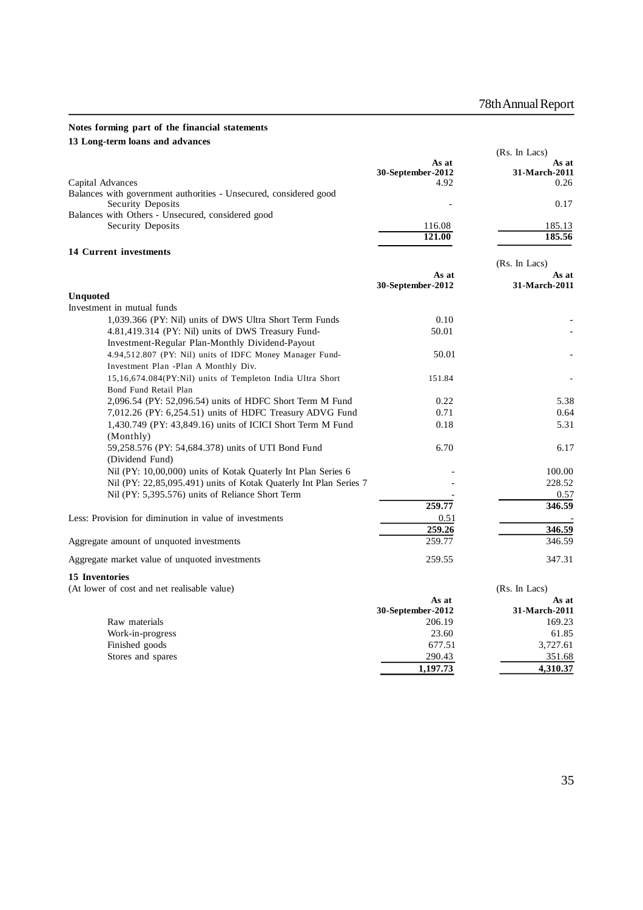### **Notes forming part of the financial statements 13 Long-term loans and advances**

|                                                                                                       |                            | (Rs. In Lacs)          |
|-------------------------------------------------------------------------------------------------------|----------------------------|------------------------|
|                                                                                                       | As at<br>30-September-2012 | As at<br>31-March-2011 |
| Capital Advances<br>Balances with government authorities - Unsecured, considered good                 | 4.92                       | 0.26                   |
| Security Deposits                                                                                     |                            | 0.17                   |
| Balances with Others - Unsecured, considered good                                                     |                            |                        |
| Security Deposits                                                                                     | 116.08                     | 185.13                 |
|                                                                                                       | 121.00                     | 185.56                 |
| 14 Current investments                                                                                |                            |                        |
|                                                                                                       |                            | (Rs. In Lacs)          |
|                                                                                                       | As at                      | As at                  |
|                                                                                                       | 30-September-2012          | 31-March-2011          |
| <b>Unquoted</b>                                                                                       |                            |                        |
| Investment in mutual funds                                                                            |                            |                        |
| 1,039.366 (PY: Nil) units of DWS Ultra Short Term Funds                                               | 0.10<br>50.01              |                        |
| 4.81,419.314 (PY: Nil) units of DWS Treasury Fund-<br>Investment-Regular Plan-Monthly Dividend-Payout |                            |                        |
| 4.94,512.807 (PY: Nil) units of IDFC Money Manager Fund-                                              | 50.01                      |                        |
| Investment Plan -Plan A Monthly Div.                                                                  |                            |                        |
| 15,16,674.084(PY:Nil) units of Templeton India Ultra Short                                            | 151.84                     |                        |
| Bond Fund Retail Plan                                                                                 |                            |                        |
| 2,096.54 (PY: 52,096.54) units of HDFC Short Term M Fund                                              | 0.22                       | 5.38                   |
| 7,012.26 (PY: 6,254.51) units of HDFC Treasury ADVG Fund                                              | 0.71                       | 0.64                   |
| 1,430.749 (PY: 43,849.16) units of ICICI Short Term M Fund                                            | 0.18                       | 5.31                   |
| (Monthly)                                                                                             |                            |                        |
| 59,258.576 (PY: 54,684.378) units of UTI Bond Fund                                                    | 6.70                       | 6.17                   |
| (Dividend Fund)                                                                                       |                            |                        |
| Nil (PY: 10,00,000) units of Kotak Quaterly Int Plan Series 6                                         |                            | 100.00                 |
| Nil (PY: 22,85,095.491) units of Kotak Quaterly Int Plan Series 7                                     |                            | 228.52                 |
| Nil (PY: 5,395.576) units of Reliance Short Term                                                      |                            | 0.57                   |
|                                                                                                       | 259.77                     | 346.59                 |
| Less: Provision for diminution in value of investments                                                | 0.51                       |                        |
|                                                                                                       | 259.26                     | 346.59                 |
| Aggregate amount of unquoted investments                                                              | 259.77                     | 346.59                 |
| Aggregate market value of unquoted investments                                                        | 259.55                     | 347.31                 |
| 15 Inventories                                                                                        |                            |                        |
| (At lower of cost and net realisable value)                                                           |                            | (Rs. In Lacs)          |
|                                                                                                       | As at                      | As at                  |
|                                                                                                       | 30-September-2012          | 31-March-2011          |
| Raw materials                                                                                         | 206.19                     | 169.23                 |
| Work-in-progress                                                                                      | 23.60                      | 61.85                  |
| Finished goods                                                                                        | 677.51                     | 3,727.61               |

Stores and spares 290.43 290.43 290.43 290.43 290.43 290.43 290.43 290.43 290.43 290.43 290.43 290.43 2012

**1,197.73 4,310.37**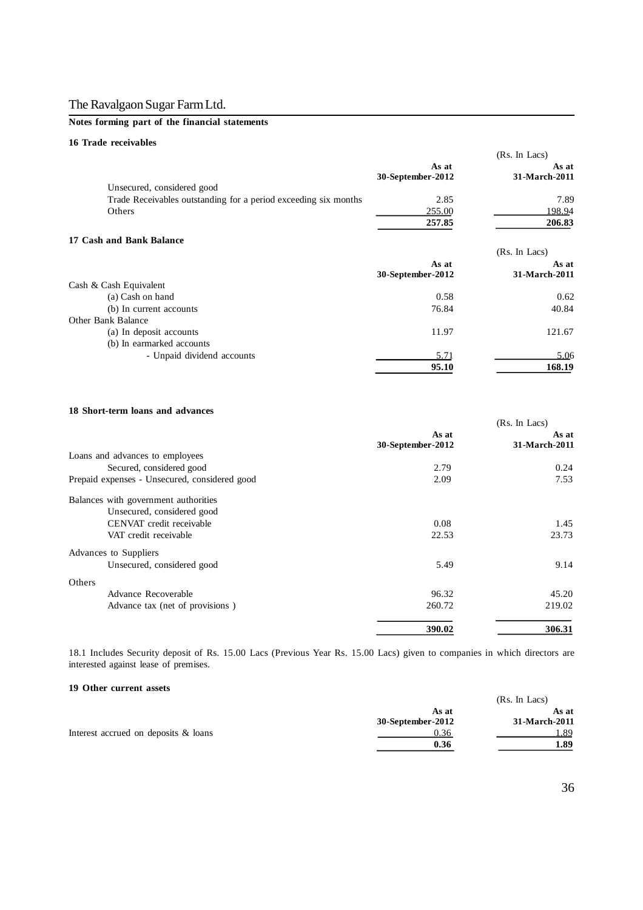### **Notes forming part of the financial statements**

### **16 Trade receivables**

|                                                                 |                            | (Rs. In Lacs)          |
|-----------------------------------------------------------------|----------------------------|------------------------|
|                                                                 | As at<br>30-September-2012 | As at<br>31-March-2011 |
| Unsecured, considered good                                      |                            |                        |
| Trade Receivables outstanding for a period exceeding six months | 2.85                       | 7.89                   |
| Others                                                          | 255.00                     | 198.94                 |
|                                                                 | 257.85                     | 206.83                 |
| 17 Cash and Bank Balance                                        |                            |                        |
|                                                                 |                            | (Rs. In Lacs)          |
|                                                                 | As at                      | As at                  |
|                                                                 | 30-September-2012          | 31-March-2011          |
| Cash & Cash Equivalent                                          |                            |                        |
| (a) Cash on hand                                                | 0.58                       | 0.62                   |
| (b) In current accounts                                         | 76.84                      | 40.84                  |
| Other Bank Balance                                              |                            |                        |
| (a) In deposit accounts                                         | 11.97                      | 121.67                 |
| (b) In earmarked accounts                                       |                            |                        |
| - Unpaid dividend accounts                                      | 5.71                       | 5.06                   |
|                                                                 | 95.10                      | 168.19                 |

### **18 Short-term loans and advances**

| 10 DHUIt-term ioans and auvances              |                   | (Rs. In Lacs) |
|-----------------------------------------------|-------------------|---------------|
|                                               | As at             | As at         |
|                                               | 30-September-2012 | 31-March-2011 |
| Loans and advances to employees               |                   |               |
| Secured, considered good                      | 2.79              | 0.24          |
| Prepaid expenses - Unsecured, considered good | 2.09              | 7.53          |
| Balances with government authorities          |                   |               |
| Unsecured, considered good                    |                   |               |
| CENVAT credit receivable                      | 0.08              | 1.45          |
| VAT credit receivable                         | 22.53             | 23.73         |
| Advances to Suppliers                         |                   |               |
| Unsecured, considered good                    | 5.49              | 9.14          |
| Others                                        |                   |               |
| Advance Recoverable                           | 96.32             | 45.20         |
| Advance tax (net of provisions)               | 260.72            | 219.02        |
|                                               | 390.02            | 306.31        |

18.1 Includes Security deposit of Rs. 15.00 Lacs (Previous Year Rs. 15.00 Lacs) given to companies in which directors are interested against lease of premises.

#### **19 Other current assets**

| 17 Other current assets              |                   |               |
|--------------------------------------|-------------------|---------------|
|                                      |                   | (Rs. In Lacs) |
|                                      | As at             | As at         |
|                                      | 30-September-2012 | 31-March-2011 |
| Interest accrued on deposits & loans | 0.36              | 1.89          |
|                                      | 0.36              | 1.89          |
|                                      |                   |               |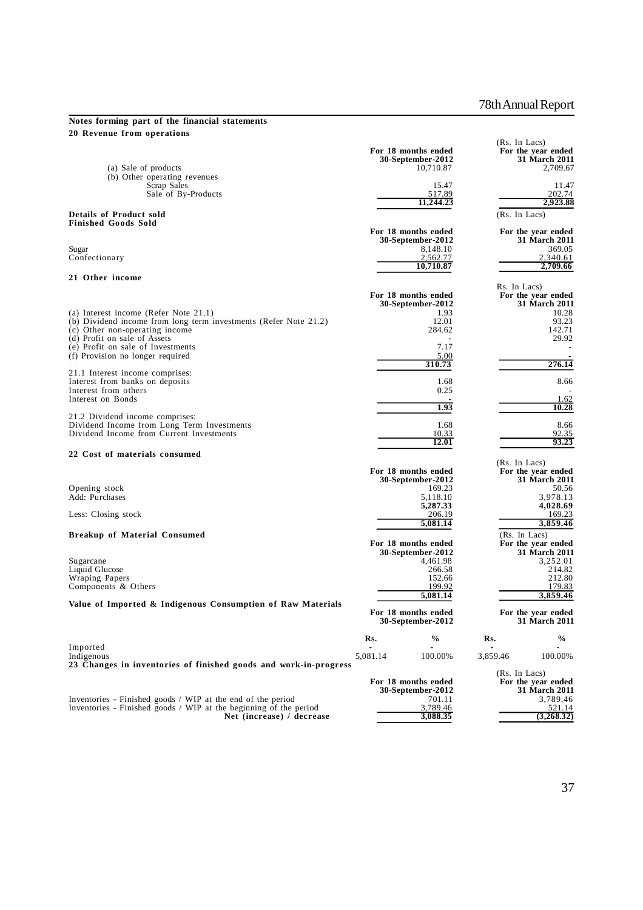### **Notes forming part of the financial statements 20 Revenue from operations**

| 20 кеуение <b>г</b> гош ореганонs                                                                                                |          |                                                       |              | (Rs. In Lacs)                                          |
|----------------------------------------------------------------------------------------------------------------------------------|----------|-------------------------------------------------------|--------------|--------------------------------------------------------|
| (a) Sale of products                                                                                                             |          | For 18 months ended<br>30-September-2012<br>10,710.87 |              | For the year ended<br><b>31 March 2011</b><br>2,709.67 |
| (b) Other operating revenues                                                                                                     |          |                                                       |              |                                                        |
| Scrap Sales                                                                                                                      |          | 15.47                                                 |              | 11.47                                                  |
| Sale of By-Products                                                                                                              |          | 517.89<br>11.244.23                                   |              | 202.74<br>2,923.88                                     |
| <b>Details of Product sold</b><br><b>Finished Goods Sold</b>                                                                     |          |                                                       |              | (Rs. In Lacs)                                          |
|                                                                                                                                  |          | For 18 months ended                                   |              | For the year ended                                     |
|                                                                                                                                  |          | 30-September-2012                                     |              | 31 March 2011                                          |
| Sugar<br>Confectionary                                                                                                           |          | 8,148.10<br>2,562.77                                  |              | 369.05<br>2,340.61                                     |
|                                                                                                                                  |          | 10,710.87                                             |              | 2,709.66                                               |
| 21 Other income                                                                                                                  |          |                                                       |              |                                                        |
|                                                                                                                                  |          |                                                       | Rs. In Lacs) |                                                        |
|                                                                                                                                  |          | For 18 months ended                                   |              | For the year ended                                     |
|                                                                                                                                  |          | 30-September-2012                                     |              | 31 March 2011                                          |
| (a) Interest income (Refer Note 21.1)<br>(b) Dividend income from long term investments (Refer Note 21.2)                        |          | 1.93<br>12.01                                         |              | 10.28<br>93.23                                         |
| (c) Other non-operating income                                                                                                   |          | 284.62                                                |              | 142.71                                                 |
| (d) Profit on sale of Assets                                                                                                     |          |                                                       |              | 29.92                                                  |
| (e) Profit on sale of Investments<br>(f) Provision no longer required                                                            |          | 7.17<br>5.00                                          |              |                                                        |
|                                                                                                                                  |          | 310.73                                                |              | 276.14                                                 |
| 21.1 Interest income comprises:                                                                                                  |          |                                                       |              |                                                        |
| Interest from banks on deposits                                                                                                  |          | 1.68                                                  |              | 8.66                                                   |
| Interest from others<br>Interest on Bonds                                                                                        |          | 0.25                                                  |              | 1.62                                                   |
|                                                                                                                                  |          | 1.93                                                  |              | 10.28                                                  |
| 21.2 Dividend income comprises:                                                                                                  |          |                                                       |              |                                                        |
| Dividend Income from Long Term Investments                                                                                       |          | 1.68                                                  |              | 8.66                                                   |
| Dividend Income from Current Investments                                                                                         |          | 10.33<br>12.01                                        |              | 92.35<br>93.23                                         |
| 22 Cost of materials consumed                                                                                                    |          |                                                       |              |                                                        |
|                                                                                                                                  |          |                                                       |              | (Rs. In Lacs)                                          |
|                                                                                                                                  |          | For 18 months ended                                   |              | For the year ended                                     |
|                                                                                                                                  |          | 30-September-2012<br>169.23                           |              | 31 March 2011<br>50.56                                 |
| Opening stock<br>Add: Purchases                                                                                                  |          | 5,118.10                                              |              | 3,978.13                                               |
|                                                                                                                                  |          | 5,287.33                                              |              | 4,028.69                                               |
| Less: Closing stock                                                                                                              |          | 206.19                                                |              | 169.23                                                 |
|                                                                                                                                  |          | 5,081.14                                              |              | 3,859.46                                               |
| <b>Breakup of Material Consumed</b>                                                                                              |          | For 18 months ended                                   |              | (Rs. In Lacs)<br>For the year ended                    |
|                                                                                                                                  |          | 30-September-2012                                     |              | 31 March 2011                                          |
| Sugarcane                                                                                                                        |          | 4,461.98                                              |              | 3,252.01                                               |
| Liquid Glucose                                                                                                                   |          | 266.58                                                |              | 214.82                                                 |
| Wraping Papers<br>Components & Others                                                                                            |          | 152.66<br>199.92                                      |              | 212.80<br>179.83                                       |
|                                                                                                                                  |          | 5,081.14                                              |              | 3,859.46                                               |
| Value of Imported & Indigenous Consumption of Raw Materials                                                                      |          |                                                       |              |                                                        |
|                                                                                                                                  |          | For 18 months ended                                   |              | For the year ended                                     |
|                                                                                                                                  |          | 30-September-2012                                     |              | 31 March 2011                                          |
|                                                                                                                                  | Rs.      | $\frac{0}{0}$                                         | Rs.          | %                                                      |
| Imported                                                                                                                         |          |                                                       |              |                                                        |
| Indigenous                                                                                                                       | 5,081.14 | 100.00%                                               | 3,859.46     | 100.00%                                                |
| 23 Changes in inventories of finished goods and work-in-progress                                                                 |          |                                                       |              | (Rs. In Lacs)                                          |
|                                                                                                                                  |          | For 18 months ended                                   |              | For the year ended                                     |
|                                                                                                                                  |          | 30-September-2012                                     |              | 31 March 2011                                          |
| Inventories - Finished goods / WIP at the end of the period<br>Inventories - Finished goods / WIP at the beginning of the period |          | 701.11<br>3,789.46                                    |              | 3.789.46<br>521.14                                     |
| Net (increase) / decrease                                                                                                        |          | 3,088.35                                              |              | (3,268.32)                                             |
|                                                                                                                                  |          |                                                       |              |                                                        |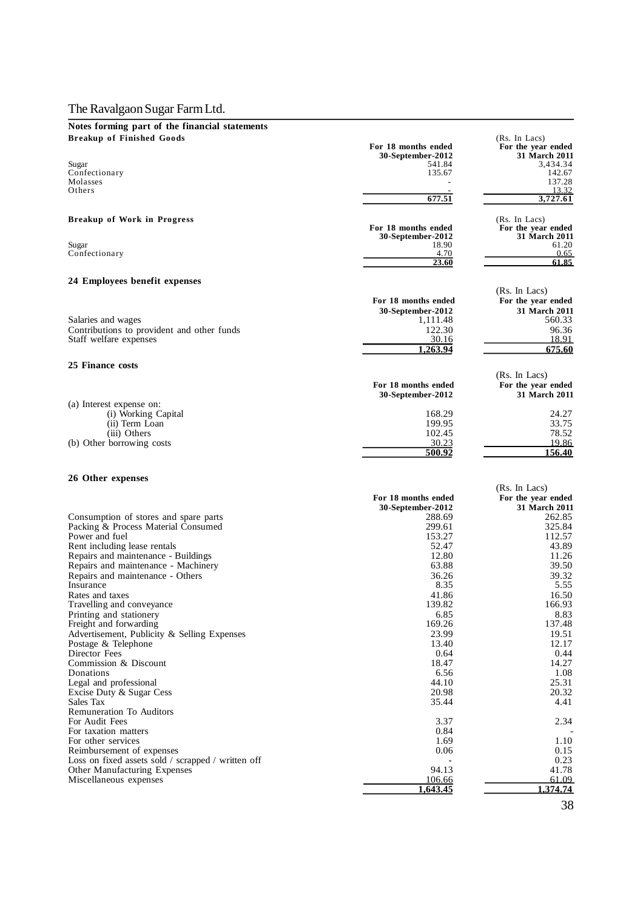# **Notes forming part of the financial statements**

| <b>Breakup of Finished Goods</b>                   | For 18 months ended                      | (Rs. In Lacs)<br>For the year ended |
|----------------------------------------------------|------------------------------------------|-------------------------------------|
| Sugar                                              | <b>30-September-2012</b><br>541.84       | <b>31 March 2011</b><br>3,434.34    |
| Confectionary                                      | 135.67                                   | 142.67                              |
| Molasses                                           |                                          | 137.28                              |
| Others                                             | 677.51                                   | 13.32<br>3,727.61                   |
| <b>Breakup of Work in Progress</b>                 |                                          | (Rs. In Lacs)                       |
|                                                    | For 18 months ended                      | For the year ended                  |
|                                                    | 30-September-2012                        | 31 March 2011                       |
| Sugar<br>Confectionary                             | 18.90<br>4.70                            | 61.20<br>0.65                       |
|                                                    | 23.60                                    | 61.85                               |
| 24 Employees benefit expenses                      |                                          |                                     |
|                                                    |                                          | (Rs. In Lacs)                       |
|                                                    | For 18 months ended<br>30-September-2012 | For the year ended<br>31 March 2011 |
| Salaries and wages                                 | 1,111.48                                 | 560.33                              |
| Contributions to provident and other funds         | 122.30                                   | 96.36                               |
| Staff welfare expenses                             | 30.16                                    | 18.91                               |
|                                                    | 1,263.94                                 | 675.60                              |
| 25 Finance costs                                   |                                          | (Rs. In Lacs)                       |
|                                                    | For 18 months ended                      | For the year ended                  |
|                                                    | 30-September-2012                        | 31 March 2011                       |
| (a) Interest expense on:<br>(i) Working Capital    | 168.29                                   | 24.27                               |
| (ii) Term Loan                                     | 199.95                                   | 33.75                               |
| (iii) Others                                       | 102.45                                   | 78.52                               |
| (b) Other borrowing costs                          | 30.23                                    | 19.86                               |
|                                                    | 500.92                                   | 156.40                              |
| 26 Other expenses                                  |                                          |                                     |
|                                                    |                                          | (Rs. In Lacs)                       |
|                                                    | For 18 months ended                      | For the year ended                  |
| Consumption of stores and spare parts              | 30-September-2012<br>288.69              | 31 March 2011<br>262.85             |
| Packing & Process Material Consumed                | 299.61                                   | 325.84                              |
| Power and fuel                                     | 153.27                                   | 112.57                              |
| Rent including lease rentals                       | 52.47                                    | 43.89                               |
| Repairs and maintenance - Buildings                | 12.80                                    | 11.26                               |
| Repairs and maintenance - Machinery                | 63.88                                    | 39.50                               |
| Repairs and maintenance - Others<br>Insurance      | 36.26<br>8.35                            | 39.32<br>5.55                       |
| Rates and taxes                                    | 41.86                                    | 16.50                               |
| Travelling and conveyance                          | 139.82                                   | 166.93                              |
| Printing and stationery                            | 6.85                                     | 8.83                                |
| Freight and forwarding                             | 169.26                                   | 137.48                              |
| Advertisement, Publicity & Selling Expenses        | 23.99                                    | 19.51                               |
| Postage & Telephone<br>Director Fees               | 13.40<br>0.64                            | 12.17<br>0.44                       |
| Commission & Discount                              | 18.47                                    | 14.27                               |
| Donations                                          | 6.56                                     | 1.08                                |
| Legal and professional                             | 44.10                                    | 25.31                               |
| Excise Duty & Sugar Cess                           | 20.98                                    | 20.32                               |
| Sales Tax                                          | 35.44                                    | 4.41                                |
| <b>Remuneration To Auditors</b><br>For Audit Fees  | 3.37                                     | 2.34                                |
| For taxation matters                               | 0.84                                     |                                     |
| For other services                                 | 1.69                                     | 1.10                                |
| Reimbursement of expenses                          | 0.06                                     | 0.15                                |
| Loss on fixed assets sold / scrapped / written off |                                          | 0.23                                |
| Other Manufacturing Expenses                       | 94.13                                    | 41.78                               |
| Miscellaneous expenses                             | 106.66<br>1,643.45                       | 61.09<br>1.374.74                   |
|                                                    |                                          |                                     |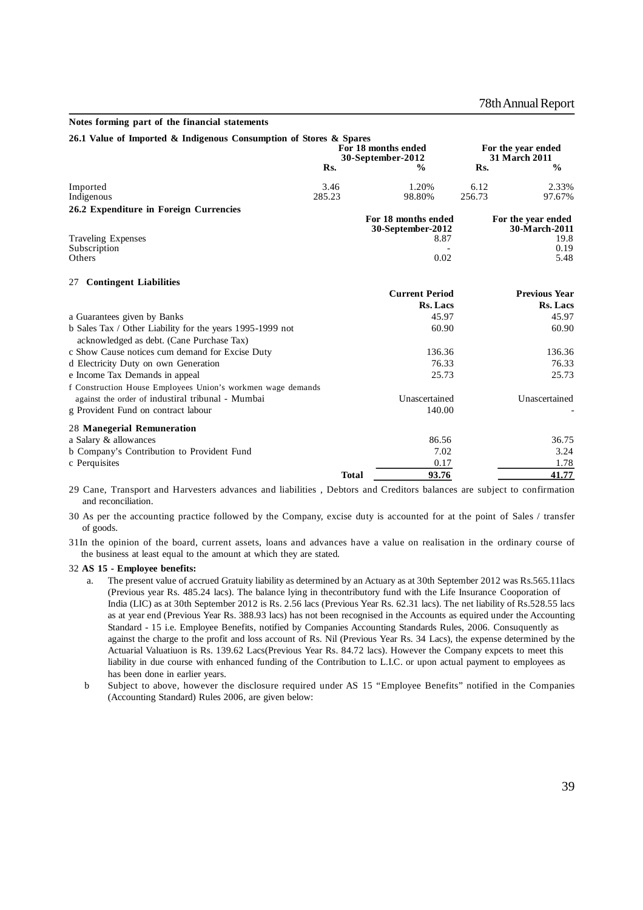#### **Notes forming part of the financial statements**

| 26.1 Value of Imported & Indigenous Consumption of Stores & Spares |              | For 18 months ended<br>30-September-2012 | For the year ended<br><b>31 March 2011</b> |  |  |
|--------------------------------------------------------------------|--------------|------------------------------------------|--------------------------------------------|--|--|
|                                                                    | Rs.          | $\frac{0}{0}$                            | $\frac{0}{0}$<br>Rs.                       |  |  |
| Imported                                                           | 3.46         | 1.20%                                    | 6.12<br>2.33%                              |  |  |
| Indigenous                                                         | 285.23       | 98.80%                                   | 256.73<br>97.67%                           |  |  |
| 26.2 Expenditure in Foreign Currencies                             |              |                                          |                                            |  |  |
|                                                                    |              | For 18 months ended<br>30-September-2012 | For the year ended<br>30-March-2011        |  |  |
| <b>Traveling Expenses</b>                                          |              | 8.87                                     | 19.8                                       |  |  |
| Subscription                                                       |              | 0.02                                     | 0.19                                       |  |  |
| Others                                                             |              |                                          | 5.48                                       |  |  |
| <b>Contingent Liabilities</b><br>27                                |              |                                          |                                            |  |  |
|                                                                    |              | <b>Current Period</b>                    | <b>Previous Year</b>                       |  |  |
|                                                                    |              | <b>Rs. Lacs</b>                          | Rs. Lacs                                   |  |  |
| a Guarantees given by Banks                                        |              | 45.97                                    | 45.97                                      |  |  |
| b Sales Tax / Other Liability for the years 1995-1999 not          |              | 60.90                                    | 60.90                                      |  |  |
| acknowledged as debt. (Cane Purchase Tax)                          |              |                                          |                                            |  |  |
| c Show Cause notices cum demand for Excise Duty                    |              | 136.36                                   | 136.36                                     |  |  |
| d Electricity Duty on own Generation                               |              | 76.33                                    | 76.33                                      |  |  |
| e Income Tax Demands in appeal                                     |              | 25.73                                    | 25.73                                      |  |  |
| f Construction House Employees Union's workmen wage demands        |              |                                          |                                            |  |  |
| against the order of industiral tribunal - Mumbai                  |              | Unascertained                            | Unascertained                              |  |  |
| g Provident Fund on contract labour                                |              | 140.00                                   |                                            |  |  |
| 28 Manegerial Remuneration                                         |              |                                          |                                            |  |  |
| a Salary & allowances                                              |              | 86.56                                    | 36.75                                      |  |  |
| b Company's Contribution to Provident Fund                         |              | 7.02                                     | 3.24                                       |  |  |
| c Perquisites                                                      |              | 0.17                                     | 1.78                                       |  |  |
|                                                                    | <b>Total</b> | 93.76                                    | 41.77                                      |  |  |

29 Cane, Transport and Harvesters advances and liabilities , Debtors and Creditors balances are subject to confirmation and reconciliation.

- 30 As per the accounting practice followed by the Company, excise duty is accounted for at the point of Sales / transfer of goods.
- 31In the opinion of the board, current assets, loans and advances have a value on realisation in the ordinary course of the business at least equal to the amount at which they are stated.

#### 32 **AS 15 - Employee benefits:**

- a. The present value of accrued Gratuity liability as determined by an Actuary as at 30th September 2012 was Rs.565.11lacs (Previous year Rs. 485.24 lacs). The balance lying in thecontributory fund with the Life Insurance Cooporation of India (LIC) as at 30th September 2012 is Rs. 2.56 lacs (Previous Year Rs. 62.31 lacs). The net liability of Rs.528.55 lacs as at year end (Previous Year Rs. 388.93 lacs) has not been recognised in the Accounts as equired under the Accounting Standard - 15 i.e. Employee Benefits, notified by Companies Accounting Standards Rules, 2006. Consuquently as against the charge to the profit and loss account of Rs. Nil (Previous Year Rs. 34 Lacs), the expense determined by the Actuarial Valuatiuon is Rs. 139.62 Lacs(Previous Year Rs. 84.72 lacs). However the Company expcets to meet this liability in due course with enhanced funding of the Contribution to L.I.C. or upon actual payment to employees as has been done in earlier years.
- b Subject to above, however the disclosure required under AS 15 "Employee Benefits" notified in the Companies (Accounting Standard) Rules 2006, are given below: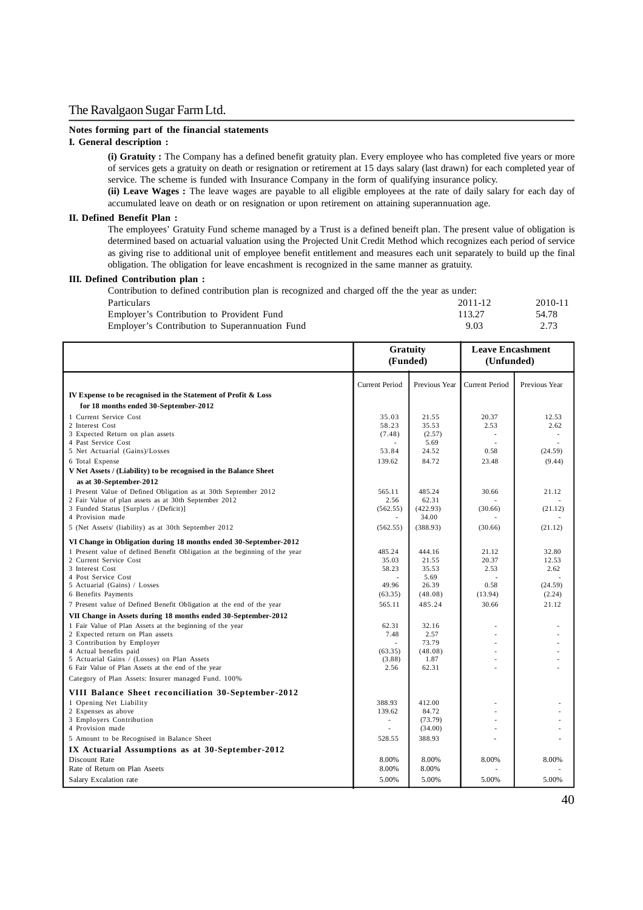#### **Notes forming part of the financial statements**

### **I. General description :**

**(i) Gratuity :** The Company has a defined benefit gratuity plan. Every employee who has completed five years or more of services gets a gratuity on death or resignation or retirement at 15 days salary (last drawn) for each completed year of service. The scheme is funded with Insurance Company in the form of qualifying insurance policy.

**(ii) Leave Wages :** The leave wages are payable to all eligible employees at the rate of daily salary for each day of accumulated leave on death or on resignation or upon retirement on attaining superannuation age.

### **II. Defined Benefit Plan :**

The employees' Gratuity Fund scheme managed by a Trust is a defined beneift plan. The present value of obligation is determined based on actuarial valuation using the Projected Unit Credit Method which recognizes each period of service as giving rise to additional unit of employee benefit entitlement and measures each unit separately to build up the final obligation. The obligation for leave encashment is recognized in the same manner as gratuity.

### **III. Defined Contribution plan :**

Contribution to defined contribution plan is recognized and charged off the the year as under: Particulars 2011-12 2010-11 Employer's Contribution to Provident Fund 113.27 54.78<br>
Employer's Contribution to Superannuation Fund 9.03 2.73 2.73 Employer's Contribution to Superannuation Fund

|                                                                                              | Gratuity<br>(Funded)     |               | <b>Leave Encashment</b><br>(Unfunded) |                 |
|----------------------------------------------------------------------------------------------|--------------------------|---------------|---------------------------------------|-----------------|
|                                                                                              | <b>Current Period</b>    | Previous Year | <b>Current Period</b>                 | Previous Year   |
| IV Expense to be recognised in the Statement of Profit & Loss                                |                          |               |                                       |                 |
| for 18 months ended 30-September-2012                                                        |                          |               |                                       |                 |
| 1 Current Service Cost                                                                       | 35.03                    | 21.55         | 20.37                                 | 12.53           |
| 2 Interest Cost                                                                              | 58.23                    | 35.53         | 2.53                                  | 2.62            |
| 3 Expected Return on plan assets                                                             | (7.48)                   | (2.57)        |                                       |                 |
| 4 Past Service Cost<br>5 Net Actuarial (Gains)/Losses                                        | 53.84                    | 5.69<br>24.52 | ٠<br>0.58                             | (24.59)         |
| 6 Total Expense                                                                              | 139.62                   | 84.72         | 23.48                                 | (9.44)          |
| V Net Assets / (Liability) to be recognised in the Balance Sheet                             |                          |               |                                       |                 |
| as at 30-September-2012                                                                      |                          |               |                                       |                 |
| 1 Present Value of Defined Obligation as at 30th September 2012                              | 565.11                   | 485.24        | 30.66                                 | 21.12           |
| 2 Fair Value of plan assets as at 30th September 2012                                        | 2.56                     | 62.31         |                                       |                 |
| 3 Funded Status [Surplus / (Deficit)]                                                        | (562.55)                 | (422.93)      | (30.66)                               | (21.12)         |
| 4 Provision made                                                                             |                          | 34.00         |                                       |                 |
| 5 (Net Assets/ (liability) as at 30th September 2012                                         | (562.55)                 | (388.93)      | (30.66)                               | (21.12)         |
| VI Change in Obligation during 18 months ended 30-September-2012                             |                          |               |                                       |                 |
| 1 Present value of defined Benefit Obligation at the beginning of the year                   | 485.24                   | 444.16        | 21.12                                 | 32.80           |
| 2 Current Service Cost                                                                       | 35.03                    | 21.55         | 20.37                                 | 12.53           |
| 3 Interest Cost                                                                              | 58.23                    | 35.53         | 2.53                                  | 2.62            |
| 4 Post Service Cost                                                                          |                          | 5.69          |                                       |                 |
| 5 Actuarial (Gains) / Losses                                                                 | 49.96                    | 26.39         | 0.58<br>(13.94)                       | (24.59)         |
| 6 Benefits Payments                                                                          | (63.35)                  | (48.08)       |                                       | (2.24)<br>21.12 |
| 7 Present value of Defined Benefit Obligation at the end of the year                         | 565.11                   | 485.24        | 30.66                                 |                 |
| VII Change in Assets during 18 months ended 30-September-2012                                |                          |               |                                       |                 |
| 1 Fair Value of Plan Assets at the beginning of the year<br>2 Expected return on Plan assets | 62.31<br>7.48            | 32.16<br>2.57 | ÷                                     |                 |
| 3 Contribution by Employer                                                                   |                          | 73.79         |                                       |                 |
| 4 Actual benefits paid                                                                       | (63.35)                  | (48.08)       |                                       |                 |
| 5 Actuarial Gains / (Losses) on Plan Assets                                                  | (3.88)                   | 1.87          | ÷                                     |                 |
| 6 Fair Value of Plan Assets at the end of the year                                           | 2.56                     | 62.31         |                                       |                 |
| Category of Plan Assets: Insurer managed Fund. 100%                                          |                          |               |                                       |                 |
| VIII Balance Sheet reconciliation 30-September-2012                                          |                          |               |                                       |                 |
| 1 Opening Net Liability                                                                      | 388.93                   | 412.00        |                                       |                 |
| 2 Expenses as above                                                                          | 139.62                   | 84.72         |                                       |                 |
| 3 Employers Contribution                                                                     | $\overline{\phantom{a}}$ | (73.79)       |                                       |                 |
| 4 Provision made                                                                             |                          | (34.00)       |                                       |                 |
| 5 Amount to be Recognised in Balance Sheet                                                   | 528.55                   | 388.93        |                                       |                 |
| IX Actuarial Assumptions as at 30-September-2012                                             |                          |               |                                       |                 |
| Discount Rate                                                                                | 8.00%                    | 8.00%         | 8.00%                                 | 8.00%           |
| Rate of Return on Plan Aseets                                                                | 8.00%                    | 8.00%         |                                       |                 |
| Salary Excalation rate                                                                       | 5.00%                    | 5.00%         | 5.00%                                 | 5.00%           |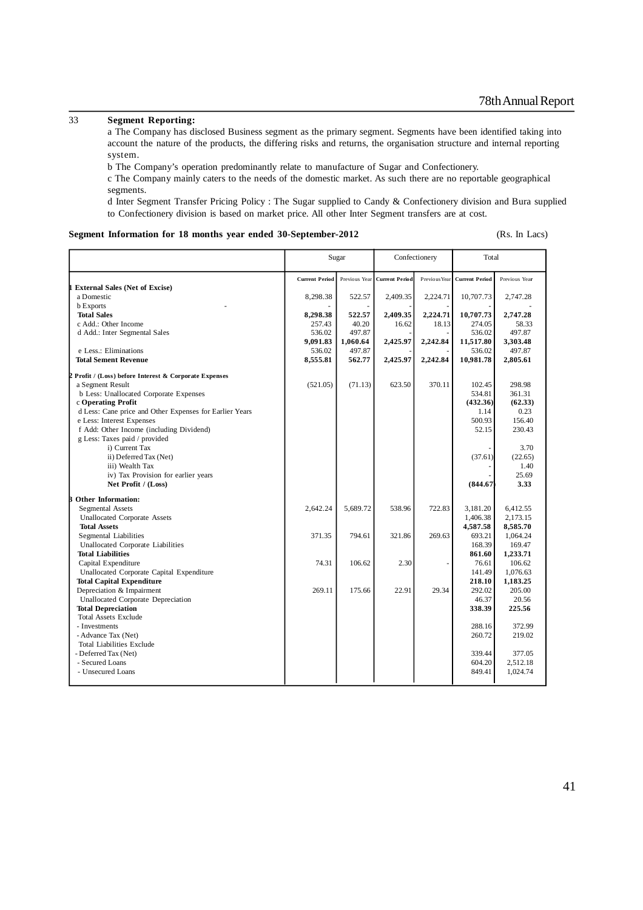### 33 **Segment Reporting:**

a The Company has disclosed Business segment as the primary segment. Segments have been identified taking into account the nature of the products, the differing risks and returns, the organisation structure and internal reporting system.

b The Company's operation predominantly relate to manufacture of Sugar and Confectionery.

c The Company mainly caters to the needs of the domestic market. As such there are no reportable geographical segments.

d Inter Segment Transfer Pricing Policy : The Sugar supplied to Candy & Confectionery division and Bura supplied to Confectionery division is based on market price. All other Inter Segment transfers are at cost.

### **Segment Information for 18 months year ended 30-September-2012** (Rs. In Lacs)

|                                                                   |                       | Sugar         |                       | Confectionery |                       | Total              |
|-------------------------------------------------------------------|-----------------------|---------------|-----------------------|---------------|-----------------------|--------------------|
|                                                                   | <b>Current Period</b> | Previous Year | <b>Current Period</b> | Previous Year | <b>Current Period</b> | Previous Year      |
| <b>External Sales (Net of Excise)</b><br>a Domestic               |                       | 522.57        |                       |               |                       |                    |
|                                                                   | 8,298.38              |               | 2,409.35              | 2,224.71      | 10,707.73             | 2,747.28           |
| <b>b</b> Exports<br><b>Total Sales</b>                            | 8,298.38              | 522.57        | 2,409.35              | 2,224.71      | 10,707.73             | 2,747.28           |
| c Add.: Other Income                                              | 257.43                | 40.20         | 16.62                 | 18.13         | 274.05                | 58.33              |
| d Add.: Inter Segmental Sales                                     | 536.02                | 497.87        |                       |               | 536.02                | 497.87             |
|                                                                   | 9,091.83              | 1,060.64      | 2,425.97              | 2,242.84      | 11,517.80             | 3,303.48           |
| e Less.: Eliminations                                             | 536.02                | 497.87        |                       |               | 536.02                | 497.87             |
| <b>Total Sement Revenue</b>                                       | 8,555.81              | 562.77        | 2,425.97              | 2,242.84      | 10,981.78             | 2,805.61           |
| 2 Profit / (Loss) before Interest & Corporate Expenses            |                       |               |                       |               |                       |                    |
| a Segment Result                                                  | (521.05)              | (71.13)       | 623.50                | 370.11        | 102.45                | 298.98             |
| b Less: Unallocated Corporate Expenses                            |                       |               |                       |               | 534.81                | 361.31             |
| c Operating Profit                                                |                       |               |                       |               | (432.36)              | (62.33)            |
| d Less: Cane price and Other Expenses for Earlier Years           |                       |               |                       |               | 1.14                  | 0.23               |
| e Less: Interest Expenses                                         |                       |               |                       |               | 500.93                | 156.40             |
| f Add: Other Income (including Dividend)                          |                       |               |                       |               | 52.15                 | 230.43             |
| g Less: Taxes paid / provided                                     |                       |               |                       |               |                       |                    |
| i) Current Tax                                                    |                       |               |                       |               |                       | 3.70               |
| ii) Deferred Tax (Net)                                            |                       |               |                       |               | (37.61)               | (22.65)            |
| iii) Wealth Tax                                                   |                       |               |                       |               |                       | 1.40               |
| iv) Tax Provision for earlier years                               |                       |               |                       |               |                       | 25.69              |
| Net Profit / (Loss)                                               |                       |               |                       |               | (844.67)              | 3.33               |
| <b>Other Information:</b>                                         |                       |               |                       |               |                       |                    |
| Segmental Assets                                                  | 2.642.24              | 5.689.72      | 538.96                | 722.83        | 3,181.20              | 6,412.55           |
| <b>Unallocated Corporate Assets</b>                               |                       |               |                       |               | 1,406.38              | 2,173.15           |
| <b>Total Assets</b>                                               |                       |               |                       |               | 4,587.58              | 8,585.70           |
| <b>Segmental Liabilities</b><br>Unallocated Corporate Liabilities | 371.35                | 794.61        | 321.86                | 269.63        | 693.21<br>168.39      | 1.064.24<br>169.47 |
| <b>Total Liabilities</b>                                          |                       |               |                       |               | 861.60                | 1,233.71           |
| Capital Expenditure                                               | 74.31                 | 106.62        | 2.30                  |               | 76.61                 | 106.62             |
| Unallocated Corporate Capital Expenditure                         |                       |               |                       |               | 141.49                | 1,076.63           |
| <b>Total Capital Expenditure</b>                                  |                       |               |                       |               | 218.10                | 1,183.25           |
| Depreciation & Impairment                                         | 269.11                | 175.66        | 22.91                 | 29.34         | 292.02                | 205.00             |
| Unallocated Corporate Depreciation                                |                       |               |                       |               | 46.37                 | 20.56              |
| <b>Total Depreciation</b>                                         |                       |               |                       |               | 338.39                | 225.56             |
| <b>Total Assets Exclude</b>                                       |                       |               |                       |               |                       |                    |
| - Investments                                                     |                       |               |                       |               | 288.16                | 372.99             |
| - Advance Tax (Net)                                               |                       |               |                       |               | 260.72                | 219.02             |
| <b>Total Liabilities Exclude</b>                                  |                       |               |                       |               |                       |                    |
| - Deferred Tax (Net)                                              |                       |               |                       |               | 339.44                | 377.05             |
| - Secured Loans                                                   |                       |               |                       |               | 604.20                | 2,512.18           |
| - Unsecured Loans                                                 |                       |               |                       |               | 849.41                | 1,024.74           |
|                                                                   |                       |               |                       |               |                       |                    |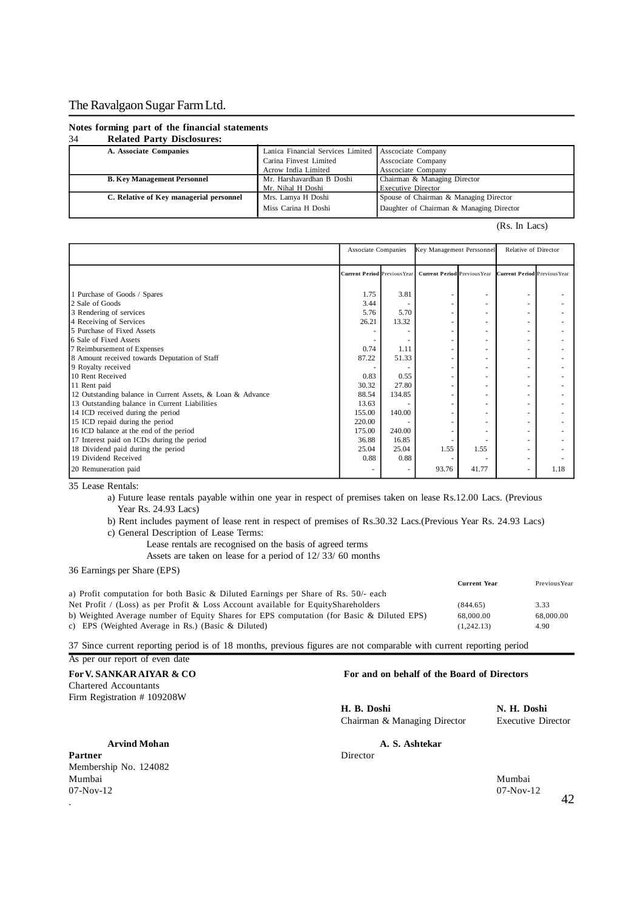#### **Notes forming part of the financial statements**

#### 34 **Related Party Disclosures: A. Associate Companies** Lanica Financial Services Limited Associate Company<br>Carina Finvest Limited Associate Company Carina Finvest Limited Asscociate Company Acrow India Limited<br>
Mr. Harshavardhan B Doshi<br>
Chairman & Managing Director **B. Key Management Personnel Mr. Harshavardhan Mr. Nihal H Doshi Chairman B Director Chairman B Director Chairman B Mr. Nihal H Doshi** Mr. Nihal H Doshi<br>
Mrs. Lamya H Doshi<br>
Spouse of Chairman & Managing Director **C. Relative of Key managerial personnel Mrs. Lamya H Doshi Miss Carina H Doshi** Daughter of Chairman & Managing Director

(Rs. In Lacs)

|                                                                                                                             | Associate Companies                 |                          | Key Management Perssonnel           |                                    | Relative of Director                                      |      |
|-----------------------------------------------------------------------------------------------------------------------------|-------------------------------------|--------------------------|-------------------------------------|------------------------------------|-----------------------------------------------------------|------|
|                                                                                                                             | <b>Current Period Previous Year</b> |                          | <b>Current Period Previous Year</b> |                                    | <b>Current Period</b> Previous Year                       |      |
| 1 Purchase of Goods / Spares<br>2 Sale of Goods<br>3 Rendering of services                                                  | 1.75<br>3.44<br>5.76                | 3.81<br>5.70             |                                     | $\overline{\phantom{a}}$           |                                                           |      |
| 4 Receiving of Services<br>5 Purchase of Fixed Assets                                                                       | 26.21                               | 13.32                    |                                     | ٠<br>$\overline{\phantom{a}}$      | ٠<br>$\overline{\phantom{a}}$                             |      |
| 6 Sale of Fixed Assets<br>7 Reimbursement of Expenses<br>8 Amount received towards Deputation of Staff                      | 0.74<br>87.22                       | 1.11<br>51.33            |                                     | ٠<br>٠<br>$\overline{\phantom{a}}$ | ٠<br>٠                                                    |      |
| 9 Royalty received<br>10 Rent Received                                                                                      | 0.83                                | 0.55                     |                                     |                                    |                                                           |      |
| 11 Rent paid<br>12 Outstanding balance in Current Assets, & Loan & Advance<br>13 Outstanding balance in Current Liabilities | 30.32<br>88.54<br>13.63             | 27.80<br>134.85          |                                     | $\overline{\phantom{a}}$           | $\overline{\phantom{a}}$<br>$\overline{\phantom{a}}$<br>٠ |      |
| 14 ICD received during the period<br>15 ICD repaid during the period                                                        | 155.00<br>220.00                    | 140.00                   |                                     |                                    |                                                           |      |
| 16 ICD balance at the end of the period<br>17 Interest paid on ICDs during the period<br>18 Dividend paid during the period | 175.00<br>36.88<br>25.04            | 240.00<br>16.85<br>25.04 | 1.55                                | 1.55                               | $\overline{\phantom{a}}$                                  |      |
| 19 Dividend Received<br>20 Remuneration paid                                                                                | 0.88                                | 0.88                     | 93.76                               | 41.77                              | $\overline{\phantom{a}}$<br>$\sim$                        | 1.18 |

35 Lease Rentals:

a) Future lease rentals payable within one year in respect of premises taken on lease Rs.12.00 Lacs. (Previous Year Rs. 24.93 Lacs)

b) Rent includes payment of lease rent in respect of premises of Rs.30.32 Lacs.(Previous Year Rs. 24.93 Lacs) c) General Description of Lease Terms:

Lease rentals are recognised on the basis of agreed terms

Assets are taken on lease for a period of 12/ 33/ 60 months

36 Earnings per Share (EPS)

|                                                                                           | <b>Current Year</b> | Previous Year |
|-------------------------------------------------------------------------------------------|---------------------|---------------|
| a) Profit computation for both Basic & Diluted Earnings per Share of Rs. 50/- each        |                     |               |
| Net Profit / (Loss) as per Profit & Loss Account available for EquityShareholders         | (844.65)            | 3.33          |
| b) Weighted Average number of Equity Shares for EPS computation (for Basic & Diluted EPS) | 68,000.00           | 68,000.00     |
| c) EPS (Weighted Average in Rs.) (Basic $\&$ Diluted)                                     | (1.242.13)          | 4.90          |
|                                                                                           |                     |               |

37 Since current reporting period is of 18 months, previous figures are not comparable with current reporting period

As per our report of even date Chartered Accountants Firm Registration # 109208W

Partner Director Membership No. 124082 Mumbai Mumbai  $07-\text{Nov-12}$   $07-\text{Nov-12}$  $42$ 

**For V. SANKAR AIYAR & CO** For and on behalf of the Board of Directors

**H. B. Doshi N. H. Doshi** Chairman & Managing Director Executive Director

**Arvind Mohan A. S. Ashtekar**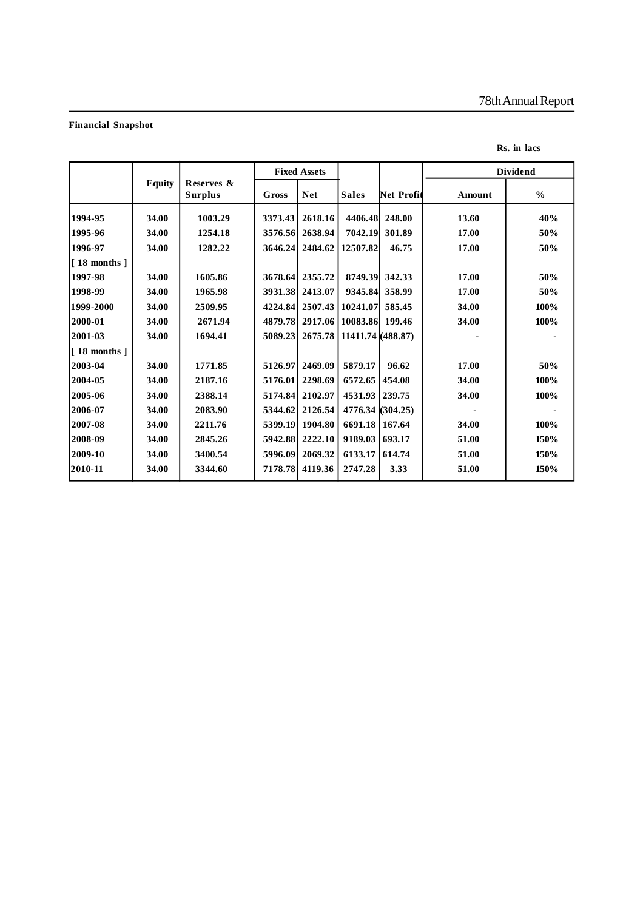### **Financial Snapshot**

### **Rs. in lacs**

|                       |               |                              |          | <b>Fixed Assets</b> |                             |                   |               | <b>Dividend</b> |
|-----------------------|---------------|------------------------------|----------|---------------------|-----------------------------|-------------------|---------------|-----------------|
|                       | <b>Equity</b> | Reserves &<br><b>Surplus</b> | Gross    | <b>Net</b>          | <b>Sales</b>                | <b>Net Profit</b> | <b>Amount</b> | $\frac{0}{0}$   |
| 1994-95               | 34.00         | 1003.29                      | 3373.43  | 2618.16             | 4406.48 248.00              |                   | 13.60         | 40%             |
| 1995-96               | 34.00         | 1254.18                      | 3576.56  | 2638.94             | 7042.19                     | 301.89            | 17.00         | 50%             |
| 1996-97               | 34.00         | 1282.22                      | 3646.24  | 2484.62             | 12507.82                    | 46.75             | 17.00         | 50%             |
| $\vert$ [ 18 months ] |               |                              |          |                     |                             |                   |               |                 |
| 1997-98               | 34.00         | 1605.86                      | 3678.64  | 2355.72             | 8749.39                     | 342.33            | 17.00         | 50%             |
| 1998-99               | 34.00         | 1965.98                      | 3931.38  | 2413.07             | 9345.84                     | 358.99            | 17.00         | 50%             |
| 1999-2000             | 34.00         | 2509.95                      | 4224.84  |                     | 2507.43   10241.07          | 585.45            | 34.00         | 100%            |
| 2000-01               | 34.00         | 2671.94                      | 4879.781 |                     | 2917.06   10083.86   199.46 |                   | 34.00         | 100%            |
| 2001-03               | 34.00         | 1694.41                      | 5089.23  |                     | 2675.78 11411.74 (488.87)   |                   |               |                 |
| $\vert$ [ 18 months ] |               |                              |          |                     |                             |                   |               |                 |
| 2003-04               | 34.00         | 1771.85                      | 5126.97  | 2469.09             | 5879.17                     | 96.62             | 17.00         | 50%             |
| 2004-05               | 34.00         | 2187.16                      | 5176.01  | 2298.69             | 6572.65   454.08            |                   | 34.00         | 100%            |
| 2005-06               | 34.00         | 2388.14                      | 5174.84  | 2102.97             | 4531.93 239.75              |                   | 34.00         | 100%            |
| 2006-07               | 34.00         | 2083.90                      | 5344.62  | 2126.54             | 4776.34 (304.25)            |                   |               |                 |
| 2007-08               | 34.00         | 2211.76                      | 5399.19  | 1904.80             | 6691.18   167.64            |                   | 34.00         | 100%            |
| 2008-09               | 34.00         | 2845.26                      | 5942.88  | 2222.10             | 9189.03 693.17              |                   | 51.00         | 150%            |
| 2009-10               | 34.00         | 3400.54                      | 5996.09  | 2069.32             | 6133.17 614.74              |                   | 51.00         | 150%            |
| 2010-11               | 34.00         | 3344.60                      | 7178.78  | 4119.36             | 2747.28                     | 3.33              | 51.00         | 150%            |